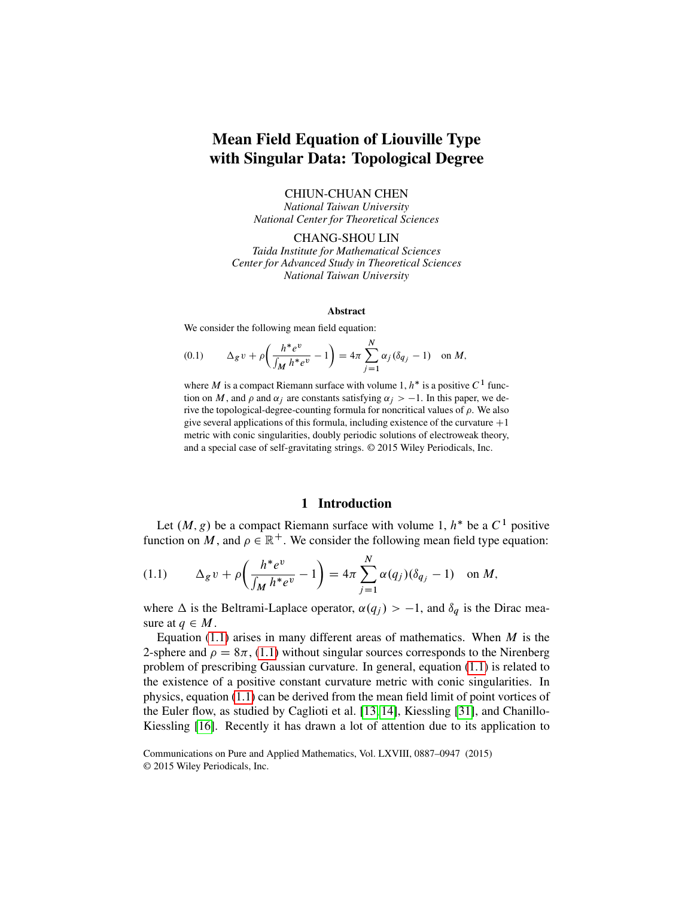# Mean Field Equation of Liouville Type with Singular Data: Topological Degree

CHIUN-CHUAN CHEN

*National Taiwan University National Center for Theoretical Sciences*

CHANG-SHOU LIN *Taida Institute for Mathematical Sciences Center for Advanced Study in Theoretical Sciences National Taiwan University*

#### Abstract

We consider the following mean field equation:

(0.1) 
$$
\Delta_g v + \rho \left( \frac{h^* e^v}{\int_M h^* e^v} - 1 \right) = 4\pi \sum_{j=1}^N \alpha_j (\delta_{q_j} - 1) \text{ on } M,
$$

where M is a compact Riemann surface with volume 1,  $h^*$  is a positive  $C^1$  function on M, and  $\rho$  and  $\alpha_i$  are constants satisfying  $\alpha_i > -1$ . In this paper, we derive the topological-degree-counting formula for noncritical values of  $\rho$ . We also give several applications of this formula, including existence of the curvature  $+1$ metric with conic singularities, doubly periodic solutions of electroweak theory, and a special case of self-gravitating strings. © 2015 Wiley Periodicals, Inc.

### 1 Introduction

<span id="page-0-1"></span>Let  $(M, g)$  be a compact Riemann surface with volume 1,  $h^*$  be a  $C^1$  positive function on M, and  $\rho \in \mathbb{R}^+$ . We consider the following mean field type equation:

<span id="page-0-0"></span>(1.1) 
$$
\Delta_g v + \rho \bigg( \frac{h^* e^v}{\int_M h^* e^v} - 1 \bigg) = 4\pi \sum_{j=1}^N \alpha(q_j) (\delta_{q_j} - 1) \text{ on } M,
$$

where  $\Delta$  is the Beltrami-Laplace operator,  $\alpha(q_i) > -1$ , and  $\delta_q$  is the Dirac measure at  $q \in M$ .

Equation [\(1.1\)](#page-0-0) arises in many different areas of mathematics. When  $M$  is the 2-sphere and  $\rho = 8\pi$ , [\(1.1\)](#page-0-0) without singular sources corresponds to the Nirenberg problem of prescribing Gaussian curvature. In general, equation [\(1.1\)](#page-0-0) is related to the existence of a positive constant curvature metric with conic singularities. In physics, equation [\(1.1\)](#page-0-0) can be derived from the mean field limit of point vortices of the Euler flow, as studied by Caglioti et al. [\[13,](#page-58-0) [14\]](#page-58-1), Kiessling [\[31\]](#page-59-0), and Chanillo-Kiessling [\[16\]](#page-58-2). Recently it has drawn a lot of attention due to its application to

Communications on Pure and Applied Mathematics, Vol. LXVIII, 0887–0947 (2015) © 2015 Wiley Periodicals, Inc.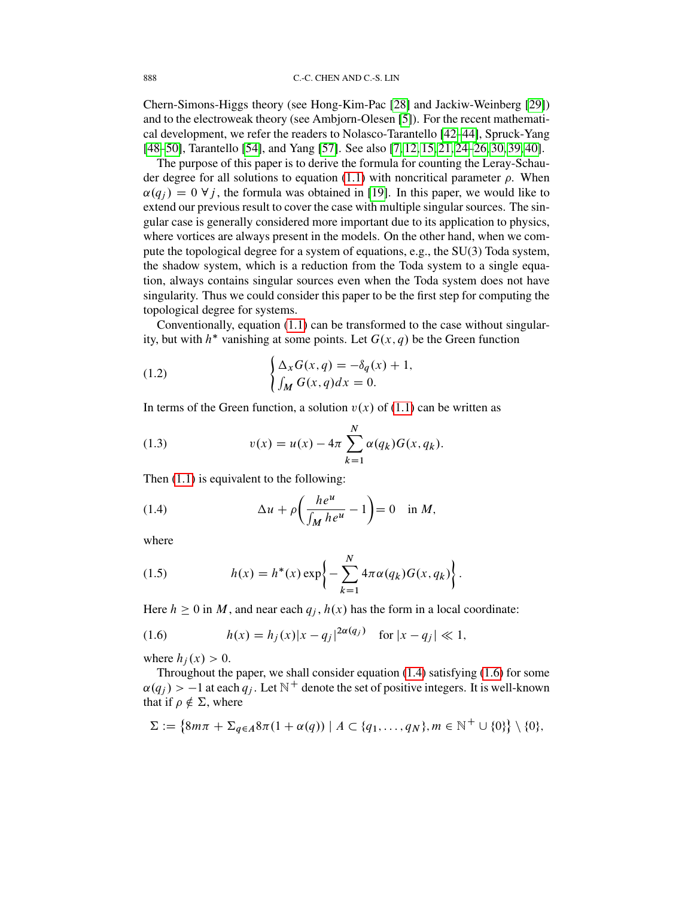Chern-Simons-Higgs theory (see Hong-Kim-Pac [\[28\]](#page-59-1) and Jackiw-Weinberg [\[29\]](#page-59-2)) and to the electroweak theory (see Ambjorn-Olesen [\[5\]](#page-57-0)). For the recent mathematical development, we refer the readers to Nolasco-Tarantello [\[42](#page-59-3)[–44\]](#page-59-4), Spruck-Yang [\[48–](#page-59-5)[50\]](#page-60-0), Tarantello [\[54\]](#page-60-1), and Yang [\[57\]](#page-60-2). See also [\[7,](#page-58-3) [12,](#page-58-4) [15,](#page-58-5) [21,](#page-58-6) [24](#page-58-7)[–26,](#page-59-6) [30,](#page-59-7) [39,](#page-59-8) [40\]](#page-59-9).

The purpose of this paper is to derive the formula for counting the Leray-Schau-der degree for all solutions to equation [\(1.1\)](#page-0-0) with noncritical parameter  $\rho$ . When  $\alpha(q_i) = 0 \ \forall j$ , the formula was obtained in [\[19\]](#page-58-8). In this paper, we would like to extend our previous result to cover the case with multiple singular sources. The singular case is generally considered more important due to its application to physics, where vortices are always present in the models. On the other hand, when we compute the topological degree for a system of equations, e.g., the SU(3) Toda system, the shadow system, which is a reduction from the Toda system to a single equation, always contains singular sources even when the Toda system does not have singularity. Thus we could consider this paper to be the first step for computing the topological degree for systems.

Conventionally, equation [\(1.1\)](#page-0-0) can be transformed to the case without singularity, but with  $h^*$  vanishing at some points. Let  $G(x, q)$  be the Green function

(1.2) 
$$
\begin{cases} \Delta_x G(x,q) = -\delta_q(x) + 1, \\ \int_M G(x,q) dx = 0. \end{cases}
$$

In terms of the Green function, a solution  $v(x)$  of [\(1.1\)](#page-0-0) can be written as

(1.3) 
$$
v(x) = u(x) - 4\pi \sum_{k=1}^{N} \alpha(q_k) G(x, q_k).
$$

Then [\(1.1\)](#page-0-0) is equivalent to the following:

<span id="page-1-0"></span>(1.4) 
$$
\Delta u + \rho \left( \frac{h e^u}{\int_M h e^u} - 1 \right) = 0 \quad \text{in } M,
$$

where

(1.5) 
$$
h(x) = h^*(x) \exp\left\{-\sum_{k=1}^N 4\pi \alpha(q_k) G(x, q_k)\right\}.
$$

Here  $h \ge 0$  in M, and near each  $q_j$ ,  $h(x)$  has the form in a local coordinate:

<span id="page-1-1"></span>(1.6) 
$$
h(x) = h_j(x)|x - q_j|^{2\alpha(q_j)} \text{ for } |x - q_j| \ll 1,
$$

where  $h_i(x) > 0$ .

Throughout the paper, we shall consider equation [\(1.4\)](#page-1-0) satisfying [\(1.6\)](#page-1-1) for some  $\alpha(q_i) > -1$  at each  $q_i$ . Let  $\mathbb{N}^+$  denote the set of positive integers. It is well-known that if  $\rho \notin \Sigma$ , where

$$
\Sigma := \{ 8m\pi + \Sigma_{q \in A} 8\pi (1 + \alpha(q)) \mid A \subset \{q_1, \ldots, q_N\}, m \in \mathbb{N}^+ \cup \{0\} \} \setminus \{0\},\
$$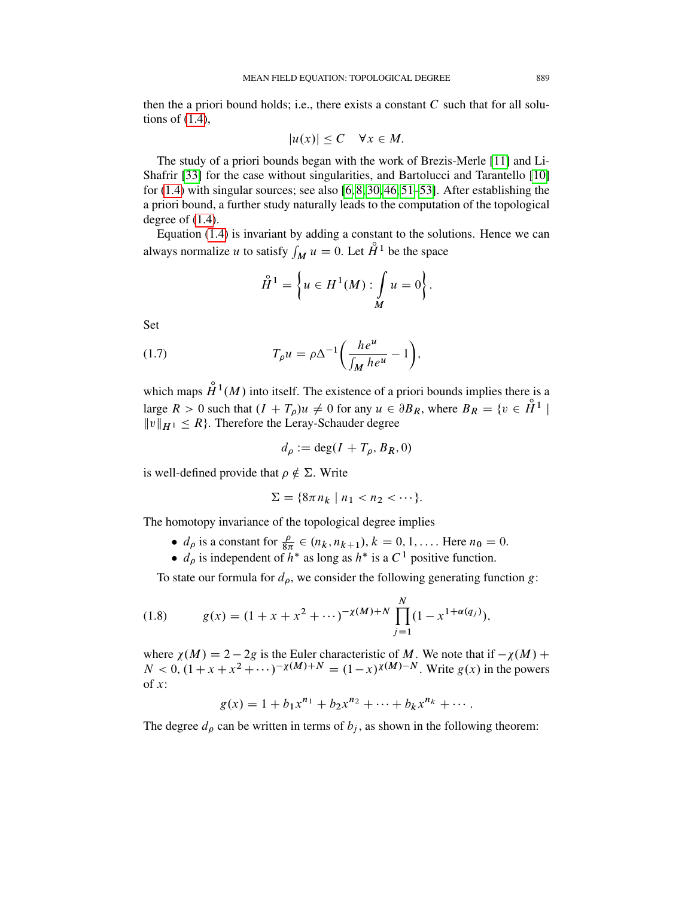then the a priori bound holds; i.e., there exists a constant  $C$  such that for all solutions of [\(1.4\)](#page-1-0),

$$
|u(x)| \leq C \quad \forall x \in M.
$$

The study of a priori bounds began with the work of Brezis-Merle [\[11\]](#page-58-9) and Li-Shafrir [\[33\]](#page-59-10) for the case without singularities, and Bartolucci and Tarantello [\[10\]](#page-58-10) for  $(1.4)$  with singular sources; see also  $[6, 8, 30, 46, 51-53]$  $[6, 8, 30, 46, 51-53]$  $[6, 8, 30, 46, 51-53]$  $[6, 8, 30, 46, 51-53]$  $[6, 8, 30, 46, 51-53]$  $[6, 8, 30, 46, 51-53]$ . After establishing the a priori bound, a further study naturally leads to the computation of the topological degree of [\(1.4\)](#page-1-0).

Equation [\(1.4\)](#page-1-0) is invariant by adding a constant to the solutions. Hence we can always normalize u to satisfy  $\int_M u = 0$ . Let  $\mathring{H}^1$  be the space

$$
\mathring{H}^1 = \left\{ u \in H^1(M) : \int_M u = 0 \right\}.
$$

Set

(1.7) 
$$
T_{\rho}u = \rho \Delta^{-1} \bigg( \frac{he^u}{\int_M he^u} - 1 \bigg),
$$

which maps  $\hat{H}^1(M)$  into itself. The existence of a priori bounds implies there is a large  $R > 0$  such that  $(I + T_\rho)u \neq 0$  for any  $u \in \partial B_R$ , where  $B_R = \{v \in \mathring{H}^1 \mid$  $||v||_{H^1} \leq R$ . Therefore the Leray-Schauder degree

$$
d_{\rho} := \deg(I + T_{\rho}, B_R, 0)
$$

is well-defined provide that  $\rho \notin \Sigma$ . Write

$$
\Sigma = \{8\pi n_k \mid n_1 < n_2 < \cdots\}.
$$

The homotopy invariance of the topological degree implies

- $d_{\rho}$  is a constant for  $\frac{\rho}{8\pi} \in (n_k, n_{k+1}), k = 0, 1, \dots$ . Here  $n_0 = 0$ .
- $d_{\rho}$  is independent of  $h^*$  as long as  $h^*$  is a  $C^1$  positive function.

To state our formula for  $d_{\rho}$ , we consider the following generating function g:

(1.8) 
$$
g(x) = (1 + x + x^{2} + \cdots)^{-\chi(M) + N} \prod_{j=1}^{N} (1 - x^{1 + \alpha(q_{j})}),
$$

where  $\chi(M) = 2 - 2g$  is the Euler characteristic of M. We note that if  $-\chi(M)$  +  $N < 0$ ,  $(1 + x + x^2 + \cdots)^{-\chi(M)+N} = (1-x)^{\chi(M)-N}$ . Write  $g(x)$  in the powers of  $x$ :

$$
g(x) = 1 + b_1 x^{n_1} + b_2 x^{n_2} + \dots + b_k x^{n_k} + \dots
$$

The degree  $d_{\rho}$  can be written in terms of  $b_j$ , as shown in the following theorem: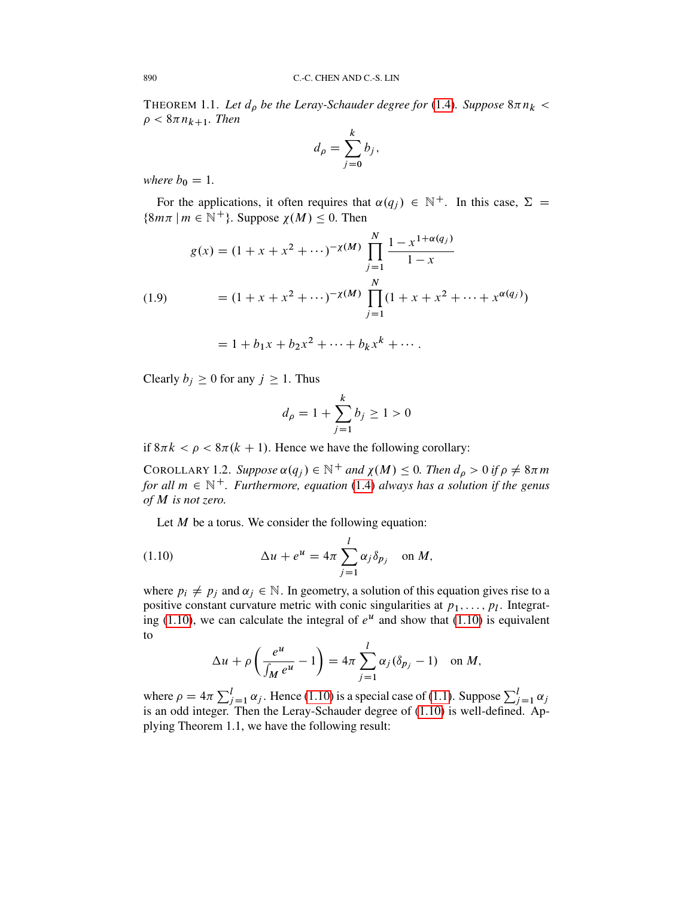<span id="page-3-2"></span>THEOREM 1.1. Let  $d_{\rho}$  be the Leray-Schauder degree for [\(1.4\)](#page-1-0). Suppose  $8\pi n_k$  <  $\rho < 8\pi n_{k+1}$ . Then

$$
d_{\rho} = \sum_{j=0}^{k} b_j,
$$

*where*  $b_0 = 1$ *.* 

For the applications, it often requires that  $\alpha(q_i) \in \mathbb{N}^+$ . In this case,  $\Sigma =$  $\{8m\pi \mid m \in \mathbb{N}^+\}$ . Suppose  $\chi(M) \leq 0$ . Then

<span id="page-3-1"></span>(1.9)  
\n
$$
g(x) = (1 + x + x^{2} + \cdots)^{-\chi(M)} \prod_{j=1}^{N} \frac{1 - x^{1 + \alpha(q_{j})}}{1 - x}
$$
\n
$$
= (1 + x + x^{2} + \cdots)^{-\chi(M)} \prod_{j=1}^{N} (1 + x + x^{2} + \cdots + x^{\alpha(q_{j})})
$$
\n
$$
= 1 + b_{1}x + b_{2}x^{2} + \cdots + b_{k}x^{k} + \cdots.
$$

Clearly  $b_j \ge 0$  for any  $j \ge 1$ . Thus

$$
d_{\rho} = 1 + \sum_{j=1}^{k} b_j \ge 1 > 0
$$

if  $8\pi k < \rho < 8\pi (k + 1)$ . Hence we have the following corollary:

<span id="page-3-3"></span>COROLLARY 1.2. *Suppose*  $\alpha(q_j) \in \mathbb{N}^+$  and  $\chi(M) \leq 0$ . Then  $d_\rho > 0$  if  $\rho \neq 8\pi m$ *for all*  $m \in \mathbb{N}^+$ *. Furthermore, equation* [\(1.4\)](#page-1-0) *always has a solution if the genus of* M *is not zero.*

Let  $M$  be a torus. We consider the following equation:

(1.10) 
$$
\Delta u + e^u = 4\pi \sum_{j=1}^l \alpha_j \delta_{p_j} \quad \text{on } M,
$$

where  $p_i \neq p_j$  and  $\alpha_j \in \mathbb{N}$ . In geometry, a solution of this equation gives rise to a positive constant curvature metric with conic singularities at  $p_1, \ldots, p_l$ . Integrat-ing [\(1.10\)](#page-3-0), we can calculate the integral of  $e^u$  and show that (1.10) is equivalent to

<span id="page-3-0"></span>
$$
\Delta u + \rho \left( \frac{e^u}{\int_M e^u} - 1 \right) = 4\pi \sum_{j=1}^l \alpha_j (\delta_{p_j} - 1) \quad \text{on } M,
$$

where  $\rho = 4\pi \sum_{j=1}^{l} \alpha_j$ . Hence [\(1.10\)](#page-3-0) is a special case of [\(1.1\)](#page-0-0). Suppose  $\sum_{j=1}^{l} \alpha_j$ is an odd integer. Then the Leray-Schauder degree of [\(1.10\)](#page-3-0) is well-defined. Applying Theorem 1.1, we have the following result: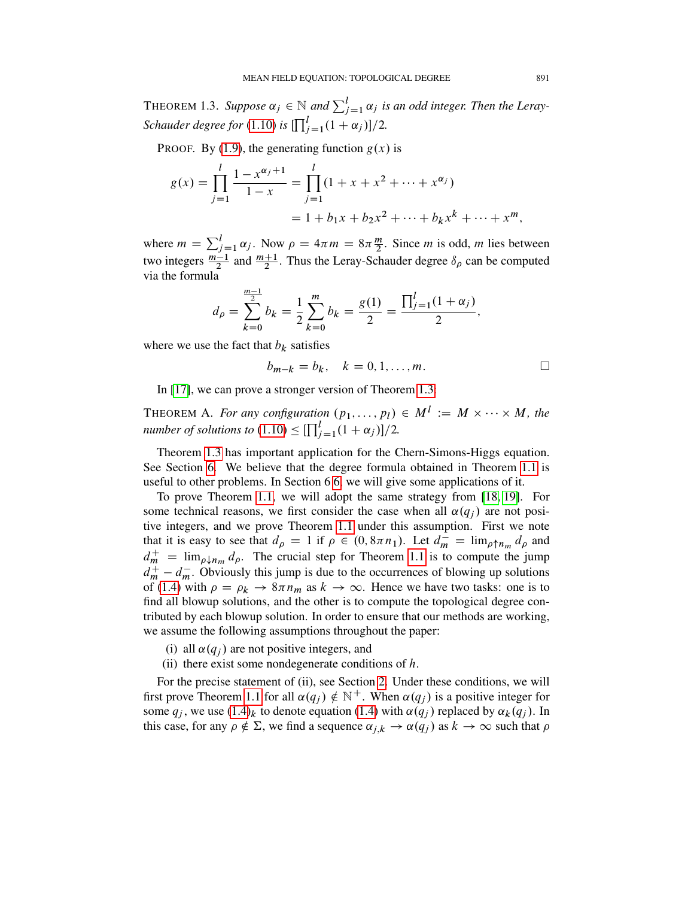<span id="page-4-0"></span>THEOREM 1.3. Suppose  $\alpha_j \in \mathbb{N}$  and  $\sum_{j=1}^l \alpha_j$  is an odd integer. Then the Leray-*Schauder degree for* [\(1.10\)](#page-3-0) *is*  $\prod_{j=1}^{l} (1 + \alpha_j) ]/2$ .

PROOF. By [\(1.9\)](#page-3-1), the generating function  $g(x)$  is

$$
g(x) = \prod_{j=1}^{l} \frac{1 - x^{\alpha_j + 1}}{1 - x} = \prod_{j=1}^{l} (1 + x + x^2 + \dots + x^{\alpha_j})
$$
  
= 1 + b\_1x + b\_2x^2 + \dots + b\_kx^k + \dots + x^m,

where  $m = \sum_{j=1}^{l} \alpha_j$ . Now  $\rho = 4\pi m = 8\pi \frac{m}{2}$ . Since *m* is odd, *m* lies between two integers  $\frac{m-1}{2}$  and  $\frac{m+1}{2}$ . Thus the Leray-Schauder degree  $\delta_{\rho}$  can be computed via the formula

$$
d_{\rho} = \sum_{k=0}^{\frac{m-1}{2}} b_k = \frac{1}{2} \sum_{k=0}^{m} b_k = \frac{g(1)}{2} = \frac{\prod_{j=1}^{l} (1 + \alpha_j)}{2},
$$

where we use the fact that  $b_k$  satisfies

$$
b_{m-k} = b_k, \quad k = 0, 1, \dots, m.
$$

In [\[17\]](#page-58-13), we can prove a stronger version of Theorem [1.3:](#page-4-0)

THEOREM A. *For any configuration*  $(p_1, \ldots, p_l) \in M^l := M \times \cdots \times M$ , the *number of solutions to*  $(1.10) \leq \prod_{j=1}^{l} (1 + \alpha_j) / 2$  $(1.10) \leq \prod_{j=1}^{l} (1 + \alpha_j) / 2$ .

Theorem [1.3](#page-4-0) has important application for the Chern-Simons-Higgs equation. See Section [6.](#page-31-0) We believe that the degree formula obtained in Theorem [1.1](#page-3-2) is useful to other problems. In Section 6 [6,](#page-31-0) we will give some applications of it.

To prove Theorem [1.1,](#page-3-2) we will adopt the same strategy from [\[18,](#page-58-14) [19\]](#page-58-8). For some technical reasons, we first consider the case when all  $\alpha(q_i)$  are not positive integers, and we prove Theorem [1.1](#page-3-2) under this assumption. First we note that it is easy to see that  $d_{\rho} = 1$  if  $\rho \in (0, 8\pi n_1)$ . Let  $d_m^{\perp} = \lim_{\rho \uparrow n_m} d_{\rho}$  and  $d_m^+$  =  $\lim_{\rho \downarrow n_m} d_\rho$ . The crucial step for Theorem [1.1](#page-3-2) is to compute the jump  $d_m^+ - d_m^-$ . Obviously this jump is due to the occurrences of blowing up solutions of [\(1.4\)](#page-1-0) with  $\rho = \rho_k \to 8\pi n_m$  as  $k \to \infty$ . Hence we have two tasks: one is to find all blowup solutions, and the other is to compute the topological degree contributed by each blowup solution. In order to ensure that our methods are working, we assume the following assumptions throughout the paper:

- (i) all  $\alpha(q_i)$  are not positive integers, and
- (ii) there exist some nondegenerate conditions of  $h$ .

For the precise statement of (ii), see Section [2.](#page-6-0) Under these conditions, we will first prove Theorem [1.1](#page-3-2) for all  $\alpha(q_i) \notin \mathbb{N}^+$ . When  $\alpha(q_i)$  is a positive integer for some  $q_i$ , we use  $(1.4)_k$  $(1.4)_k$  to denote equation (1.4) with  $\alpha(q_i)$  replaced by  $\alpha_k(q_i)$ . In this case, for any  $\rho \notin \Sigma$ , we find a sequence  $\alpha_{j,k} \to \alpha(q_j)$  as  $k \to \infty$  such that  $\rho$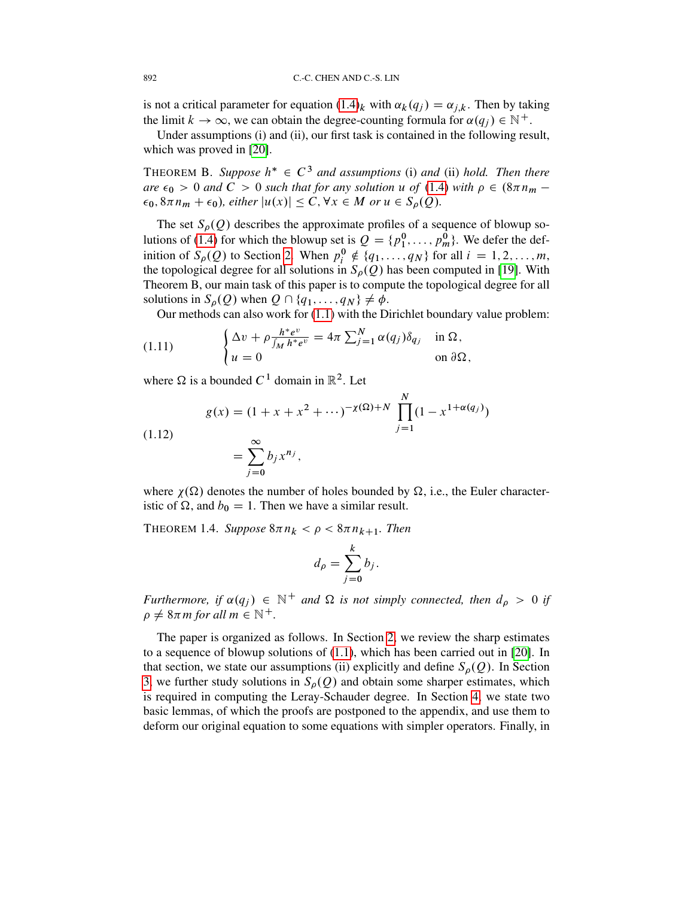is not a critical parameter for equation  $(1.4)_k$  $(1.4)_k$  with  $\alpha_k(q_i) = \alpha_{i,k}$ . Then by taking the limit  $k \to \infty$ , we can obtain the degree-counting formula for  $\alpha(q_i) \in \mathbb{N}^+$ .

Under assumptions (i) and (ii), our first task is contained in the following result, which was proved in [\[20\]](#page-58-15).

<span id="page-5-0"></span>THEOREM B. Suppose  $h^* \in C^3$  and assumptions (i) and (ii) hold. Then there  $are \epsilon_0 > 0$  *and*  $C > 0$  *such that for any solution* u *of* [\(1.4\)](#page-1-0) *with*  $\rho \in (8\pi n_m - 1)$  $\epsilon_0$ ,  $8\pi n_m + \epsilon_0$ , either  $|u(x)| \leq C$ ,  $\forall x \in M$  *or*  $u \in S_\rho(Q)$ .

The set  $S_\rho(Q)$  describes the approximate profiles of a sequence of blowup so-lutions of [\(1.4\)](#page-1-0) for which the blowup set is  $Q = \{p_1^0, \ldots, p_m^0\}$ . We defer the definition of  $S_{\rho}(Q)$  to Section [2.](#page-6-0) When  $p_i^0 \notin \{q_1, \ldots, q_N\}$  for all  $i = 1, 2, \ldots, m$ , the topological degree for all solutions in  $S_{\rho}(Q)$  has been computed in [\[19\]](#page-58-8). With Theorem B, our main task of this paper is to compute the topological degree for all solutions in  $S_{\rho}(Q)$  when  $Q \cap \{q_1, \ldots, q_N\} \neq \phi$ .

Our methods can also work for [\(1.1\)](#page-0-0) with the Dirichlet boundary value problem:

(1.11) 
$$
\begin{cases} \Delta v + \rho \frac{h^* e^v}{\int_M h^* e^v} = 4\pi \sum_{j=1}^N \alpha(q_j) \delta_{q_j} & \text{in } \Omega, \\ u = 0 & \text{on } \partial \Omega, \end{cases}
$$

where  $\Omega$  is a bounded  $C^1$  domain in  $\mathbb{R}^2$ . Let

(1.12)  

$$
g(x) = (1 + x + x^{2} + \cdots)^{-\chi(\Omega) + N} \prod_{j=1}^{N} (1 - x^{1 + \alpha(q_{j})})
$$

$$
= \sum_{j=0}^{\infty} b_{j} x^{n_{j}},
$$

where  $\chi(\Omega)$  denotes the number of holes bounded by  $\Omega$ , i.e., the Euler characteristic of  $\Omega$ , and  $b_0 = 1$ . Then we have a similar result.

THEOREM 1.4. Suppose  $8\pi n_k < \rho < 8\pi n_{k+1}$ . Then

$$
d_{\rho} = \sum_{j=0}^{k} b_j.
$$

*Furthermore, if*  $\alpha(q_i) \in \mathbb{N}^+$  and  $\Omega$  *is not simply connected, then*  $d_\rho > 0$  *if*  $\rho \neq 8\pi m$  for all  $m \in \mathbb{N}^+$ .

The paper is organized as follows. In Section [2,](#page-6-0) we review the sharp estimates to a sequence of blowup solutions of [\(1.1\)](#page-0-0), which has been carried out in [\[20\]](#page-58-15). In that section, we state our assumptions (ii) explicitly and define  $S_{\rho}(Q)$ . In Section [3,](#page-12-0) we further study solutions in  $S_{\rho}(Q)$  and obtain some sharper estimates, which is required in computing the Leray-Schauder degree. In Section [4,](#page-22-0) we state two basic lemmas, of which the proofs are postponed to the appendix, and use them to deform our original equation to some equations with simpler operators. Finally, in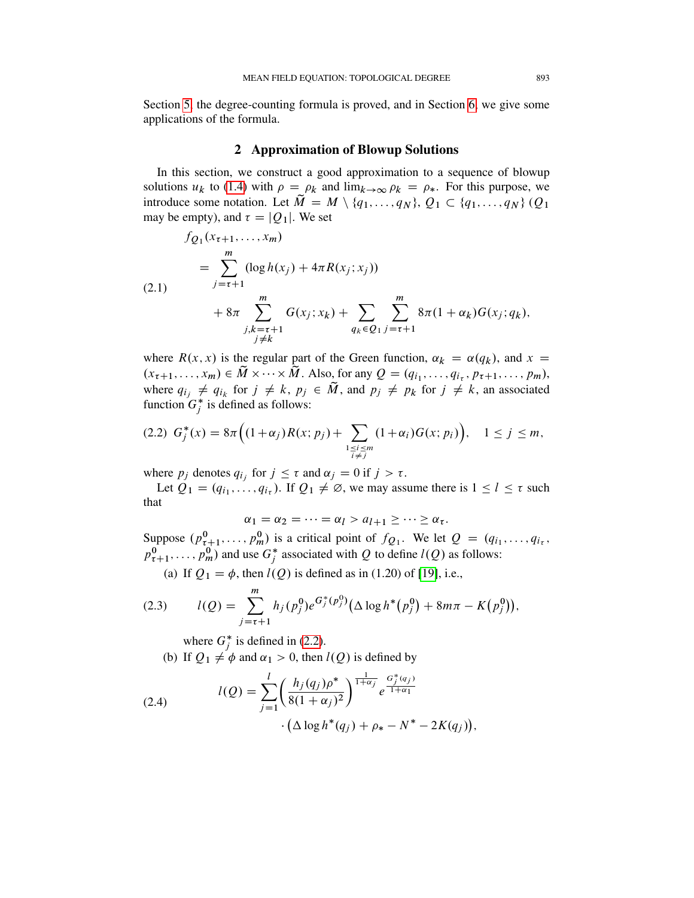Section [5,](#page-25-0) the degree-counting formula is proved, and in Section [6,](#page-31-0) we give some applications of the formula.

### 2 Approximation of Blowup Solutions

<span id="page-6-0"></span>In this section, we construct a good approximation to a sequence of blowup solutions  $u_k$  to [\(1.4\)](#page-1-0) with  $\rho = \rho_k$  and  $\lim_{k \to \infty} \rho_k = \rho_*$ . For this purpose, we introduce some notation. Let  $\tilde{M} = M \setminus \{q_1, \ldots, q_N\}, Q_1 \subset \{q_1, \ldots, q_N\}$  (Q<sub>1</sub>) may be empty), and  $\tau = |Q_1|$ . We set

<span id="page-6-4"></span>(2.1)  
\n
$$
f_{Q_1}(x_{\tau+1},...,x_m)
$$
\n
$$
= \sum_{j=\tau+1}^m (\log h(x_j) + 4\pi R(x_j; x_j))
$$
\n
$$
+ 8\pi \sum_{\substack{j,k=\tau+1 \ j\neq k}}^m G(x_j; x_k) + \sum_{q_k \in Q_1} \sum_{j=\tau+1}^m 8\pi (1 + \alpha_k) G(x_j; q_k),
$$

where  $R(x, x)$  is the regular part of the Green function,  $\alpha_k = \alpha(q_k)$ , and  $x =$  $(x_{\tau+1},...,x_m) \in \tilde{M} \times \cdots \times \tilde{M}$ . Also, for any  $Q = (q_{i_1},...,q_{i_{\tau}}, p_{\tau+1},...,p_m)$ , where  $q_{i_j} \neq q_{i_k}$  for  $j \neq k$ ,  $p_j \in \tilde{M}$ , and  $p_j \neq p_k$  for  $j \neq k$ , an associated function  $G_j^*$  is defined as follows:

<span id="page-6-1"></span>
$$
(2.2) \ \ G_j^*(x) = 8\pi \Big( (1+\alpha_j) R(x; p_j) + \sum_{\substack{1 \le i \le m \\ i \ne j}} (1+\alpha_i) G(x; p_i) \Big), \quad 1 \le j \le m,
$$

where  $p_j$  denotes  $q_{i_j}$  for  $j \leq \tau$  and  $\alpha_j = 0$  if  $j > \tau$ .

Let  $Q_1 = (q_{i_1}, \ldots, q_{i_{\tau}})$ . If  $Q_1 \neq \emptyset$ , we may assume there is  $1 \leq l \leq \tau$  such that

$$
\alpha_1 = \alpha_2 = \dots = \alpha_l > a_{l+1} \geq \dots \geq \alpha_{\tau}.
$$

Suppose  $(p_{\tau+1}^0, \ldots, p_m^0)$  is a critical point of  $f_{Q_1}$ . We let  $Q = (q_{i_1}, \ldots, q_{i_{\tau}},$  $p_{\tau+1}^0, \ldots, p_m^0$  and use  $G_j^*$  associated with Q to define  $l(Q)$  as follows:

(a) If  $Q_1 = \phi$ , then  $l(Q)$  is defined as in (1.20) of [\[19\]](#page-58-8), i.e.,

<span id="page-6-2"></span>(2.3) 
$$
l(Q) = \sum_{j=\tau+1}^{m} h_j(p_j^0) e^{G_j^*(p_j^0)} (\Delta \log h^*(p_j^0) + 8m\pi - K(p_j^0)),
$$

<span id="page-6-3"></span>where  $G_j^*$  is defined in [\(2.2\)](#page-6-1).

(b) If  $Q_1 \neq \phi$  and  $\alpha_1 > 0$ , then  $l(Q)$  is defined by

(2.4) 
$$
l(Q) = \sum_{j=1}^{l} \left( \frac{h_j(q_j)\rho^*}{8(1+\alpha_j)^2} \right)^{\frac{1}{1+\alpha_j}} e^{\frac{G_j^*(q_j)}{1+\alpha_1}} \cdot \left( \Delta \log h^*(q_j) + \rho_* - N^* - 2K(q_j) \right),
$$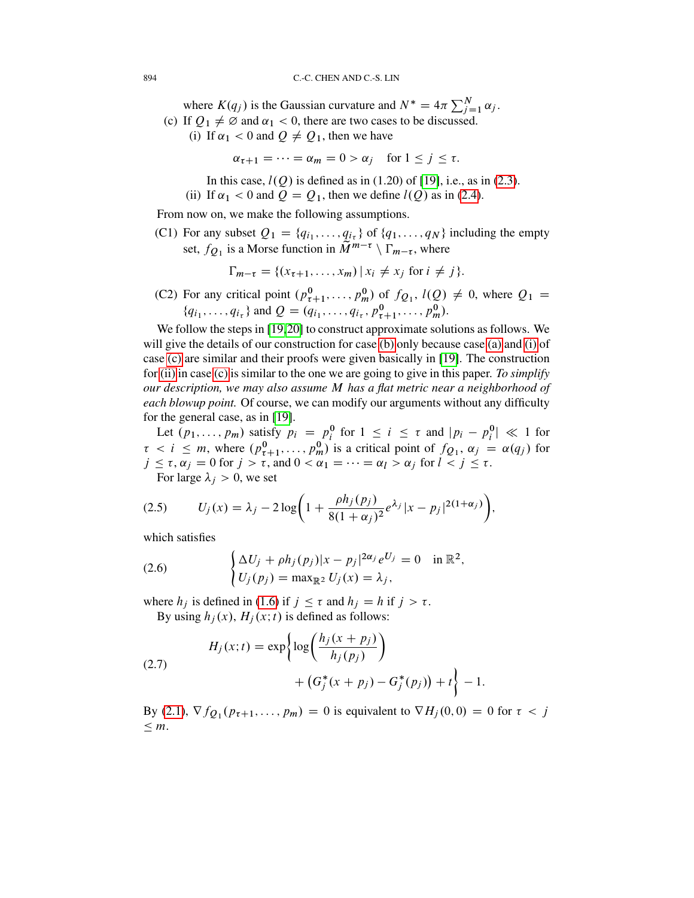<span id="page-7-1"></span>where  $K(q_j)$  is the Gaussian curvature and  $N^* = 4\pi \sum_{j=1}^N \alpha_j$ . (c) If  $Q_1 \neq \emptyset$  and  $\alpha_1 < 0$ , there are two cases to be discussed.

<span id="page-7-0"></span>(i) If  $\alpha_1 < 0$  and  $Q \neq Q_1$ , then we have

$$
\alpha_{\tau+1} = \dots = \alpha_m = 0 > \alpha_j \quad \text{for } 1 \le j \le \tau.
$$

In this case,  $l(Q)$  is defined as in (1.20) of [\[19\]](#page-58-8), i.e., as in [\(2.3\)](#page-6-2).

(ii) If  $\alpha_1 < 0$  and  $Q = Q_1$ , then we define  $l(Q)$  as in [\(2.4\)](#page-6-3).

<span id="page-7-2"></span>From now on, we make the following assumptions.

<span id="page-7-3"></span>(C1) For any subset  $Q_1 = \{q_{i_1}, \ldots, q_{i_{\tau}}\}$  of  $\{q_1, \ldots, q_N\}$  including the empty set,  $f_{Q_1}$  is a Morse function in  $\widetilde{M}^{m-\tau} \setminus \Gamma_{m-\tau}$ , where

$$
\Gamma_{m-\tau} = \{ (x_{\tau+1}, \dots, x_m) \mid x_i \neq x_j \text{ for } i \neq j \}.
$$

<span id="page-7-4"></span>(C2) For any critical point  $(p_{\tau+1}^0, \ldots, p_m^0)$  of  $f_{Q_1}$ ,  $l(Q) \neq 0$ , where  $Q_1$  =  ${q_{i_1}, \ldots, q_{i_{\tau}}}$  and  $Q = (q_{i_1}, \ldots, q_{i_{\tau}}, p^0_{\tau+1}, \ldots, p^0_m)$ .

We follow the steps in [\[19,](#page-58-8)[20\]](#page-58-15) to construct approximate solutions as follows. We will give the details of our construction for case [\(b\)](#page-6-3) only because case [\(a\)](#page-6-2) and [\(i\)](#page-7-0) of case [\(c\)](#page-7-1) are similar and their proofs were given basically in [\[19\]](#page-58-8). The construction for [\(ii\)](#page-7-2) in case [\(c\)](#page-7-1) is similar to the one we are going to give in this paper. *To simplify our description, we may also assume* M *has a flat metric near a neighborhood of each blowup point.* Of course, we can modify our arguments without any difficulty for the general case, as in [\[19\]](#page-58-8).

Let  $(p_1, \ldots, p_m)$  satisfy  $p_i = p_i^0$  for  $1 \le i \le \tau$  and  $|p_i - p_i^0| \ll 1$  for  $\tau < i \leq m$ , where  $(p_{\tau+1}^0, \ldots, p_m^0)$  is a critical point of  $f_{Q_1}, \alpha_j = \alpha(q_j)$  for  $j \leq \tau, \alpha_j = 0$  for  $j > \tau$ , and  $0 < \alpha_1 = \cdots = \alpha_l > \alpha_j$  for  $l < j \leq \tau$ . For large  $\lambda_i > 0$ , we set

> $\setminus$ ;

<span id="page-7-5"></span>(2.5) 
$$
U_j(x) = \lambda_j - 2\log\left(1 + \frac{\rho h_j(p_j)}{8(1 + \alpha_j)^2}e^{\lambda_j}|x - p_j|^{2(1 + \alpha_j)}\right)
$$

which satisfies

(2.6) 
$$
\begin{cases} \Delta U_j + \rho h_j(p_j) |x - p_j|^{2\alpha_j} e^{U_j} = 0 & \text{in } \mathbb{R}^2, \\ U_j(p_j) = \max_{\mathbb{R}^2} U_j(x) = \lambda_j, \end{cases}
$$

where  $h_j$  is defined in [\(1.6\)](#page-1-1) if  $j \leq \tau$  and  $h_j = h$  if  $j > \tau$ . By using  $h_j(x)$ ,  $H_j(x;t)$  is defined as follows:

(2.7) 
$$
H_j(x;t) = \exp\left\{\log\left(\frac{h_j(x+p_j)}{h_j(p_j)}\right) + (G_j^*(x+p_j) - G_j^*(p_j)) + t\right\} - 1.
$$

By [\(2.1\)](#page-6-4),  $\nabla f_{Q_1}(p_{\tau+1},..., p_m) = 0$  is equivalent to  $\nabla H_j(0,0) = 0$  for  $\tau < j$  $\leq m$ .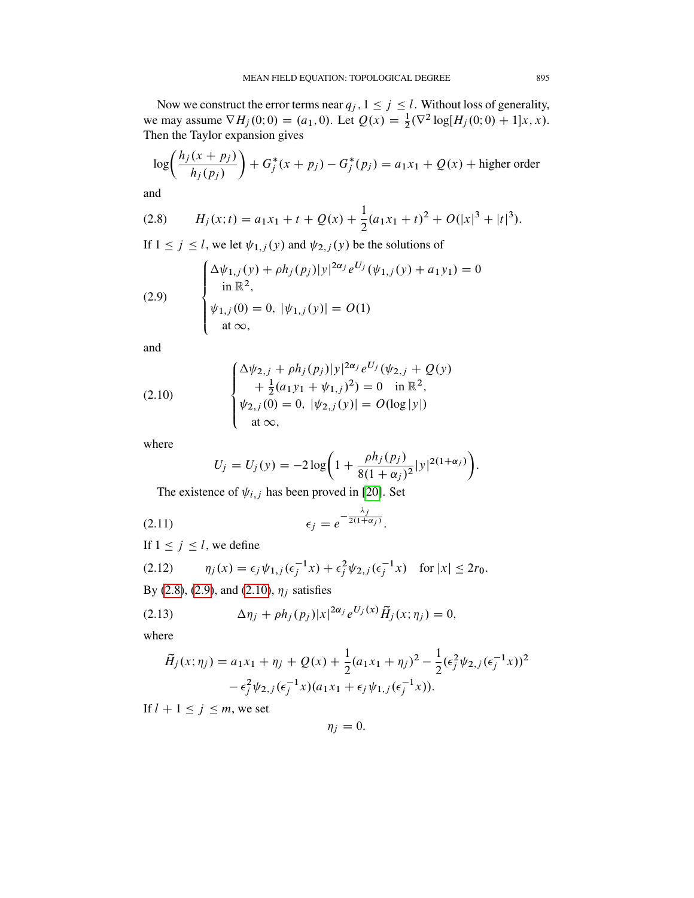Now we construct the error terms near  $q_j$ ,  $1 \le j \le l$ . Without loss of generality, we may assume  $\nabla H_j(0; 0) = (a_1, 0)$ . Let  $Q(x) = \frac{1}{2} (\nabla^2 \log[H_j(0; 0) + 1]x, x)$ . Then the Taylor expansion gives

$$
\log\left(\frac{h_j(x + p_j)}{h_j(p_j)}\right) + G_j^*(x + p_j) - G_j^*(p_j) = a_1x_1 + Q(x) + \text{higher order}
$$

and

<span id="page-8-0"></span>(2.8) 
$$
H_j(x;t) = a_1x_1 + t + Q(x) + \frac{1}{2}(a_1x_1 + t)^2 + O(|x|^3 + |t|^3).
$$

If  $1 \le j \le l$ , we let  $\psi_{1,j}(y)$  and  $\psi_{2,j}(y)$  be the solutions of

<span id="page-8-1"></span>(2.9) 
$$
\begin{cases} \Delta \psi_{1,j}(y) + \rho h_j(p_j)|y|^{2\alpha_j} e^{U_j}(\psi_{1,j}(y) + a_1 y_1) = 0 \\ \text{in } \mathbb{R}^2, \\ \psi_{1,j}(0) = 0, |\psi_{1,j}(y)| = O(1) \\ \text{at } \infty, \end{cases}
$$

and

(2.10) 
$$
\begin{cases} \Delta \psi_{2,j} + \rho h_j(p_j) |y|^{2\alpha_j} e^{U_j} (\psi_{2,j} + Q(y)) \\ + \frac{1}{2} (a_1 y_1 + \psi_{1,j})^2) = 0 \quad \text{in } \mathbb{R}^2, \\ \psi_{2,j}(0) = 0, |\psi_{2,j}(y)| = O(\log |y|) \\ \text{at } \infty, \end{cases}
$$

where

<span id="page-8-2"></span>
$$
U_j = U_j(y) = -2\log\bigg(1 + \frac{\rho h_j(p_j)}{8(1+\alpha_j)^2}|y|^{2(1+\alpha_j)}\bigg).
$$

The existence of  $\psi_{i,j}$  has been proved in [\[20\]](#page-58-15). Set

$$
\epsilon_j = e^{-\frac{\lambda_j}{2(1+\alpha_j)}}.
$$

If  $1 \le j \le l$ , we define

$$
(2.12) \qquad \eta_j(x) = \epsilon_j \psi_{1,j}(\epsilon_j^{-1}x) + \epsilon_j^2 \psi_{2,j}(\epsilon_j^{-1}x) \quad \text{for } |x| \le 2r_0.
$$

By [\(2.8\)](#page-8-0), [\(2.9\)](#page-8-1), and [\(2.10\)](#page-8-2),  $\eta_j$  satisfies

(2.13) 
$$
\Delta \eta_j + \rho h_j(p_j) |x|^{2\alpha_j} e^{U_j(x)} \widetilde{H}_j(x; \eta_j) = 0,
$$

where

<span id="page-8-3"></span>
$$
\tilde{H}_j(x; \eta_j) = a_1 x_1 + \eta_j + Q(x) + \frac{1}{2} (a_1 x_1 + \eta_j)^2 - \frac{1}{2} (\epsilon_j^2 \psi_{2,j} (\epsilon_j^{-1} x))^2 - \epsilon_j^2 \psi_{2,j} (\epsilon_j^{-1} x) (a_1 x_1 + \epsilon_j \psi_{1,j} (\epsilon_j^{-1} x)).
$$

If  $l + 1 \le j \le m$ , we set

$$
\eta_j=0.
$$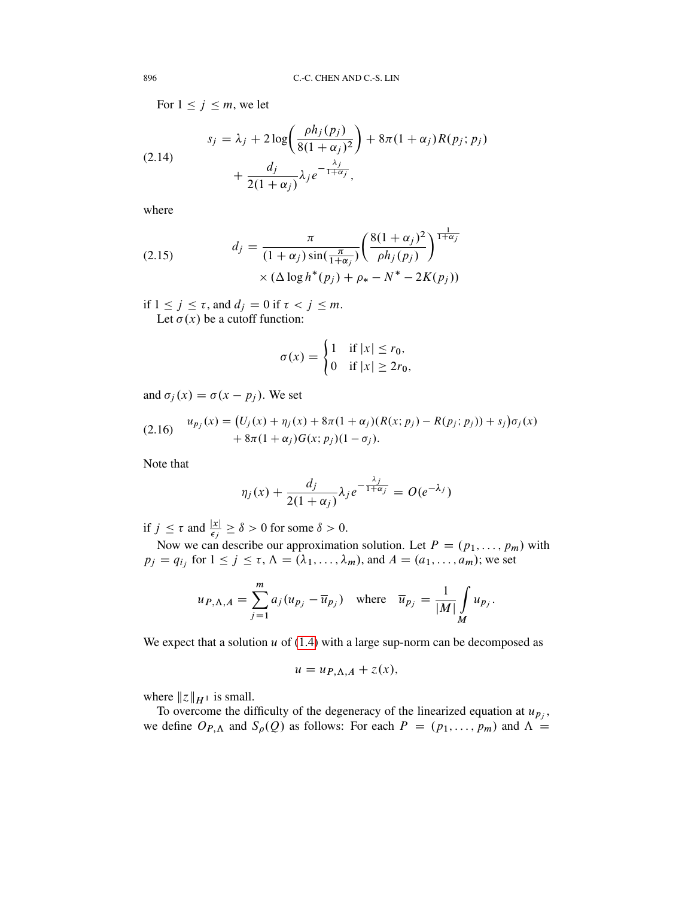For  $1 \le j \le m$ , we let

<span id="page-9-2"></span>(2.14)  

$$
s_j = \lambda_j + 2 \log \left( \frac{\rho h_j(p_j)}{8(1 + \alpha_j)^2} \right) + 8\pi (1 + \alpha_j) R(p_j; p_j)
$$

$$
+ \frac{d_j}{2(1 + \alpha_j)} \lambda_j e^{-\frac{\lambda_j}{1 + \alpha_j}},
$$

where

<span id="page-9-1"></span>(2.15) 
$$
d_j = \frac{\pi}{(1 + \alpha_j) \sin(\frac{\pi}{1 + \alpha_j})} \left( \frac{8(1 + \alpha_j)^2}{\rho h_j(p_j)} \right)^{\frac{1}{1 + \alpha_j}} \times (\Delta \log h^*(p_j) + \rho_* - N^* - 2K(p_j))
$$

if  $1 \le j \le \tau$ , and  $d_j = 0$  if  $\tau < j \le m$ . Let  $\sigma(x)$  be a cutoff function:

$$
\sigma(x) = \begin{cases} 1 & \text{if } |x| \le r_0, \\ 0 & \text{if } |x| \ge 2r_0, \end{cases}
$$

and  $\sigma_i(x) = \sigma(x - p_i)$ . We set

<span id="page-9-0"></span>(2.16) 
$$
u_{p_j}(x) = (U_j(x) + \eta_j(x) + 8\pi(1 + \alpha_j)(R(x; p_j) - R(p_j; p_j)) + s_j)\sigma_j(x) + 8\pi(1 + \alpha_j)G(x; p_j)(1 - \sigma_j).
$$

Note that

$$
\eta_j(x) + \frac{d_j}{2(1+\alpha_j)} \lambda_j e^{-\frac{\lambda_j}{1+\alpha_j}} = O(e^{-\lambda_j})
$$

if  $j \leq \tau$  and  $\frac{|x|}{\epsilon_j} \geq \delta > 0$  for some  $\delta > 0$ .

Now we can describe our approximation solution. Let  $P = (p_1, \ldots, p_m)$  with  $p_j = q_{i_j}$  for  $1 \le j \le \tau$ ,  $\Lambda = (\lambda_1, \ldots, \lambda_m)$ , and  $A = (a_1, \ldots, a_m)$ ; we set

$$
u_{P,\Lambda,A} = \sum_{j=1}^{m} a_j (u_{p_j} - \overline{u}_{p_j}) \quad \text{where} \quad \overline{u}_{p_j} = \frac{1}{|M|} \int_{M} u_{p_j}.
$$

We expect that a solution  $u$  of [\(1.4\)](#page-1-0) with a large sup-norm can be decomposed as

$$
u = u_{P,\Lambda,A} + z(x),
$$

where  $||z||_{H^1}$  is small.

To overcome the difficulty of the degeneracy of the linearized equation at  $u_{p_j}$ , we define  $O_{P,\Lambda}$  and  $S_{\rho}(Q)$  as follows: For each  $P = (p_1, \ldots, p_m)$  and  $\Lambda =$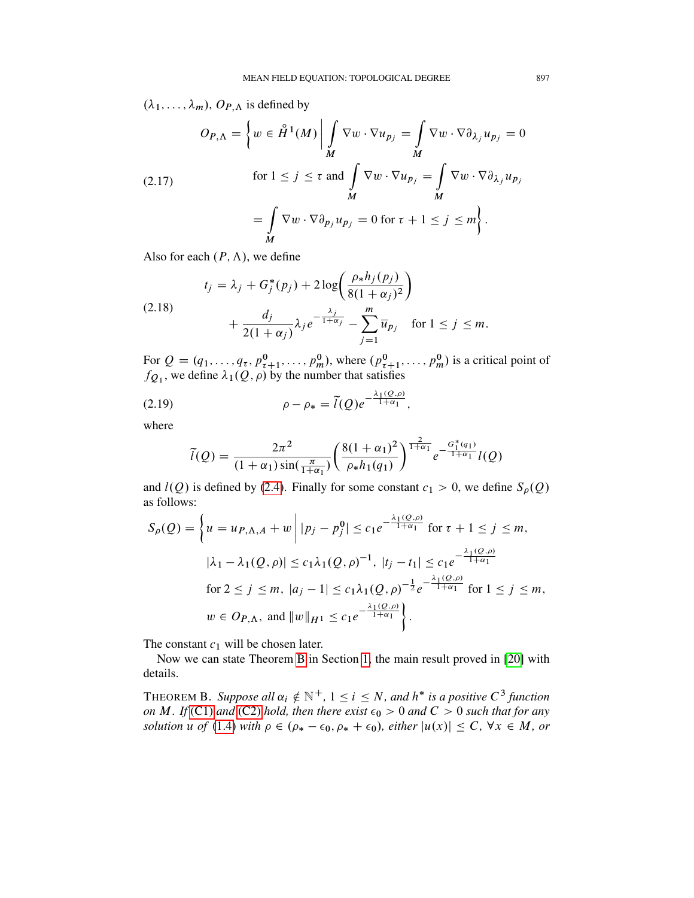$(\lambda_1, \ldots, \lambda_m)$ ,  $O_{P,\Lambda}$  is defined by

$$
O_{P,\Lambda} = \left\{ w \in \mathring{H}^1(M) \middle| \int_M \nabla w \cdot \nabla u_{p_j} = \int_M \nabla w \cdot \nabla \partial_{\lambda_j} u_{p_j} = 0 \right\}
$$
  
(2.17)  
for  $1 \le j \le \tau$  and  $\int_M \nabla w \cdot \nabla u_{p_j} = \int_M \nabla w \cdot \nabla \partial_{\lambda_j} u_{p_j} = \int_M \nabla w \cdot \nabla \partial_{\lambda_j} u_{p_j} = 0 \text{ for } \tau + 1 \le j \le m \right\}.$ 

Also for each  $(P, \Lambda)$ , we define

<span id="page-10-0"></span>
$$
t_j = \lambda_j + G_j^*(p_j) + 2\log\left(\frac{\rho_* h_j(p_j)}{8(1 + \alpha_j)^2}\right) + \frac{d_j}{2(1 + \alpha_j)}\lambda_j e^{-\frac{\lambda_j}{1 + \alpha_j}} - \sum_{j=1}^m \overline{u}_{p_j} \quad \text{for } 1 \le j \le m.
$$

For  $Q = (q_1, \ldots, q_\tau, p_{\tau+1}^0, \ldots, p_m^0)$ , where  $(p_{\tau+1}^0, \ldots, p_m^0)$  is a critical point of  $f_{Q_1}$ , we define  $\lambda_1(Q,\rho)$  by the number that satisfies

(2.19) 
$$
\rho - \rho_* = \tilde{l}(Q)e^{-\frac{\lambda_1(Q,\rho)}{1+\alpha_1}},
$$

where

$$
\tilde{l}(Q) = \frac{2\pi^2}{(1+\alpha_1)\sin(\frac{\pi}{1+\alpha_1})} \left(\frac{8(1+\alpha_1)^2}{\rho_*h_1(q_1)}\right)^{\frac{2}{1+\alpha_1}} e^{-\frac{G_1^*(q_1)}{1+\alpha_1}} l(Q)
$$

and  $l(Q)$  is defined by [\(2.4\)](#page-6-3). Finally for some constant  $c_1 > 0$ , we define  $S_{\rho}(Q)$ as follows:

$$
S_{\rho}(Q) = \left\{ u = u_{P,\Lambda,A} + w \middle| |p_j - p_j^0| \le c_1 e^{-\frac{\lambda_1(Q,\rho)}{1+\alpha_1}} \text{ for } \tau + 1 \le j \le m, \right\}
$$
  

$$
|\lambda_1 - \lambda_1(Q,\rho)| \le c_1 \lambda_1(Q,\rho)^{-1}, |t_j - t_1| \le c_1 e^{-\frac{\lambda_1(Q,\rho)}{1+\alpha_1}}
$$
  
for  $2 \le j \le m$ ,  $|a_j - 1| \le c_1 \lambda_1(Q,\rho)^{-\frac{1}{2}} e^{-\frac{\lambda_1(Q,\rho)}{1+\alpha_1}}$  for  $1 \le j \le m$ ,  
 $w \in O_{P,\Lambda}$ , and  $||w||_{H^1} \le c_1 e^{-\frac{\lambda_1(Q,\rho)}{1+\alpha_1}} \right\}.$ 

The constant  $c_1$  will be chosen later.

Now we can state Theorem [B](#page-5-0) in Section [1,](#page-0-1) the main result proved in [\[20\]](#page-58-15) with details.

THEOREM B. Suppose all  $\alpha_i \notin \mathbb{N}^+$ ,  $1 \leq i \leq N$ , and  $h^*$  is a positive  $C^3$  function *on* M. If [\(C1\)](#page-7-3) and [\(C2\)](#page-7-4) hold, then there exist  $\epsilon_0 > 0$  and  $C > 0$  such that for any *solution* u *of* [\(1.4\)](#page-1-0) *with*  $\rho \in (\rho_* - \epsilon_0, \rho_* + \epsilon_0)$ *, either*  $|u(x)| \leq C$ *,*  $\forall x \in M$ *, or*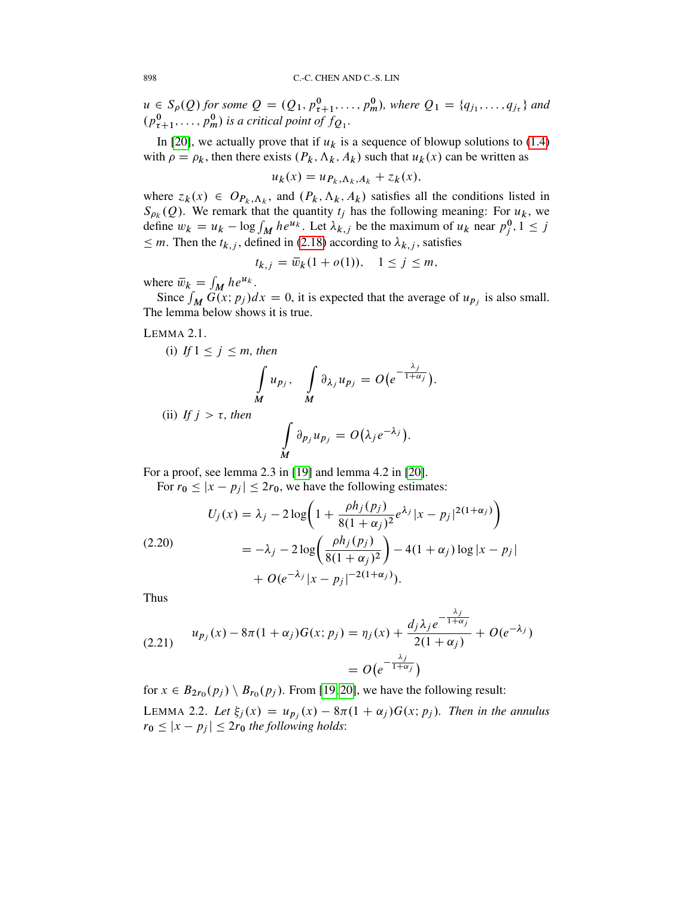$u \in S_{\rho}(Q)$  for some  $Q = (Q_1, p_{\tau+1}^0, \ldots, p_m^0)$ , where  $Q_1 = \{q_{j_1}, \ldots, q_{j_{\tau}}\}$  and  $(p_{\tau+1}^0, \ldots, p_m^0)$  is a critical point of  $f_{Q_1}$ .

In [\[20\]](#page-58-15), we actually prove that if  $u_k$  is a sequence of blowup solutions to [\(1.4\)](#page-1-0) with  $\rho = \rho_k$ , then there exists  $(P_k, \Lambda_k, A_k)$  such that  $u_k(x)$  can be written as

$$
u_k(x) = u_{P_k, \Lambda_k, A_k} + z_k(x),
$$

where  $z_k(x) \in Op_{k,\Lambda_k}$ , and  $(P_k, \Lambda_k, A_k)$  satisfies all the conditions listed in  $S_{\rho_k}(Q)$ . We remark that the quantity  $t_j$  has the following meaning: For  $u_k$ , we define  $w_k = u_k - \log \int_M h e^{u_k}$ . Let  $\lambda_{k,j}$  be the maximum of  $u_k$  near  $p_j^0, 1 \le j$  $\leq m$ . Then the  $t_{k,j}$ , defined in [\(2.18\)](#page-10-0) according to  $\lambda_{k,j}$ , satisfies

$$
t_{k,j} = \overline{w}_k(1 + o(1)), \quad 1 \le j \le m,
$$

where  $\bar{w}_k = \int_M h e^{u_k}$ .

Since  $\int_M G(x; p_j) dx = 0$ , it is expected that the average of  $u_{p_j}$  is also small. The lemma below shows it is true.

<span id="page-11-1"></span>LEMMA 2.1.

(i) If 
$$
1 \le j \le m
$$
, then  
\n
$$
\int_{M} u_{p_j}, \quad \int_{M} \partial_{\lambda_j} u_{p_j} = O(e^{-\frac{\lambda_j}{1 + \alpha_j}}).
$$

(ii) If  $j > \tau$ , then

$$
\int\limits_{M} \partial_{p_j} u_{p_j} = O(\lambda_j e^{-\lambda_j}).
$$

For a proof, see lemma 2.3 in [\[19\]](#page-58-8) and lemma 4.2 in [\[20\]](#page-58-15).

For  $r_0 \le |x - p_j| \le 2r_0$ , we have the following estimates:

$$
U_j(x) = \lambda_j - 2\log\left(1 + \frac{\rho h_j(p_j)}{8(1 + \alpha_j)^2} e^{\lambda_j} |x - p_j|^{2(1 + \alpha_j)}\right)
$$
  
(2.20)  

$$
= -\lambda_j - 2\log\left(\frac{\rho h_j(p_j)}{8(1 + \alpha_j)^2}\right) - 4(1 + \alpha_j)\log|x - p_j| + O(e^{-\lambda_j}|x - p_j|^{-2(1 + \alpha_j)}).
$$

Thus

(2.21) 
$$
u_{p_j}(x) - 8\pi (1 + \alpha_j)G(x; p_j) = \eta_j(x) + \frac{d_j \lambda_j e^{-\frac{\lambda_j}{1 + \alpha_j}}}{2(1 + \alpha_j)} + O(e^{-\lambda_j})
$$

$$
= O(e^{-\frac{\lambda_j}{1 + \alpha_j}})
$$

<span id="page-11-0"></span>for  $x \in B_{2r_0}(p_j) \setminus B_{r_0}(p_j)$ . From [\[19,](#page-58-8) [20\]](#page-58-15), we have the following result: LEMMA 2.2. Let  $\xi_j(x) = u_{p_j}(x) - 8\pi (1 + \alpha_j) G(x; p_j)$ . Then in the annulus  $r_0 \le |x - p_j| \le 2r_0$  *the following holds*: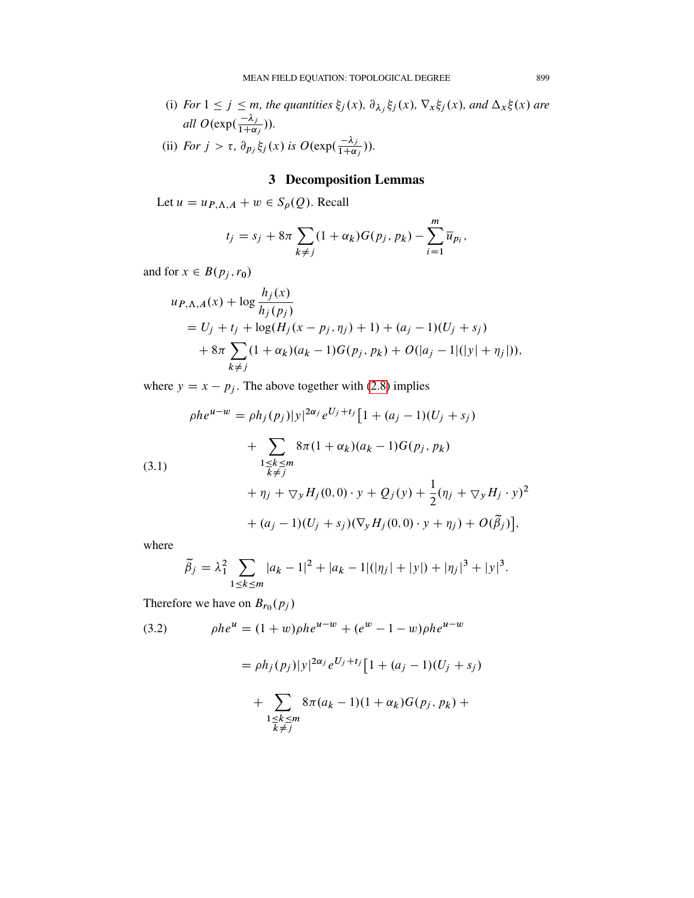- (i) *For*  $1 \le j \le m$ *, the quantities*  $\xi_j(x)$ ,  $\partial_{\lambda_j} \xi_j(x)$ ,  $\nabla_x \xi_j(x)$ *, and*  $\Delta_x \xi(x)$  *are all*  $O(\exp(\frac{-\lambda_j}{1+\alpha}))$  $\frac{-\lambda_j}{1+\alpha_j}$ )).
- (ii) *For*  $j > \tau$ ,  $\partial_{p_j} \xi_j(x)$  is  $O(\exp(\frac{-\lambda_j}{1+\alpha}))$  $\frac{-\lambda_j}{1+\alpha_j})$ ).

# 3 Decomposition Lemmas

<span id="page-12-0"></span>Let  $u = u_{P,\Lambda,A} + w \in S_{\rho}(Q)$ . Recall

$$
t_j = s_j + 8\pi \sum_{k \neq j} (1 + \alpha_k) G(p_j, p_k) - \sum_{i=1}^m \overline{u}_{p_i},
$$

and for  $x \in B(p_j, r_0)$ 

$$
u_{P,\Lambda,A}(x) + \log \frac{h_j(x)}{h_j(p_j)}
$$
  
= U<sub>j</sub> + t<sub>j</sub> + log(H<sub>j</sub>(x - p<sub>j</sub>, \eta<sub>j</sub>) + 1) + (a<sub>j</sub> - 1)(U<sub>j</sub> + s<sub>j</sub>)  
+ 8\pi  $\sum_{k \neq j}$ (1 + \alpha<sub>k</sub>)(a<sub>k</sub> - 1)G(p<sub>j</sub>, p<sub>k</sub>) + O(|a<sub>j</sub> - 1|(|y| + \eta<sub>j</sub>|)),

where  $y = x - p_j$ . The above together with [\(2.8\)](#page-8-0) implies

$$
\rho h e^{u-w} = \rho h_j(p_j) |y|^{2\alpha_j} e^{U_j + t_j} \left[ 1 + (a_j - 1)(U_j + s_j) \right. \\ \left. + \sum_{\substack{1 \le k \le m \\ k \ne j}} 8\pi (1 + \alpha_k)(a_k - 1) G(p_j, p_k) \right. \\ \left. + \eta_j + \nabla_y H_j(0, 0) \cdot y + Q_j(y) + \frac{1}{2} (\eta_j + \nabla_y H_j \cdot y)^2 \right. \\ \left. + (a_j - 1)(U_j + s_j)(\nabla_y H_j(0, 0) \cdot y + \eta_j) + O(\tilde{\beta}_j) \right],
$$

where

$$
\widetilde{\beta}_j = \lambda_1^2 \sum_{1 \le k \le m} |a_k - 1|^2 + |a_k - 1| (|\eta_j| + |y|) + |\eta_j|^3 + |y|^3.
$$

Therefore we have on  $B_{r_0}(p_j)$ 

<span id="page-12-1"></span>(3.2) 
$$
\rho h e^{u} = (1+w)\rho h e^{u-w} + (e^{w} - 1 - w)\rho h e^{u-w}
$$

$$
= \rho h_{j}(p_{j}) |y|^{2\alpha_{j}} e^{U_{j} + t_{j}} [1 + (a_{j} - 1)(U_{j} + s_{j}) + \sum_{\substack{1 \leq k \leq m \\ k \neq j}} 8\pi (a_{k} - 1)(1 + \alpha_{k}) G(p_{j}, p_{k}) +
$$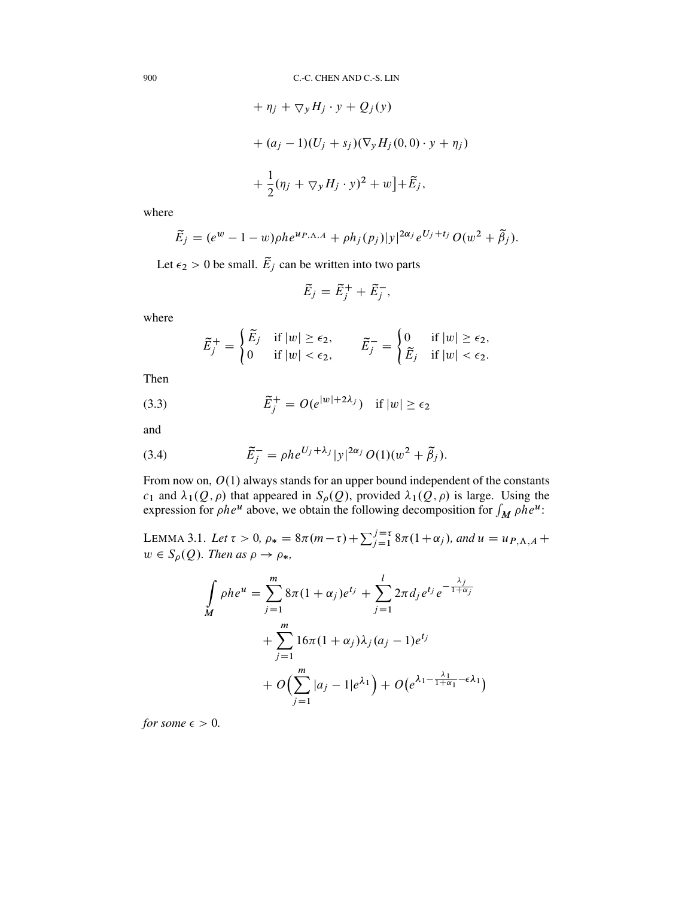+ 
$$
\eta_j
$$
 +  $\nabla_y H_j \cdot y$  +  $Q_j(y)$   
+  $(a_j - 1)(U_j + s_j)(\nabla_y H_j(0, 0) \cdot y + \eta_j)$   
+  $\frac{1}{2}(\eta_j + \nabla_y H_j \cdot y)^2 + w \cdot \tilde{E}_j$ ,

where

$$
\widetilde{E}_j = (e^w - 1 - w)\rho h e^{u_{P,\Lambda,A}} + \rho h_j(p_j)|y|^{2\alpha_j} e^{U_j + t_j} O(w^2 + \widetilde{\beta}_j).
$$

Let  $\epsilon_2 > 0$  be small.  $\tilde{E}_j$  can be written into two parts

$$
\widetilde{E}_j = \widetilde{E}_j^+ + \widetilde{E}_j^-,
$$

where

$$
\widetilde{E}_j^+ = \begin{cases}\n\widetilde{E}_j & \text{if } |w| \ge \epsilon_2, \\
0 & \text{if } |w| < \epsilon_2,\n\end{cases}\n\qquad\n\widetilde{E}_j^- = \begin{cases}\n0 & \text{if } |w| \ge \epsilon_2, \\
\widetilde{E}_j & \text{if } |w| < \epsilon_2.\n\end{cases}
$$

Then

(3.3) 
$$
\widetilde{E}_j^+ = O(e^{|w|+2\lambda_j}) \quad \text{if } |w| \ge \epsilon_2
$$

and

<span id="page-13-0"></span>(3.4) 
$$
\tilde{E}_j^- = \rho h e^{U_j + \lambda_j} |y|^{2\alpha_j} O(1) (w^2 + \tilde{\beta}_j).
$$

From now on,  $O(1)$  always stands for an upper bound independent of the constants  $c_1$  and  $\lambda_1(Q,\rho)$  that appeared in  $S_\rho(Q)$ , provided  $\lambda_1(Q,\rho)$  is large. Using the expression for  $\rho h e^u$  above, we obtain the following decomposition for  $\int_M \rho h e^u$ :

<span id="page-13-1"></span>LEMMA 3.1. Let  $\tau > 0$ ,  $\rho_* = 8\pi(m-\tau) + \sum_{j=1}^{j=\tau} 8\pi(1+\alpha_j)$ , and  $u = u_{P,\Lambda,A} +$  $w \in S_\rho(Q)$ . Then as  $\rho \to \rho_*$ ,

$$
\int_{M} \rho h e^{u} = \sum_{j=1}^{m} 8\pi (1 + \alpha_{j}) e^{t_{j}} + \sum_{j=1}^{l} 2\pi d_{j} e^{t_{j}} e^{-\frac{\lambda_{j}}{1 + \alpha_{j}}}
$$
\n
$$
+ \sum_{j=1}^{m} 16\pi (1 + \alpha_{j}) \lambda_{j} (a_{j} - 1) e^{t_{j}}
$$
\n
$$
+ O\Biggl(\sum_{j=1}^{m} |a_{j} - 1| e^{\lambda_{1}}\Biggr) + O\Bigl(e^{\lambda_{1} - \frac{\lambda_{1}}{1 + \alpha_{1}} - \epsilon \lambda_{1}}\Bigr)
$$

*for some*  $\epsilon > 0$ *.*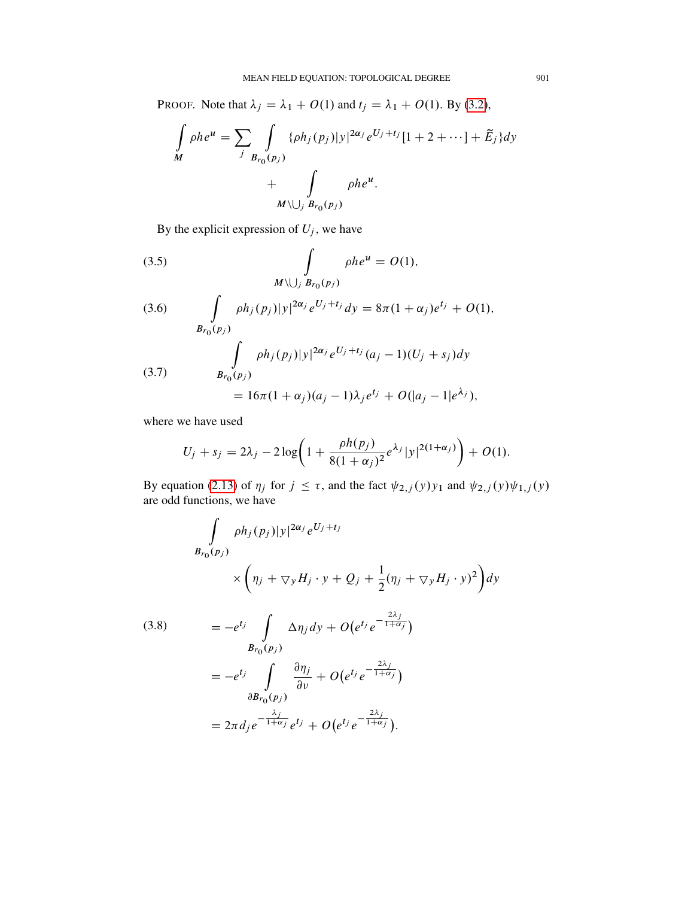PROOF. Note that  $\lambda_j = \lambda_1 + O(1)$  and  $t_j = \lambda_1 + O(1)$ . By [\(3.2\)](#page-12-1),

$$
\int_{M} \rho h e^{u} = \sum_{j} \int_{B_{r_0}(p_j)} {\{\rho h_j(p_j)|y|^{2\alpha_j} e^{U_j + t_j}[1 + 2 + \cdots] + \tilde{E}_j\} dy}
$$

$$
+ \int_{M \setminus \bigcup_j B_{r_0}(p_j)} \rho h e^{u}.
$$

By the explicit expression of  $U_j$ , we have

<span id="page-14-0"></span>(3.5) 
$$
\int_{M\setminus\bigcup_{j}B_{r_0}(p_j)}\rho h e^u = O(1),
$$

(3.6) 
$$
\int_{B_{r_0}(p_j)} \rho h_j(p_j) |y|^{2\alpha_j} e^{U_j + t_j} dy = 8\pi (1 + \alpha_j) e^{t_j} + O(1),
$$

$$
\int_{B_{r_0}(p_j)} \rho h_j(p_j) |y|^{2\alpha_j} e^{U_j + t_j} (a_j - 1) (U_j + s_j) dy
$$

$$
= 16\pi (1 + \alpha_j) (a_j - 1) \lambda_j e^{t_j} + O(|a_j - 1| e^{\lambda_j}),
$$

where we have used

$$
U_j + s_j = 2\lambda_j - 2\log\left(1 + \frac{\rho h(p_j)}{8(1+\alpha_j)^2}e^{\lambda_j}|y|^{2(1+\alpha_j)}\right) + O(1).
$$

By equation [\(2.13\)](#page-8-3) of  $\eta_j$  for  $j \leq \tau$ , and the fact  $\psi_{2,j}(y)y_1$  and  $\psi_{2,j}(y)\psi_{1,j}(y)$ are odd functions, we have

$$
\int_{B_{r_0}(p_j)} \rho h_j(p_j) |y|^{2\alpha_j} e^{U_j + t_j}
$$
\n
$$
\times \left( \eta_j + \nabla_y H_j \cdot y + Q_j + \frac{1}{2} (\eta_j + \nabla_y H_j \cdot y)^2 \right) dy
$$
\n
$$
(3.8) \qquad = -e^{t_j} \int_{B_{r_0}(p_j)} \Delta \eta_j dy + O(e^{t_j} e^{-\frac{2\lambda_j}{1 + \alpha_j}})
$$
\n
$$
= -e^{t_j} \int_{\partial B_{r_0}(p_j)} \frac{\partial \eta_j}{\partial v} + O(e^{t_j} e^{-\frac{2\lambda_j}{1 + \alpha_j}})
$$
\n
$$
= 2\pi d_j e^{-\frac{\lambda_j}{1 + \alpha_j}} e^{t_j} + O(e^{t_j} e^{-\frac{2\lambda_j}{1 + \alpha_j}}).
$$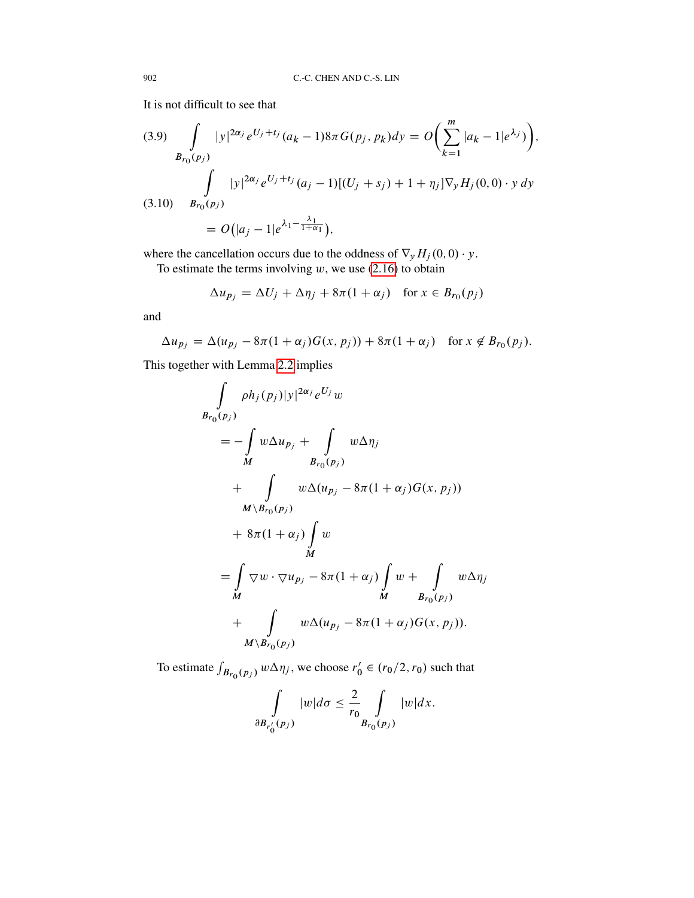It is not difficult to see that

$$
(3.9) \int_{B_{r_0}(p_j)} |y|^{2\alpha_j} e^{U_j + t_j} (a_k - 1) 8\pi G(p_j, p_k) dy = O\left(\sum_{k=1}^m |a_k - 1| e^{\lambda_j}\right),
$$
  

$$
\int_{B_{r_0}(p_j)} |y|^{2\alpha_j} e^{U_j + t_j} (a_j - 1)[(U_j + s_j) + 1 + \eta_j] \nabla_y H_j(0, 0) \cdot y dy
$$
  

$$
(3.10) \quad B_{r_0}(p_j)
$$
  

$$
= O\left(|a_j - 1| e^{\lambda_1 - \frac{\lambda_1}{1 + \alpha_1}}\right),
$$

where the cancellation occurs due to the oddness of  $\nabla_y H_j(0,0) \cdot y$ .

To estimate the terms involving  $w$ , we use [\(2.16\)](#page-9-0) to obtain

$$
\Delta u_{p_j} = \Delta U_j + \Delta \eta_j + 8\pi (1 + \alpha_j) \quad \text{for } x \in B_{r_0}(p_j)
$$

and

$$
\Delta u_{p_j} = \Delta (u_{p_j} - 8\pi (1 + \alpha_j)G(x, p_j)) + 8\pi (1 + \alpha_j) \quad \text{for } x \notin B_{r_0}(p_j).
$$

This together with Lemma [2.2](#page-11-0) implies

$$
\int_{B_{r_0}(p_j)} \rho h_j(p_j) |y|^{2\alpha_j} e^{U_j} w
$$
\n
$$
= -\int_{M} w \Delta u_{p_j} + \int_{B_{r_0}(p_j)} w \Delta \eta_j
$$
\n
$$
+ \int_{M \setminus B_{r_0}(p_j)} w \Delta (u_{p_j} - 8\pi (1 + \alpha_j) G(x, p_j))
$$
\n
$$
+ 8\pi (1 + \alpha_j) \int_{M} w
$$
\n
$$
= \int_{M} \nabla w \cdot \nabla u_{p_j} - 8\pi (1 + \alpha_j) \int_{M} w + \int_{B_{r_0}(p_j)} w \Delta \eta_j
$$
\n
$$
+ \int_{M \setminus B_{r_0}(p_j)} w \Delta (u_{p_j} - 8\pi (1 + \alpha_j) G(x, p_j)).
$$

To estimate  $\int_{B_{r_0}(p_j)} w \Delta \eta_j$ , we choose  $r'_0 \in (r_0/2, r_0)$  such that

$$
\int\limits_{\partial B_{r'_0}(p_j)}|w|d\sigma\leq \frac{2}{r_0}\int\limits_{B_{r_0}(p_j)}|w|dx.
$$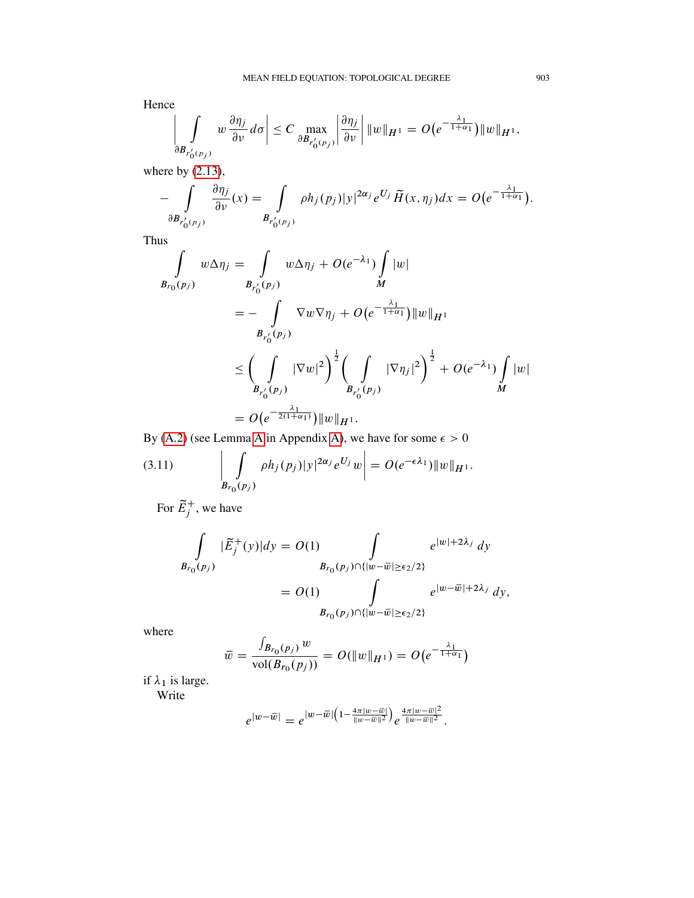Hence

$$
\left|\int\limits_{\partial B_{r'_0(p_j)}} w\,\frac{\partial \eta_j}{\partial v}\,d\sigma\right| \leq C \max\limits_{\partial B_{r'_0(p_j)}} \left|\frac{\partial \eta_j}{\partial v}\right| \|w\|_{H^1} = O\big(e^{-\frac{\lambda_1}{1+\alpha_1}}\big)\|w\|_{H^1},
$$

where by  $(2.13)$ ,

$$
-\int\limits_{\partial B_{r'_0(p_j)}}\frac{\partial \eta_j}{\partial \nu}(x)=\int\limits_{B_{r'_0(p_j)}}\rho h_j(p_j)|y|^{2\alpha_j}e^{U_j}\widetilde{H}(x,\eta_j)dx=O\big(e^{-\frac{\lambda_1}{1+\alpha_1}}\big).
$$

Thus

$$
\int_{B_{r_0}(p_j)} w \Delta \eta_j = \int_{B_{r'_0}(p_j)} w \Delta \eta_j + O(e^{-\lambda_1}) \int_M |w|
$$
  
\n
$$
= - \int_{B_{r'_0}(p_j)} \nabla w \nabla \eta_j + O(e^{-\frac{\lambda_1}{1 + \alpha_1}}) \|w\|_{H^1}
$$
  
\n
$$
\leq \left(\int_{B_{r'_0}(p_j)} |\nabla w|^2\right)^{\frac{1}{2}} \left(\int_{B_{r'_0}(p_j)} |\nabla \eta_j|^2\right)^{\frac{1}{2}} + O(e^{-\lambda_1}) \int_M |w|
$$
  
\n
$$
= O(e^{-\frac{\lambda_1}{2(1 + \alpha_1)}}) \|w\|_{H^1}.
$$

By [\(A.2\)](#page-37-0) (see Lemma [A](#page-37-1) in Appendix [A\)](#page-37-2), we have for some  $\epsilon > 0$ 

(3.11) 
$$
\left| \int_{B_{r_0}(p_j)} \rho h_j(p_j) |y|^{2\alpha_j} e^{U_j} w \right| = O(e^{-\epsilon \lambda_1}) ||w||_{H^1}.
$$

For  $\tilde{E}_j^+$ , we have

$$
\int_{B_{r_0}(p_j)} |\tilde{E}_j^+(y)| dy = O(1) \int_{B_{r_0}(p_j) \cap \{|w - \overline{w}| \ge \epsilon_2/2\}} e^{|w| + 2\lambda_j} dy
$$

$$
= O(1) \int_{B_{r_0}(p_j) \cap \{|w - \overline{w}| \ge \epsilon_2/2\}} e^{|w - \overline{w}| + 2\lambda_j} dy,
$$

where

$$
\bar{w} = \frac{\int_{B_{r_0}(p_j)} w}{\text{vol}(B_{r_0}(p_j))} = O(||w||_{H^1}) = O(e^{-\frac{\lambda_1}{1 + \alpha_1}})
$$

if  $\lambda_1$  is large. Write

$$
e^{|w-\overline{w}|}=e^{|w-\overline{w}|(1-\frac{4\pi|w-\overline{w}|}{\|w-\overline{w}\|^2})}e^{\frac{4\pi|w-\overline{w}|^2}{\|w-\overline{w}\|^2}}.
$$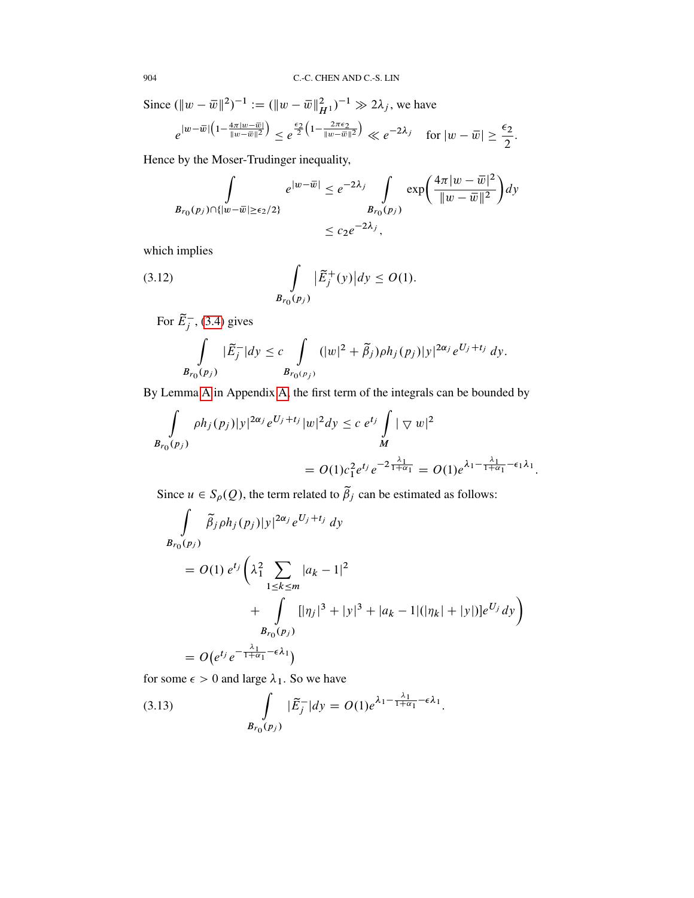Since  $(\|w - \overline{w}\|^2)^{-1} := (\|w - \overline{w}\|^2_{H^1})^{-1} \gg 2\lambda_j$ , we have

$$
e^{|w-\overline{w}| \left(1 - \frac{4\pi |w-\overline{w}|}{\|w-\overline{w}\|^2} \right)} \leq e^{\frac{\epsilon_2}{2} \left(1 - \frac{2\pi \epsilon_2}{\|w-\overline{w}\|^2} \right)} \ll e^{-2\lambda_j} \quad \text{for } |w-\overline{w}| \geq \frac{\epsilon_2}{2}.
$$

Hence by the Moser-Trudinger inequality,

<span id="page-17-1"></span>
$$
\int_{B_{r_0}(p_j)\cap\{|w-\overline{w}|\geq\epsilon_2/2\}} e^{|w-\overline{w}|} \leq e^{-2\lambda_j} \int_{B_{r_0}(p_j)} \exp\left(\frac{4\pi|w-\overline{w}|^2}{\|w-\overline{w}\|^2}\right) dy
$$
  

$$
\leq c_2 e^{-2\lambda_j},
$$

which implies

(3.12) 
$$
\int_{B_{r_0}(p_j)} |\tilde{E}_j^+(y)| dy \le O(1).
$$

For  $\tilde{E}_j^-(3.4)$  $\tilde{E}_j^-(3.4)$  gives

$$
\int\limits_{B_{r_0}(p_j)}|\widetilde{E}_j^{-}|dy \leq c \int\limits_{B_{r_0(p_j)}}(|w|^2+\widetilde{\beta}_j)\rho h_j(p_j)|y|^{2\alpha_j}e^{U_j+t_j} dy.
$$

By Lemma [A](#page-37-1) in Appendix [A,](#page-37-2) the first term of the integrals can be bounded by

$$
\int_{B_{r_0}(p_j)} \rho h_j(p_j) |y|^{2\alpha_j} e^{U_j + t_j} |w|^2 dy \leq c e^{t_j} \int_M |\nabla w|^2
$$
  
=  $O(1) c_1^2 e^{t_j} e^{-2 \frac{\lambda_1}{1 + \alpha_1}} = O(1) e^{\lambda_1 - \frac{\lambda_1}{1 + \alpha_1} - \epsilon_1 \lambda_1}.$ 

Since  $u \in S_\rho(Q)$ , the term related to  $\tilde{\beta}_j$  can be estimated as follows:

$$
\int_{B_{r_0}(p_j)} \tilde{\beta}_j \rho h_j(p_j) |y|^{2\alpha_j} e^{U_j + t_j} dy
$$
\n
$$
= O(1) e^{t_j} \left( \lambda_1^2 \sum_{1 \le k \le m} |a_k - 1|^2 + \int_{B_{r_0}(p_j)} [|\eta_j|^3 + |y|^3 + |a_k - 1| (|\eta_k| + |y|)] e^{U_j} dy \right)
$$
\n
$$
= O(e^{t_j} e^{-\frac{\lambda_1}{1 + \alpha_1} - \epsilon \lambda_1})
$$

for some  $\epsilon > 0$  and large  $\lambda_1$ . So we have

<span id="page-17-0"></span>(3.13) 
$$
\int_{B_{r_0}(p_j)} |\tilde{E}_j^-| dy = O(1) e^{\lambda_1 - \frac{\lambda_1}{1 + \alpha_1} - \epsilon \lambda_1}.
$$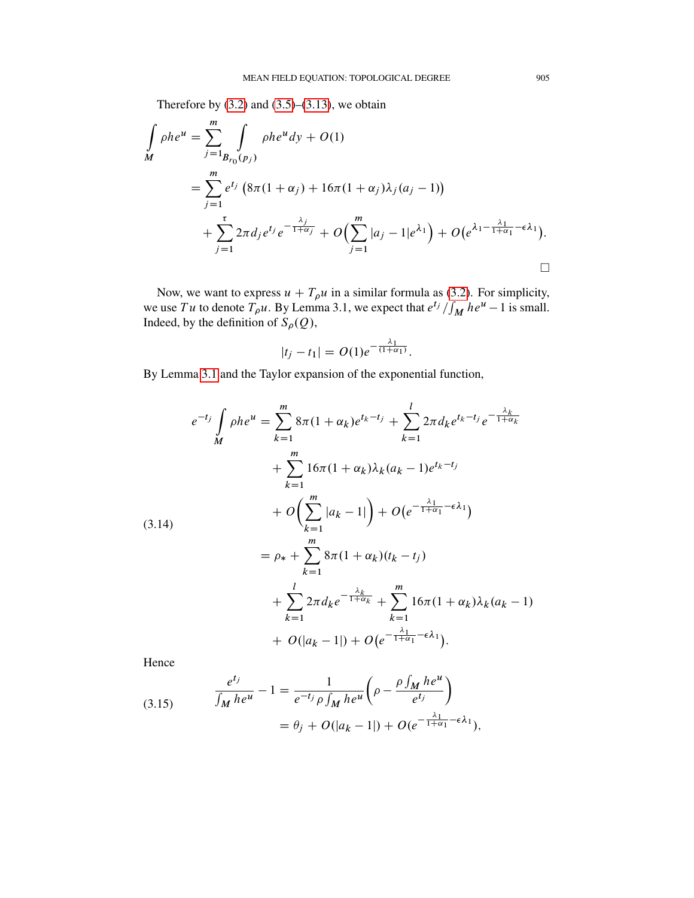Therefore by  $(3.2)$  and  $(3.5)$ – $(3.13)$ , we obtain

$$
\int_{M} \rho h e^{u} = \sum_{j=1}^{m} \int_{B_{r_0}(p_j)} \rho h e^{u} dy + O(1)
$$
\n
$$
= \sum_{j=1}^{m} e^{t_j} \left( 8\pi (1 + \alpha_j) + 16\pi (1 + \alpha_j) \lambda_j (a_j - 1) \right)
$$
\n
$$
+ \sum_{j=1}^{\tau} 2\pi d_j e^{t_j} e^{-\frac{\lambda_j}{1 + \alpha_j}} + O\left(\sum_{j=1}^{m} |a_j - 1| e^{\lambda_1}\right) + O\left(e^{\lambda_1 - \frac{\lambda_1}{1 + \alpha_1} - \epsilon \lambda_1}\right).
$$

Now, we want to express  $u + T_{\rho}u$  in a similar formula as [\(3.2\)](#page-12-1). For simplicity, we use Tu to denote  $T_{\rho}u$ . By Lemma 3.1, we expect that  $e^{t_j}/\int_M he^u - 1$  is small. Indeed, by the definition of  $S_{\rho}(Q)$ ,

$$
|t_j - t_1| = O(1)e^{-\frac{\lambda_1}{(1 + \alpha_1)}}.
$$

By Lemma [3.1](#page-13-1) and the Taylor expansion of the exponential function,

$$
e^{-t_j} \int_{M} \rho h e^{u} = \sum_{k=1}^{m} 8\pi (1 + \alpha_k) e^{t_k - t_j} + \sum_{k=1}^{l} 2\pi d_k e^{t_k - t_j} e^{-\frac{\lambda_k}{1 + \alpha_k}}
$$
  
+ 
$$
\sum_{k=1}^{m} 16\pi (1 + \alpha_k) \lambda_k (a_k - 1) e^{t_k - t_j}
$$
  
+ 
$$
O\left(\sum_{k=1}^{m} |a_k - 1| \right) + O\left(e^{-\frac{\lambda_1}{1 + \alpha_1} - \epsilon \lambda_1}\right)
$$
  
= 
$$
\rho_* + \sum_{k=1}^{m} 8\pi (1 + \alpha_k) (t_k - t_j)
$$
  
+ 
$$
\sum_{k=1}^{l} 2\pi d_k e^{-\frac{\lambda_k}{1 + \alpha_k}} + \sum_{k=1}^{m} 16\pi (1 + \alpha_k) \lambda_k (a_k - 1)
$$
  
+ 
$$
O(|a_k - 1|) + O\left(e^{-\frac{\lambda_1}{1 + \alpha_1} - \epsilon \lambda_1}\right).
$$

Hence

<span id="page-18-0"></span>(3.15) 
$$
\frac{e^{t_j}}{\int_M he^u} - 1 = \frac{1}{e^{-t_j} \rho \int_M he^u} \left( \rho - \frac{\rho \int_M he^u}{e^{t_j}} \right)
$$

$$
= \theta_j + O(|a_k - 1|) + O(e^{-\frac{\lambda_1}{1 + \alpha_1} - \epsilon \lambda_1}),
$$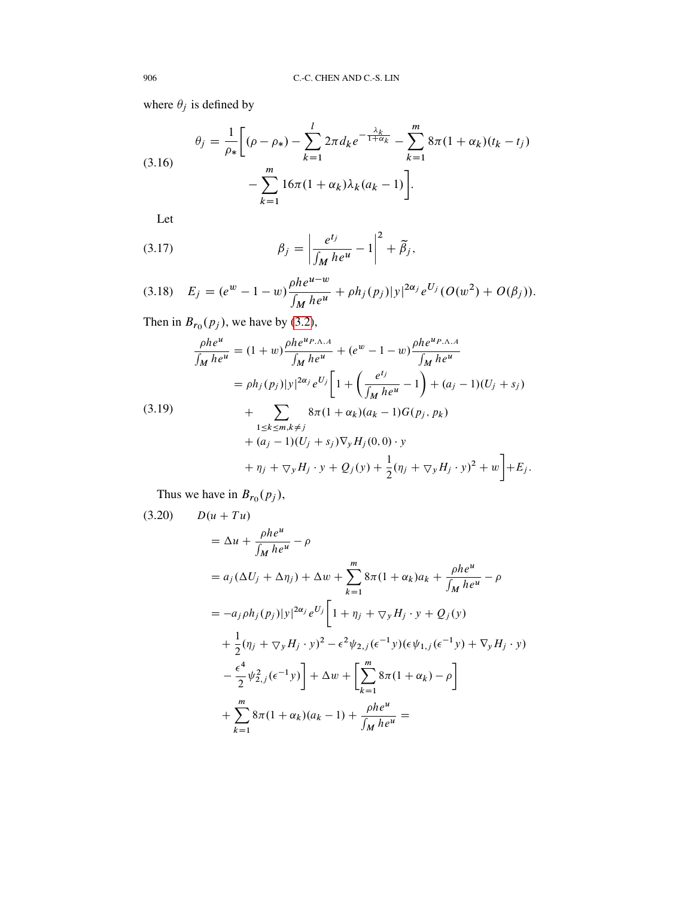where  $\theta_j$  is defined by

<span id="page-19-1"></span>(3.16) 
$$
\theta_j = \frac{1}{\rho_*} \bigg[ (\rho - \rho_*) - \sum_{k=1}^l 2\pi d_k e^{-\frac{\lambda_k}{1 + \alpha_k}} - \sum_{k=1}^m 8\pi (1 + \alpha_k)(t_k - t_j) - \sum_{k=1}^m 16\pi (1 + \alpha_k) \lambda_k (a_k - 1) \bigg].
$$

Let

(3.17) 
$$
\beta_j = \left| \frac{e^{t_j}}{\int_M h e^u} - 1 \right|^2 + \tilde{\beta}_j,
$$

(3.18) 
$$
E_j = (e^w - 1 - w) \frac{\rho h e^{u-w}}{\int_M h e^u} + \rho h_j(p_j) |y|^{2\alpha_j} e^{U_j} (O(w^2) + O(\beta_j)).
$$

Then in  $B_{r_0}(p_j)$ , we have by [\(3.2\)](#page-12-1),

$$
\frac{\rho h e^u}{\int_M h e^u} = (1+w) \frac{\rho h e^{u_{P,\Lambda,A}}}{\int_M h e^u} + (e^w - 1 - w) \frac{\rho h e^{u_{P,\Lambda,A}}}{\int_M h e^u}
$$
\n
$$
= \rho h_j(p_j)|y|^{2\alpha_j} e^{U_j} \left[ 1 + \left( \frac{e^{t_j}}{\int_M h e^u} - 1 \right) + (a_j - 1)(U_j + s_j) \right.
$$
\n
$$
+ \sum_{\substack{1 \le k \le m, k \ne j}} 8\pi (1 + \alpha_k)(a_k - 1) G(p_j, p_k)
$$
\n
$$
+ (a_j - 1)(U_j + s_j) \nabla_y H_j(0, 0) \cdot y
$$
\n
$$
+ \eta_j + \nabla_y H_j \cdot y + Q_j(y) + \frac{1}{2} (\eta_j + \nabla_y H_j \cdot y)^2 + w \right] + E_j.
$$

Thus we have in  $B_{r_0}(p_j)$ ,

<span id="page-19-0"></span>(3.20) 
$$
D(u + Tu) = \Delta u + \frac{\rho h e^{u}}{\int_{M} h e^{u}} - \rho
$$
  
\n
$$
= a_{j} (\Delta U_{j} + \Delta \eta_{j}) + \Delta w + \sum_{k=1}^{m} 8\pi (1 + \alpha_{k}) a_{k} + \frac{\rho h e^{u}}{\int_{M} h e^{u}} - \rho
$$
  
\n
$$
= -a_{j} \rho h_{j} (p_{j}) |y|^{2\alpha_{j}} e^{U_{j}} \left[ 1 + \eta_{j} + \nabla_{y} H_{j} \cdot y + Q_{j} (y) + \frac{1}{2} (\eta_{j} + \nabla_{y} H_{j} \cdot y)^{2} - \epsilon^{2} \psi_{2,j} (\epsilon^{-1} y) (\epsilon \psi_{1,j} (\epsilon^{-1} y) + \nabla_{y} H_{j} \cdot y) - \frac{\epsilon^{4}}{2} \psi_{2,j}^{2} (\epsilon^{-1} y) \right] + \Delta w + \left[ \sum_{k=1}^{m} 8\pi (1 + \alpha_{k}) - \rho \right]
$$
  
\n
$$
+ \sum_{k=1}^{m} 8\pi (1 + \alpha_{k}) (a_{k} - 1) + \frac{\rho h e^{u}}{\int_{M} h e^{u}} =
$$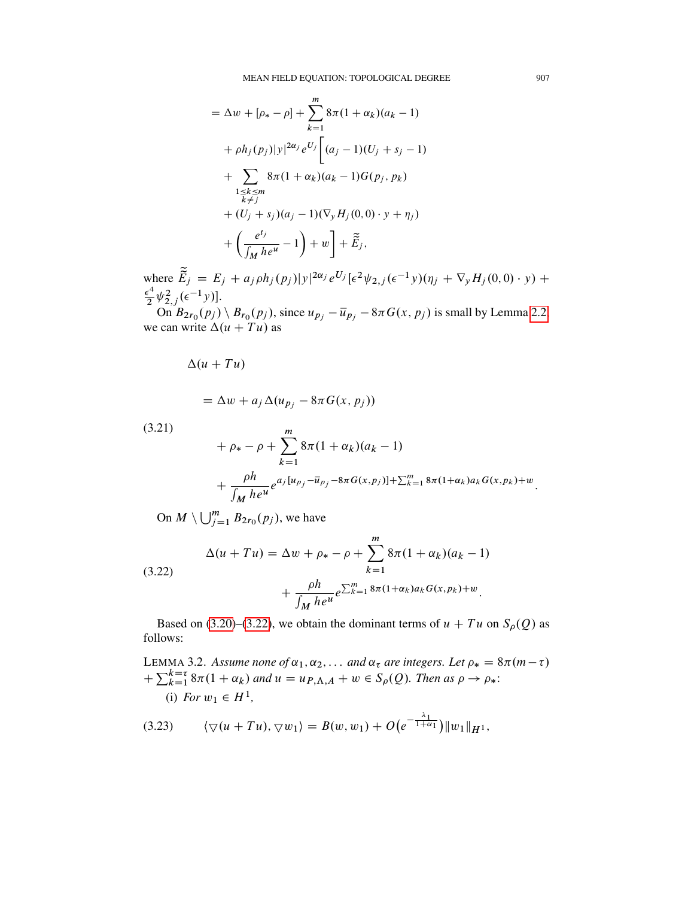$$
= \Delta w + [\rho_* - \rho] + \sum_{k=1}^{m} 8\pi (1 + \alpha_k)(a_k - 1)
$$
  
+  $\rho h_j(p_j)|y|^{2\alpha_j} e^{U_j} \Big[ (a_j - 1)(U_j + s_j - 1)$   
+  $\sum_{\substack{1 \le k \le m \\ k \ne j}} 8\pi (1 + \alpha_k)(a_k - 1)G(p_j, p_k)$   
+  $(U_j + s_j)(a_j - 1)(\nabla_y H_j(0, 0) \cdot y + \eta_j)$   
+  $\left(\frac{e^{t_j}}{\int_M h e^u} - 1\right) + w \Big] + \tilde{E}_j,$ 

where  $\tilde{\vec{E}}_j = E_j + a_j \rho h_j(p_j) |y|^{2\alpha_j} e^{U_j} [\epsilon^2 \psi_{2,j} (\epsilon^{-1} y) (\eta_j + \nabla_y H_j(0,0) \cdot y) +$  $\epsilon^4$  $\frac{\epsilon^4}{2}\psi_{2,j}^2(\epsilon^{-1}y)].$ 

On  $B_{2r_0}(p_j) \setminus B_{r_0}(p_j)$ , since  $u_{p_j} - \overline{u}_{p_j} - 8\pi G(x, p_j)$  is small by Lemma [2.2,](#page-11-0) we can write  $\Delta(u + Tu)$  as

 $\Delta (u + Tu)$ 

$$
= \Delta w + a_j \Delta (u_{p_j} - 8\pi G(x, p_j))
$$

(3.21)

<span id="page-20-3"></span>
$$
+ \rho_* - \rho + \sum_{k=1}^m 8\pi (1 + \alpha_k)(a_k - 1)
$$
  
+ 
$$
\frac{\rho h}{\int_M h e^u} e^{a_j [u_{p_j} - \overline{u}_{p_j} - 8\pi G(x, p_j)] + \sum_{k=1}^m 8\pi (1 + \alpha_k) a_k G(x, p_k) + w}
$$

On  $M \setminus \bigcup_{j=1}^m B_{2r_0}(p_j)$ , we have

<span id="page-20-0"></span>(3.22) 
$$
\Delta(u+Tu) = \Delta w + \rho_* - \rho + \sum_{k=1}^{m} 8\pi (1+\alpha_k)(a_k-1) + \frac{\rho h}{\int_M h e^u} e^{\sum_{k=1}^{m} 8\pi (1+\alpha_k)a_k G(x, p_k) + w}.
$$

Based on [\(3.20\)](#page-19-0)–[\(3.22\)](#page-20-0), we obtain the dominant terms of  $u + Tu$  on  $S_{\rho}(Q)$  as follows:

<span id="page-20-1"></span>LEMMA 3.2. Assume none of  $\alpha_1, \alpha_2, \ldots$  and  $\alpha_{\tau}$  are integers. Let  $\rho_* = 8\pi(m - \tau)$  $+\sum_{k=1}^{k=\tau} 8\pi (1+\alpha_k)$  and  $u = u_{P,\Lambda,A} + w \in S_\rho(Q)$ . Then as  $\rho \to \rho_*$ : (i) *For*  $w_1 \in H^1$ ,

<span id="page-20-2"></span>
$$
(3.23) \qquad \langle \nabla(u+Tu), \nabla w_1 \rangle = B(w, w_1) + O\big(e^{-\frac{\lambda_1}{1+\alpha_1}}\big) \|w_1\|_{H^1},
$$

: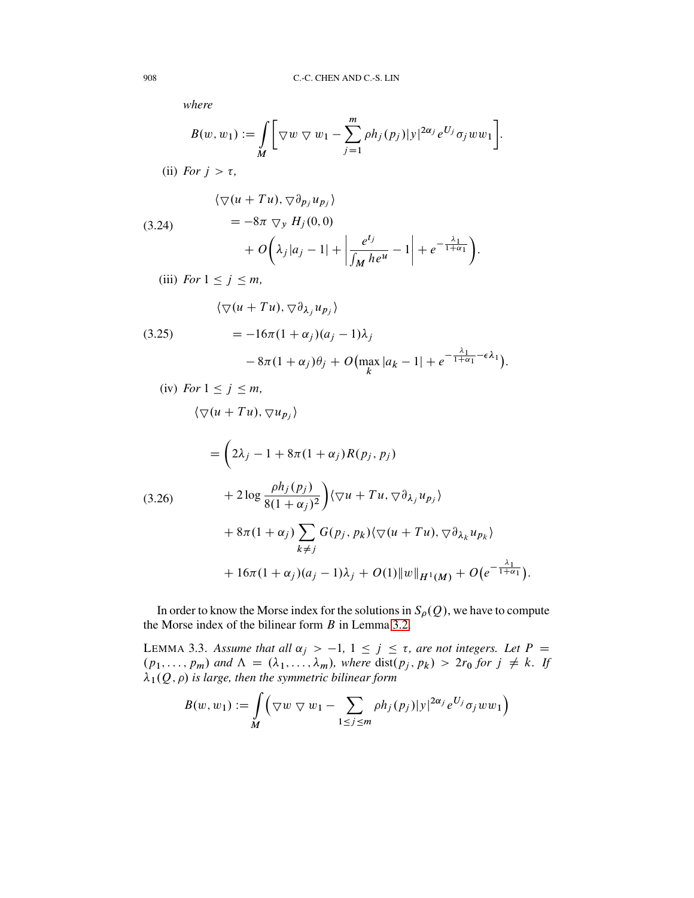*where*

$$
B(w, w_1) := \int\limits_M \bigg[ \nabla w \cdot \nabla w_1 - \sum_{j=1}^m \rho h_j(p_j) |y|^{2\alpha_j} e^{U_j} \sigma_j w w_1 \bigg].
$$

(ii) *For*  $j > \tau$ ,

(3.24)  
\n
$$
\begin{aligned}\n &\langle \nabla (u + Tu), \nabla \partial_{p_j} u_{p_j} \rangle \\
 &= -8\pi \nabla_y H_j(0,0) \\
 &\quad + O\left(\lambda_j |a_j - 1| + \left|\frac{e^{t_j}}{\int_M h e^u} - 1\right| + e^{-\frac{\lambda_1}{1 + \alpha_1}}\right).\n \end{aligned}
$$
\n
$$
\begin{aligned}\n &\text{(3.24)} \\
 &\quad + O\left(\lambda_j |a_j - 1| + \left|\frac{e^{t_j}}{\int_M h e^u}\right| + e^{-\frac{\lambda_1}{1 + \alpha_1}}\right).\n \end{aligned}
$$

(iii) *For*  $1 \leq j \leq m$ ,

(3.25)  
\n
$$
\begin{aligned}\n &\langle \nabla (u + Tu), \nabla \partial_{\lambda_j} u_{p_j} \rangle \\
 &= -16\pi (1 + \alpha_j)(a_j - 1)\lambda_j \\
 &- 8\pi (1 + \alpha_j)\theta_j + O\left(\max_k |a_k - 1| + e^{-\frac{\lambda_1}{1 + \alpha_1} - \epsilon \lambda_1}\right).\n\end{aligned}
$$

$$
(iv) For 1 \le j \le m,
$$

$$
\langle \nabla(u+Tu), \nabla u_{p_j}\rangle
$$

<span id="page-21-1"></span>
$$
= \left(2\lambda_j - 1 + 8\pi(1 + \alpha_j)R(p_j, p_j) \right)
$$
  
(3.26)  

$$
+ 2\log \frac{\rho h_j(p_j)}{8(1 + \alpha_j)^2} \right) \langle \nabla u + Tu, \nabla \partial_{\lambda_j} u_{p_j} \rangle
$$
  

$$
+ 8\pi(1 + \alpha_j) \sum_{k \neq j} G(p_j, p_k) \langle \nabla (u + Tu), \nabla \partial_{\lambda_k} u_{p_k} \rangle
$$
  

$$
+ 16\pi(1 + \alpha_j)(a_j - 1)\lambda_j + O(1) ||w||_{H^1(M)} + O(e^{-\frac{\lambda_1}{1 + \alpha_1}}).
$$

In order to know the Morse index for the solutions in  $S_{\rho}(Q)$ , we have to compute the Morse index of the bilinear form  $B$  in Lemma [3.2.](#page-20-1)

<span id="page-21-0"></span>LEMMA 3.3. Assume that all  $\alpha_j$  > -1, 1  $\leq$  j  $\leq$   $\tau$ , are not integers. Let P =  $(p_1, \ldots, p_m)$  and  $\Lambda = (\lambda_1, \ldots, \lambda_m)$ , where  $dist(p_j, p_k) > 2r_0$  for  $j \neq k$ . If  $\lambda_1(Q,\rho)$  is large, then the symmetric bilinear form

$$
B(w, w_1) := \int\limits_M \left( \nabla w \nabla w_1 - \sum_{1 \le j \le m} \rho h_j(p_j) |y|^{2\alpha_j} e^{U_j} \sigma_j w w_1 \right)
$$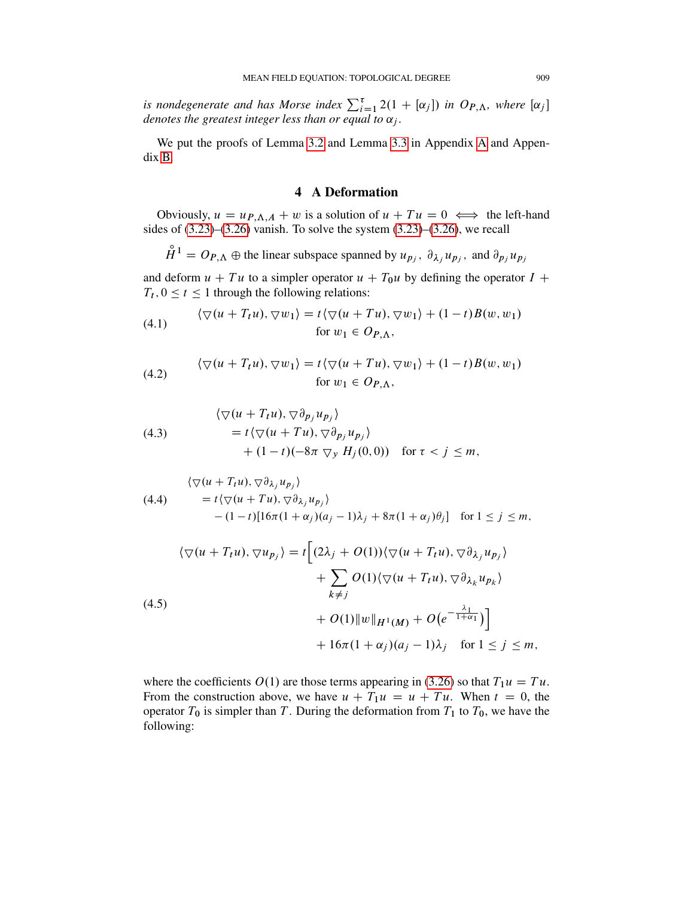*is nondegenerate and has Morse index*  $\sum_{i=1}^{\tau} 2(1 + [\alpha_j])$  *in*  $O_{P,\Lambda}$ *, where*  $[\alpha_j]$ *denotes the greatest integer less than or equal to*  $\alpha_j$ *.* 

We put the proofs of Lemma [3.2](#page-20-1) and Lemma [3.3](#page-21-0) in Appendix [A](#page-37-2) and Appendix [B.](#page-48-0)

# 4 A Deformation

<span id="page-22-0"></span>Obviously,  $u = u_{P,\Lambda,A} + w$  is a solution of  $u + Tu = 0 \iff$  the left-hand sides of  $(3.23)$ – $(3.26)$  vanish. To solve the system  $(3.23)$ – $(3.26)$ , we recall

$$
\mathring{H}^1 = O_{P,\Lambda} \oplus
$$
 the linear subspace spanned by  $u_{p_j}$ ,  $\partial_{\lambda_j} u_{p_j}$ , and  $\partial_{p_j} u_{p_j}$ 

and deform  $u + Tu$  to a simpler operator  $u + T_0u$  by defining the operator  $I +$  $T_t$ ,  $0 \le t \le 1$  through the following relations:

(4.1) 
$$
\langle \nabla(u + T_t u), \nabla w_1 \rangle = t \langle \nabla(u + T u), \nabla w_1 \rangle + (1 - t) B(w, w_1)
$$
  
for  $w_1 \in O_{P,\Lambda}$ ,

(4.2) 
$$
\langle \nabla(u + T_t u), \nabla w_1 \rangle = t \langle \nabla(u + T u), \nabla w_1 \rangle + (1 - t)B(w, w_1)
$$
  
for  $w_1 \in Op_{\Lambda}$ ,

(4.3) 
$$
\begin{aligned}\n &\langle \nabla(u + T_t u), \nabla \partial_{p_j} u_{p_j} \rangle \\
 &= t \langle \nabla(u + T u), \nabla \partial_{p_j} u_{p_j} \rangle \\
 &\quad + (1 - t)(-8\pi \nabla_y H_j(0, 0)) \quad \text{for } \tau < j \leq m,\n\end{aligned}
$$

(4.4) 
$$
\begin{aligned}\n &\langle \nabla (u + T_t u), \nabla \partial_{\lambda_j} u_{p_j} \rangle \\
 &= t \langle \nabla (u + T u), \nabla \partial_{\lambda_j} u_{p_j} \rangle \\
 &- (1 - t) [16\pi (1 + \alpha_j)(a_j - 1)\lambda_j + 8\pi (1 + \alpha_j)\theta_j] \quad \text{for } 1 \le j \le m,\n\end{aligned}
$$

<span id="page-22-1"></span>
$$
\langle \nabla(u + T_t u), \nabla u_{p_j} \rangle = t \Big[ (2\lambda_j + O(1)) \langle \nabla(u + T_t u), \nabla \partial_{\lambda_j} u_{p_j} \rangle
$$
  
+ 
$$
\sum_{k \neq j} O(1) \langle \nabla(u + T_t u), \nabla \partial_{\lambda_k} u_{p_k} \rangle
$$
  
+ 
$$
O(1) \|w\|_{H^1(M)} + O(e^{-\frac{\lambda_1}{1 + \alpha_1}}) \Big] + 16\pi (1 + \alpha_j)(a_j - 1)\lambda_j \quad \text{for } 1 \leq j \leq m,
$$

where the coefficients  $O(1)$  are those terms appearing in [\(3.26\)](#page-21-1) so that  $T_1u = Tu$ . From the construction above, we have  $u + T_1u = u + Tu$ . When  $t = 0$ , the operator  $T_0$  is simpler than T. During the deformation from  $T_1$  to  $T_0$ , we have the following: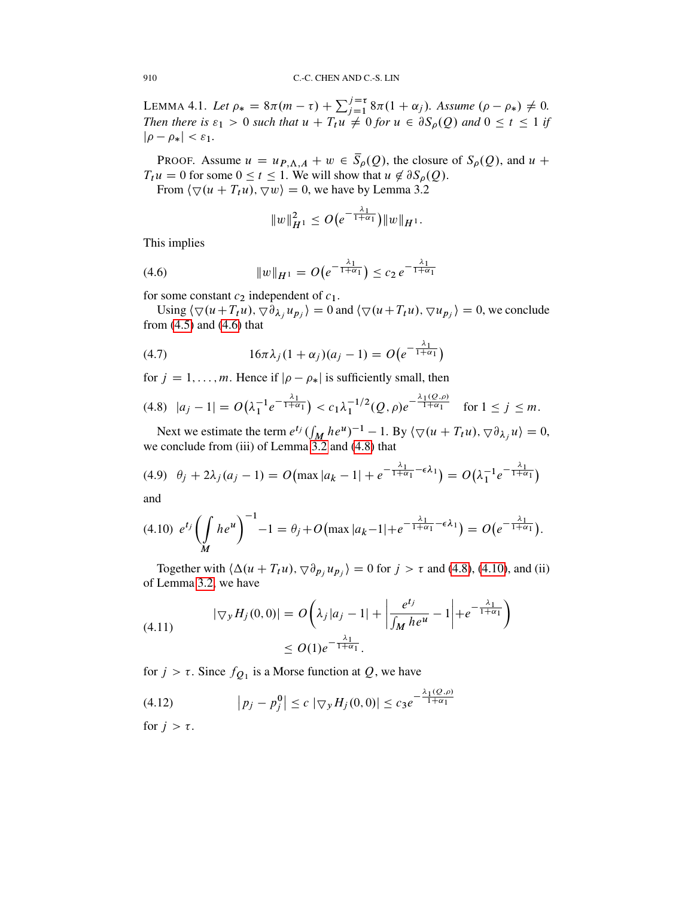<span id="page-23-5"></span>LEMMA 4.1. Let  $\rho_* = 8\pi(m - \tau) + \sum_{j=1}^{j=\tau} 8\pi(1 + \alpha_j)$ . Assume  $(\rho - \rho_*) \neq 0$ . *Then there is*  $\varepsilon_1 > 0$  *such that*  $u + T_t u \neq 0$  *for*  $u \in \partial S_0(Q)$  *and*  $0 \leq t \leq 1$  *if*  $|\rho - \rho_{*}| < \varepsilon_{1}.$ 

PROOF. Assume  $u = u_{P,\Lambda,A} + w \in \overline{S}_{\rho}(Q)$ , the closure of  $S_{\rho}(Q)$ , and  $u$  +  $T_t u = 0$  for some  $0 \le t \le 1$ . We will show that  $u \notin \partial S_\rho(Q)$ .

From  $\langle \nabla (u + T_t u), \nabla w \rangle = 0$ , we have by Lemma 3.2

<span id="page-23-0"></span>
$$
||w||_{H^1}^2 \le O\big(e^{-\frac{\lambda_1}{1+\alpha_1}}\big) ||w||_{H^1}.
$$

This implies

(4.6) 
$$
||w||_{H^1} = O(e^{-\frac{\lambda_1}{1+\alpha_1}}) \leq c_2 e^{-\frac{\lambda_1}{1+\alpha_1}}
$$

for some constant  $c_2$  independent of  $c_1$ .

Using  $\langle \nabla (u + T_t u), \nabla \overline{\partial}_{\lambda_j} u_{p_j} \rangle = 0$  and  $\langle \nabla (u + T_t u), \nabla u_{p_j} \rangle = 0$ , we conclude from  $(4.5)$  and  $(4.6)$  that

(4.7) 
$$
16\pi\lambda_j(1+\alpha_j)(a_j-1) = O(e^{-\frac{\lambda_1}{1+\alpha_1}})
$$

for  $j = 1, ..., m$ . Hence if  $|\rho - \rho_{*}|$  is sufficiently small, then

<span id="page-23-1"></span>
$$
(4.8) \ \ |a_j - 1| = O\left(\lambda_1^{-1} e^{-\frac{\lambda_1}{1 + \alpha_1}}\right) < c_1 \lambda_1^{-1/2} (Q, \rho) e^{-\frac{\lambda_1 (Q, \rho)}{1 + \alpha_1}} \quad \text{for } 1 \le j \le m.
$$

Next we estimate the term  $e^{t_j} \left( \int_M h e^{u} \right)^{-1} - 1$ . By  $\langle \nabla (u + T_t u), \nabla \partial_{\lambda_j} u \rangle = 0$ , we conclude from (iii) of Lemma [3.2](#page-20-1) and [\(4.8\)](#page-23-1) that

<span id="page-23-3"></span>
$$
(4.9) \quad \theta_j + 2\lambda_j (a_j - 1) = O\big(\max |a_k - 1| + e^{-\frac{\lambda_1}{1 + \alpha_1} - \epsilon \lambda_1}\big) = O\big(\lambda_1^{-1} e^{-\frac{\lambda_1}{1 + \alpha_1}}\big)
$$

and

<span id="page-23-2"></span>
$$
(4.10) \ e^{t_j} \left( \int\limits_M h e^u \right)^{-1} - 1 = \theta_j + O\left( \max |a_k - 1| + e^{-\frac{\lambda_1}{1 + \alpha_1} - \epsilon \lambda_1} \right) = O\left( e^{-\frac{\lambda_1}{1 + \alpha_1}} \right).
$$

Together with  $\langle \Delta(u + T_t u), \nabla \partial_{p_j} u_{p_j} \rangle = 0$  for  $j > \tau$  and [\(4.8\)](#page-23-1), [\(4.10\)](#page-23-2), and (ii) of Lemma [3.2,](#page-20-1) we have

(4.11) 
$$
|\nabla_y H_j(0,0)| = O\left(\lambda_j |a_j - 1| + \left|\frac{e^{t_j}}{\int_M h e^u} - 1\right| + e^{-\frac{\lambda_1}{1 + \alpha_1}}\right) \leq O(1) e^{-\frac{\lambda_1}{1 + \alpha_1}}.
$$

for  $j > \tau$ . Since  $f_{Q_1}$  is a Morse function at  $Q$ , we have

<span id="page-23-4"></span>(4.12) 
$$
\left| p_j - p_j^0 \right| \le c \left| \nabla_y H_j(0,0) \right| \le c_3 e^{-\frac{\lambda_1(Q,\rho)}{1+\alpha_1}}
$$

for  $j > \tau$ .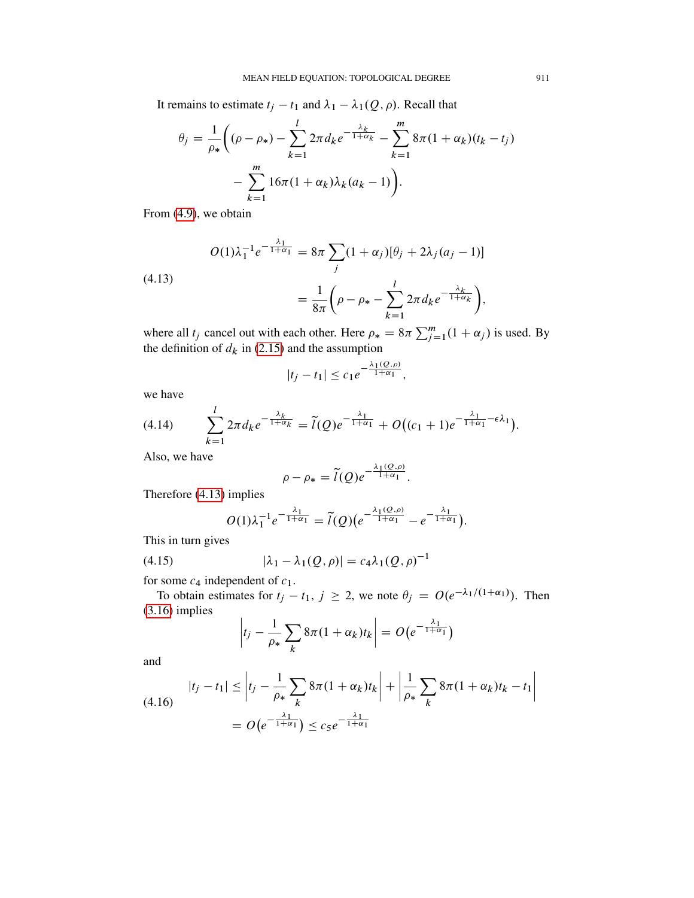It remains to estimate  $t_j - t_1$  and  $\lambda_1 - \lambda_1(Q, \rho)$ . Recall that

$$
\theta_j = \frac{1}{\rho_*} \bigg( (\rho - \rho_*) - \sum_{k=1}^l 2\pi d_k e^{-\frac{\lambda_k}{1 + \alpha_k}} - \sum_{k=1}^m 8\pi (1 + \alpha_k)(t_k - t_j) - \sum_{k=1}^m 16\pi (1 + \alpha_k) \lambda_k (a_k - 1) \bigg).
$$

From [\(4.9\)](#page-23-3), we obtain

<span id="page-24-0"></span>
$$
O(1)\lambda_1^{-1}e^{-\frac{\lambda_1}{1+\alpha_1}} = 8\pi \sum_j (1+\alpha_j)[\theta_j + 2\lambda_j(a_j - 1)]
$$
  
= 
$$
\frac{1}{2\pi i} \left( \rho - \rho_* - \sum_j^l 2\pi d_k e^{-\frac{\lambda_k}{1+\alpha_k}} \right),
$$

$$
= \frac{1}{8\pi} \left( \rho - \rho_* - \sum_{k=1}^l 2\pi d_k e^{-\frac{\lambda_k}{1 + \alpha_k}} \right)
$$

where all  $t_j$  cancel out with each other. Here  $\rho_* = 8\pi \sum_{j=1}^m (1 + \alpha_j)$  is used. By the definition of  $d_k$  in [\(2.15\)](#page-9-1) and the assumption

$$
|t_j-t_1| \leq c_1 e^{-\frac{\lambda_1(Q,\rho)}{1+\alpha_1}},
$$

we have

(4.13)

$$
(4.14) \qquad \sum_{k=1}^l 2\pi d_k e^{-\frac{\lambda_k}{1+\alpha_k}} = \widetilde{l}(Q) e^{-\frac{\lambda_1}{1+\alpha_1}} + O\big((c_1+1)e^{-\frac{\lambda_1}{1+\alpha_1}-\epsilon\lambda_1}\big).
$$

Also, we have

$$
\rho - \rho_* = \tilde{l}(Q)e^{-\frac{\lambda_1(Q,\rho)}{1+\alpha_1}}.
$$

Therefore [\(4.13\)](#page-24-0) implies

<span id="page-24-1"></span>
$$
O(1)\lambda_1^{-1}e^{-\frac{\lambda_1}{1+\alpha_1}}=\widetilde{l}(Q)(e^{-\frac{\lambda_1(Q,\rho)}{1+\alpha_1}}-e^{-\frac{\lambda_1}{1+\alpha_1}}).
$$

This in turn gives

(4.15) 
$$
|\lambda_1 - \lambda_1(Q, \rho)| = c_4 \lambda_1(Q, \rho)^{-1}
$$

for some  $c_4$  independent of  $c_1$ .

To obtain estimates for  $t_j - t_1$ ,  $j \ge 2$ , we note  $\theta_j = O(e^{-\lambda_1/(1+\alpha_1)})$ . Then [\(3.16\)](#page-19-1) implies

$$
\left|t_j - \frac{1}{\rho_*} \sum_k 8\pi (1 + \alpha_k) t_k\right| = O\big(e^{-\frac{\lambda_1}{1 + \alpha_1}}\big)
$$

and

<span id="page-24-2"></span>(4.16) 
$$
|t_j - t_1| \leq |t_j - \frac{1}{\rho_*} \sum_k 8\pi (1 + \alpha_k) t_k| + \left| \frac{1}{\rho_*} \sum_k 8\pi (1 + \alpha_k) t_k - t_1 \right|
$$

$$
= O\left(e^{-\frac{\lambda_1}{1 + \alpha_1}}\right) \leq c_5 e^{-\frac{\lambda_1}{1 + \alpha_1}}
$$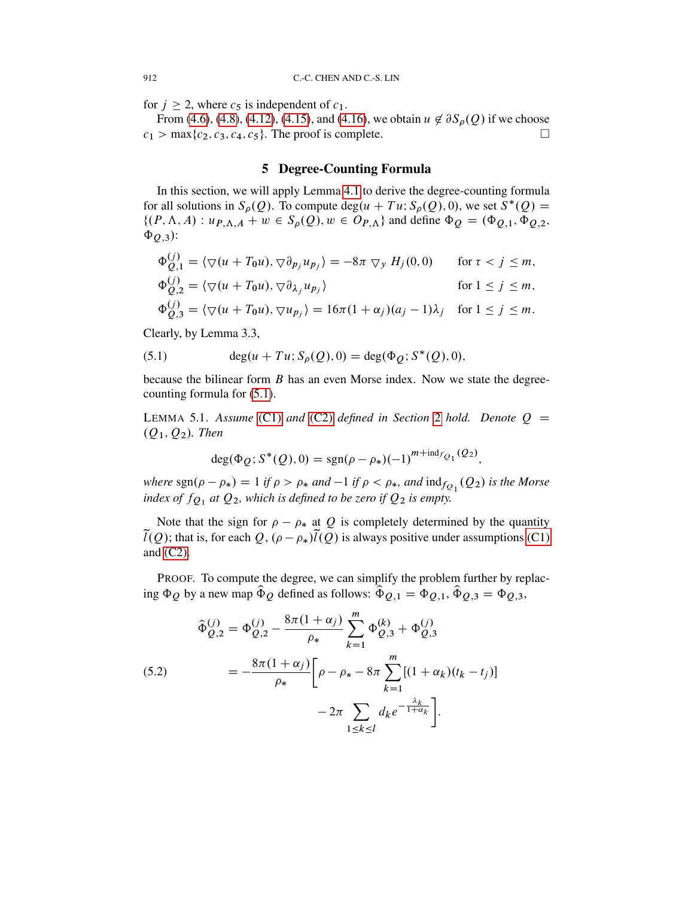for  $j \ge 2$ , where  $c_5$  is independent of  $c_1$ .

From [\(4.6\)](#page-23-0), [\(4.8\)](#page-23-1), [\(4.12\)](#page-23-4), [\(4.15\)](#page-24-1), and [\(4.16\)](#page-24-2), we obtain  $u \notin \partial S_{\rho}(Q)$  if we choose  $c_1 > \max\{c_2, c_3, c_4, c_5\}$ . The proof is complete.

## 5 Degree-Counting Formula

<span id="page-25-0"></span>In this section, we will apply Lemma [4.1](#page-23-5) to derive the degree-counting formula for all solutions in  $S_\rho(Q)$ . To compute deg $(u + Tu; S_\rho(Q), 0)$ , we set  $S^*(Q) =$  $\{(P, \Lambda, A) : u_{P, \Lambda, A} + w \in S_{\rho}(Q), w \in O_{P, \Lambda}\}\$ and define  $\Phi_{Q} = (\Phi_{Q,1}, \Phi_{Q,2}, \Phi_{Q,1})\$  $\Phi_{Q,3}$ :

$$
\Phi_{Q,1}^{(j)} = \langle \nabla(u + T_0u), \nabla \partial_{p_j} u_{p_j} \rangle = -8\pi \nabla_y H_j(0,0) \quad \text{for } \tau < j \le m,
$$
\n
$$
\Phi_{Q,2}^{(j)} = \langle \nabla(u + T_0u), \nabla \partial_{\lambda_j} u_{p_j} \rangle \quad \text{for } 1 \le j \le m,
$$
\n
$$
\Phi_{Q,3}^{(j)} = \langle \nabla(u + T_0u), \nabla u_{p_j} \rangle = 16\pi (1 + \alpha_j)(a_j - 1)\lambda_j \quad \text{for } 1 \le j \le m.
$$

Clearly, by Lemma 3.3,

<span id="page-25-1"></span>(5.1) 
$$
\deg(u + Tu; S_{\rho}(Q), 0) = \deg(\Phi_{Q}; S^{*}(Q), 0),
$$

because the bilinear form  $B$  has an even Morse index. Now we state the degreecounting formula for [\(5.1\)](#page-25-1).

LEMMA 5.1. *Assume* [\(C1\)](#page-7-3) *and* [\(C2\)](#page-7-4) *defined in Section* [2](#page-6-0) *hold.* Denote  $Q =$  $(Q_1, Q_2)$ *. Then* 

$$
\deg(\Phi_Q; S^*(Q), 0) = \text{sgn}(\rho - \rho_*) (-1)^{m + \text{ind}_{fQ_1}(Q_2)},
$$

*where*  $\text{sgn}(\rho - \rho_*) = 1$  *if*  $\rho > \rho_*$  and  $-1$  *if*  $\rho < \rho_*$ *, and*  $\text{ind}_{f_{Q_1}}(Q_2)$  *is the Morse index of*  $f_{Q_1}$  *at*  $Q_2$ *, which is defined to be zero if*  $Q_2$  *is empty.* 

Note that the sign for  $\rho - \rho_*$  at Q is completely determined by the quantity  $\tilde{l}(Q)$ ; that is, for each  $Q$ ,  $(\rho - \rho_*)\tilde{l}(Q)$  is always positive under assumptions [\(C1\)](#page-7-3) and [\(C2\).](#page-7-4)

PROOF. To compute the degree, we can simplify the problem further by replacing  $\Phi_Q$  by a new map  $\hat{\Phi}_Q$  defined as follows:  $\hat{\Phi}_{Q,1} = \Phi_{Q,1}$ ,  $\hat{\Phi}_{Q,3} = \Phi_{Q,3}$ ,

<span id="page-25-2"></span>(5.2)  
\n
$$
\begin{aligned}\n\widehat{\Phi}_{Q,2}^{(j)} &= \Phi_{Q,2}^{(j)} - \frac{8\pi(1+\alpha_j)}{\rho_*} \sum_{k=1}^m \Phi_{Q,3}^{(k)} + \Phi_{Q,3}^{(j)} \\
&= -\frac{8\pi(1+\alpha_j)}{\rho_*} \bigg[ \rho - \rho_* - 8\pi \sum_{k=1}^m [(1+\alpha_k)(t_k - t_j)] \\
&\quad - 2\pi \sum_{1 \le k \le l} d_k e^{-\frac{\lambda_k}{1+\alpha_k}} \bigg].\n\end{aligned}
$$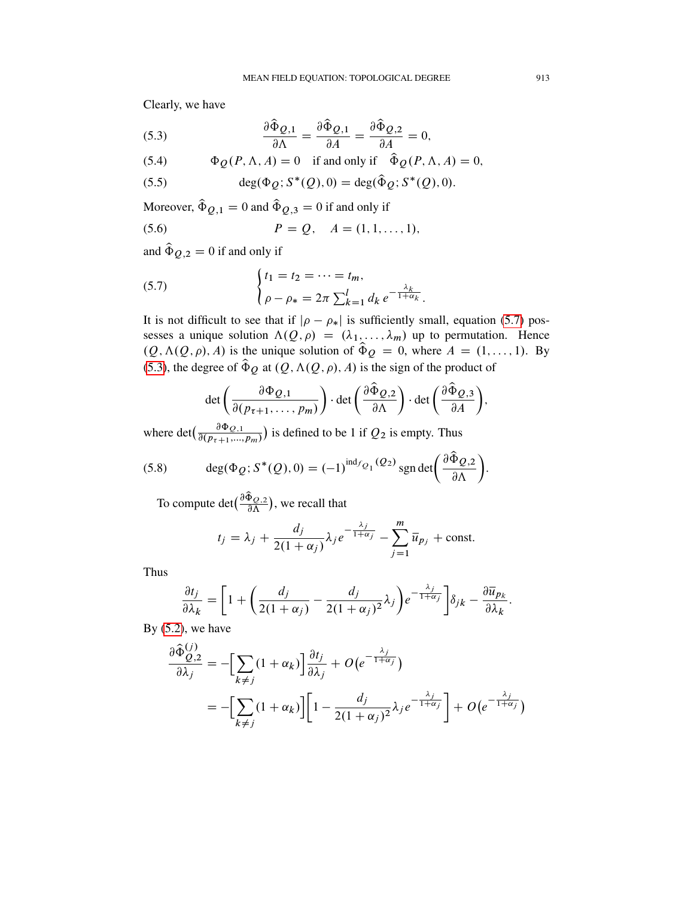Clearly, we have

<span id="page-26-1"></span>(5.3) 
$$
\frac{\partial \hat{\Phi}_{Q,1}}{\partial \Lambda} = \frac{\partial \hat{\Phi}_{Q,1}}{\partial A} = \frac{\partial \hat{\Phi}_{Q,2}}{\partial A} = 0,
$$

(5.4) 
$$
\Phi_{Q}(P,\Lambda,A) = 0 \text{ if and only if } \hat{\Phi}_{Q}(P,\Lambda,A) = 0,
$$

(5.5) 
$$
\deg(\Phi_Q; S^*(Q), 0) = \deg(\hat{\Phi}_Q; S^*(Q), 0).
$$

Moreover,  $\hat{\Phi}_{Q,1} = 0$  and  $\hat{\Phi}_{Q,3} = 0$  if and only if

(5.6) 
$$
P = Q, \quad A = (1, 1, ..., 1),
$$

and  $\hat{\Phi}_{Q,2} = 0$  if and only if

<span id="page-26-0"></span>(5.7) 
$$
\begin{cases} t_1 = t_2 = \dots = t_m, \\ \rho - \rho_* = 2\pi \sum_{k=1}^l d_k e^{-\frac{\lambda_k}{1 + \alpha_k}}. \end{cases}
$$

It is not difficult to see that if  $|\rho - \rho_{*}|$  is sufficiently small, equation [\(5.7\)](#page-26-0) possesses a unique solution  $\Lambda(Q, \rho) = (\lambda_1, \dots, \lambda_m)$  up to permutation. Hence  $(Q, \Lambda(Q, \rho), A)$  is the unique solution of  $\hat{\Phi}_Q = 0$ , where  $A = (1, \ldots, 1)$ . By [\(5.3\)](#page-26-1), the degree of  $\hat{\Phi}_Q$  at  $(Q, \Lambda(Q, \rho), A)$  is the sign of the product of

$$
\det\left(\frac{\partial \Phi_{Q,1}}{\partial (p_{\tau+1},\ldots,p_m)}\right)\cdot \det\left(\frac{\partial \hat{\Phi}_{Q,2}}{\partial \Lambda}\right)\cdot \det\left(\frac{\partial \hat{\Phi}_{Q,3}}{\partial A}\right),\,
$$

where det $\left(\frac{\partial \Phi_{Q,1}}{\partial (p_{\tau+1},...,p_m)}\right)$  is defined to be 1 if  $Q_2$  is empty. Thus

(5.8) 
$$
\deg(\Phi_Q; S^*(Q), 0) = (-1)^{\mathrm{ind}_{f_{Q_1}}(Q_2)} \mathrm{sgn} \det \left( \frac{\partial \hat{\Phi}_{Q,2}}{\partial \Lambda} \right).
$$

To compute det $(\frac{\partial \hat{\Phi}_{Q,2}}{\partial \Lambda})$ , we recall that

$$
t_j = \lambda_j + \frac{d_j}{2(1+\alpha_j)} \lambda_j e^{-\frac{\lambda_j}{1+\alpha_j}} - \sum_{j=1}^m \overline{u}_{p_j} + \text{const.}
$$

Thus

$$
\frac{\partial t_j}{\partial \lambda_k} = \left[1 + \left(\frac{d_j}{2(1+\alpha_j)} - \frac{d_j}{2(1+\alpha_j)^2}\lambda_j\right)e^{-\frac{\lambda_j}{1+\alpha_j}}\right]\delta_{jk} - \frac{\partial \overline{u}_{p_k}}{\partial \lambda_k}.
$$

By  $(5.2)$ , we have

$$
\frac{\partial \hat{\Phi}_{Q,2}^{(j)}}{\partial \lambda_j} = -\Big[\sum_{k \neq j} (1 + \alpha_k)\Big] \frac{\partial t_j}{\partial \lambda_j} + O(e^{-\frac{\lambda_j}{1 + \alpha_j}})
$$
  
= 
$$
-\Big[\sum_{k \neq j} (1 + \alpha_k)\Big] \Big[1 - \frac{d_j}{2(1 + \alpha_j)^2} \lambda_j e^{-\frac{\lambda_j}{1 + \alpha_j}}\Big] + O(e^{-\frac{\lambda_j}{1 + \alpha_j}})
$$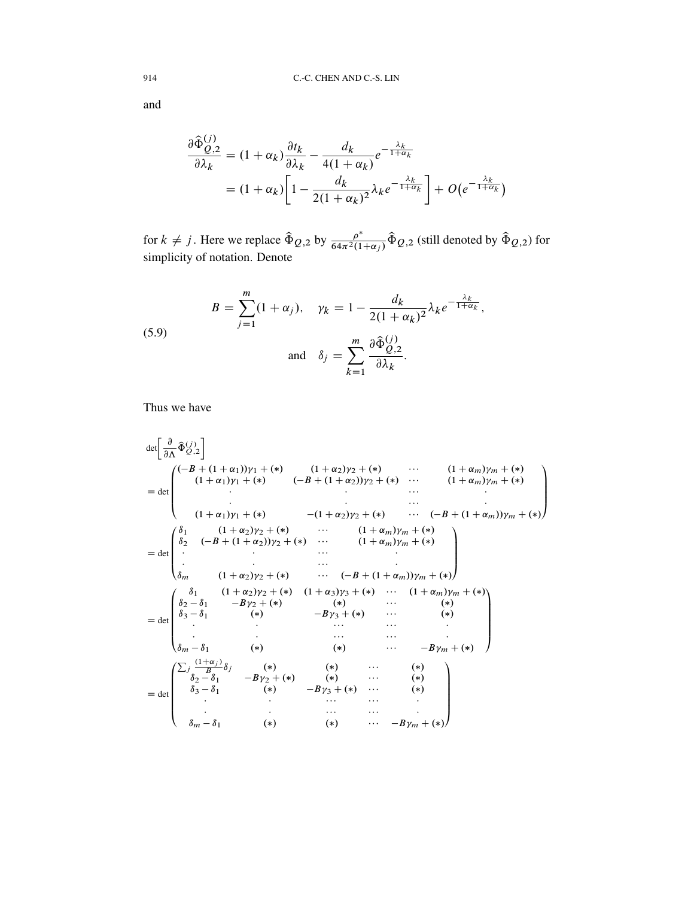and

$$
\frac{\partial \hat{\Phi}_{Q,2}^{(j)}}{\partial \lambda_k} = (1 + \alpha_k) \frac{\partial t_k}{\partial \lambda_k} - \frac{d_k}{4(1 + \alpha_k)} e^{-\frac{\lambda_k}{1 + \alpha_k}}
$$
  
=  $(1 + \alpha_k) \left[ 1 - \frac{d_k}{2(1 + \alpha_k)^2} \lambda_k e^{-\frac{\lambda_k}{1 + \alpha_k}} \right] + O(e^{-\frac{\lambda_k}{1 + \alpha_k}})$ 

for  $k \neq j$ . Here we replace  $\hat{\Phi}_{Q,2}$  by  $\frac{\rho^*}{64\pi^2(1)}$  $\frac{\rho^*}{64\pi^2(1+\alpha_j)}\hat{\Phi}_{Q,2}$  (still denoted by  $\hat{\Phi}_{Q,2}$ ) for simplicity of notation. Denote

(5.9) 
$$
B = \sum_{j=1}^{m} (1 + \alpha_j), \quad \gamma_k = 1 - \frac{d_k}{2(1 + \alpha_k)^2} \lambda_k e^{-\frac{\lambda_k}{1 + \alpha_k}},
$$

$$
\text{and} \quad \delta_j = \sum_{k=1}^{m} \frac{\partial \hat{\Phi}_{Q,2}^{(j)}}{\partial \lambda_k}.
$$

Thus we have

$$
\det\left[\frac{\partial}{\partial\Lambda}\hat{\Phi}_{Q,2}^{(j)}\right]
$$
\n
$$
= \det\left(\begin{array}{cccccc}(-B + (1 + \alpha_1))y_1 + (*) & (1 + \alpha_2)y_2 + (*) & \cdots & (1 + \alpha_m)y_m + (*)\\(1 + \alpha_1)y_1 + (*) & (-B + (1 + \alpha_2))y_2 + (*) & \cdots & (1 + \alpha_m)y_m + (*)\\ \vdots & \vdots & \ddots & \vdots & \vdots & \vdots\\(1 + \alpha_1)y_1 + (*) & -(1 + \alpha_2)y_2 + (*) & \cdots & (-B + (1 + \alpha_m))y_m + (*)\\ \delta_2 & (-B + (1 + \alpha_2))y_2 + (*) & \cdots & (1 + \alpha_m)y_m + (*)\\ \vdots & \vdots & \ddots & \vdots & \vdots & \vdots\\ \delta_m & (1 + \alpha_2)y_2 + (*) & \cdots & (-B + (1 + \alpha_m))y_m + (*)\\ \vdots & \vdots & \ddots & \vdots & \vdots\\ \delta_m & (1 + \alpha_2)y_2 + (*) & (1 + \alpha_3)y_3 + () & \cdots & (1 + \alpha_m)y_m + (*)\\ \delta_2 - \delta_1 & -By_2 + (*) & (*) & \cdots & (*)\\ \delta_3 - \delta_1 & (*) & -By_3 + () & \cdots & ()\\ \vdots & \vdots & \vdots & \ddots & \vdots & \vdots\\ \delta_m - \delta_1 & (*) & (*) & \cdots & -By_m + (*)\\ \delta_2 - \delta_1 & -By_2 + () & (*) & \cdots & (*)\\ \delta_2 - \delta_1 & -By_2 + () & () & () & ()\\ \delta_2 - \delta_1 & -By_2 + () & () & () & ()\\ \delta_2 - \delta_1 & 0 & () & () & () & ()\\ \vdots & \vdots & \cdots & \cdots & () & ()\\ \delta_2 - \delta_1 & 0 & () & () & () & () & ()\\ \vdots & \vdots & \cdots & \cdots & () & () & ()\\ \delta_3 - \delta_1 & () & () & () & () & () & ()\\ \end{array}\right)
$$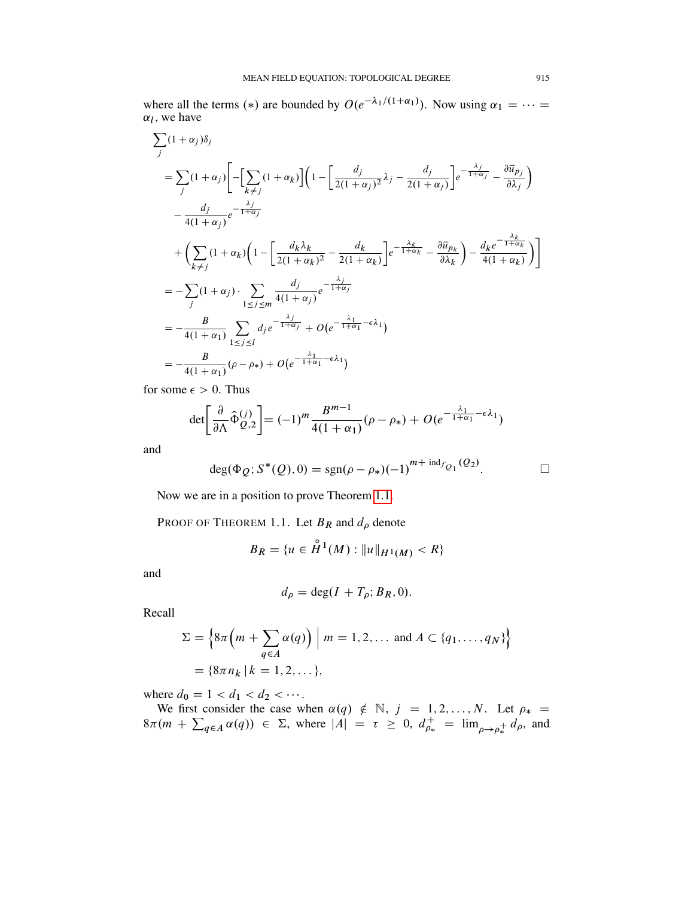where all the terms (\*) are bounded by  $O(e^{-\lambda_1/(1+\alpha_1)})$ . Now using  $\alpha_1 = \cdots =$  $\alpha_l$ , we have

$$
\sum_{j} (1 + \alpha_{j}) \delta_{j}
$$
\n
$$
= \sum_{j} (1 + \alpha_{j}) \left[ -\left[ \sum_{k \neq j} (1 + \alpha_{k}) \right] \left( 1 - \left[ \frac{d_{j}}{2(1 + \alpha_{j})^{2}} \lambda_{j} - \frac{d_{j}}{2(1 + \alpha_{j})} \right] e^{-\frac{\lambda_{j}}{1 + \alpha_{j}}} - \frac{\partial \overline{u}_{p_{j}}}{\partial \lambda_{j}} \right) \right]
$$
\n
$$
- \frac{d_{j}}{4(1 + \alpha_{j})} e^{-\frac{\lambda_{j}}{1 + \alpha_{j}}}
$$
\n
$$
+ \left( \sum_{k \neq j} (1 + \alpha_{k}) \left( 1 - \left[ \frac{d_{k} \lambda_{k}}{2(1 + \alpha_{k})^{2}} - \frac{d_{k}}{2(1 + \alpha_{k})} \right] e^{-\frac{\lambda_{k}}{1 + \alpha_{k}}} - \frac{\partial \overline{u}_{p_{k}}}{\partial \lambda_{k}} \right) - \frac{d_{k} e^{-\frac{\lambda_{k}}{1 + \alpha_{k}}}}{4(1 + \alpha_{k})} \right) \right]
$$
\n
$$
= - \sum_{j} (1 + \alpha_{j}) \cdot \sum_{1 \leq j \leq m} \frac{d_{j}}{4(1 + \alpha_{j})} e^{-\frac{\lambda_{j}}{1 + \alpha_{j}}}
$$
\n
$$
= -\frac{B}{4(1 + \alpha_{1})} \sum_{1 \leq j \leq l} d_{j} e^{-\frac{\lambda_{j}}{1 + \alpha_{j}}} + O(e^{-\frac{\lambda_{1}}{1 + \alpha_{1}} - \epsilon \lambda_{1})
$$
\n
$$
= -\frac{B}{4(1 + \alpha_{1})} (\rho - \rho_{*}) + O(e^{-\frac{\lambda_{1}}{1 + \alpha_{1}} - \epsilon \lambda_{1})
$$

for some  $\epsilon > 0$ . Thus

$$
\det \left[\frac{\partial}{\partial \Lambda} \hat{\Phi}_{Q,2}^{(j)}\right] = (-1)^m \frac{B^{m-1}}{4(1+\alpha_1)} (\rho - \rho_*) + O(e^{-\frac{\lambda_1}{1+\alpha_1} - \epsilon \lambda_1})
$$

and

$$
deg(\Phi_Q; S^*(Q), 0) = sgn(\rho - \rho_*)(-1)^{m + ind_{f_{Q_1}}(Q_2)}.
$$

Now we are in a position to prove Theorem [1.1.](#page-3-2)

PROOF OF THEOREM 1.1. Let  $B_R$  and  $d_\rho$  denote

$$
B_R = \{ u \in \overset{\circ}{H}^1(M) : ||u||_{H^1(M)} < R \}
$$

and

$$
d_{\rho} = \deg(I + T_{\rho}; B_R, 0).
$$

Recall

$$
\Sigma = \left\{ 8\pi \left( m + \sum_{q \in A} \alpha(q) \right) \middle| m = 1, 2, \dots \text{ and } A \subset \{q_1, \dots, q_N\} \right\}
$$

$$
= \left\{ 8\pi n_k \middle| k = 1, 2, \dots \right\},
$$

where  $d_0 = 1 < d_1 < d_2 < \cdots$ .

We first consider the case when  $\alpha(q) \notin \mathbb{N}$ ,  $j = 1, 2, ..., N$ . Let  $\rho_* =$  $8\pi (m + \sum_{q \in A} \alpha(q)) \in \Sigma$ , where  $|A| = \tau \geq 0$ ,  $d_{\rho_{*}}^{+} = \lim_{\rho \to \rho_{*}^{+}} d_{\rho}$ , and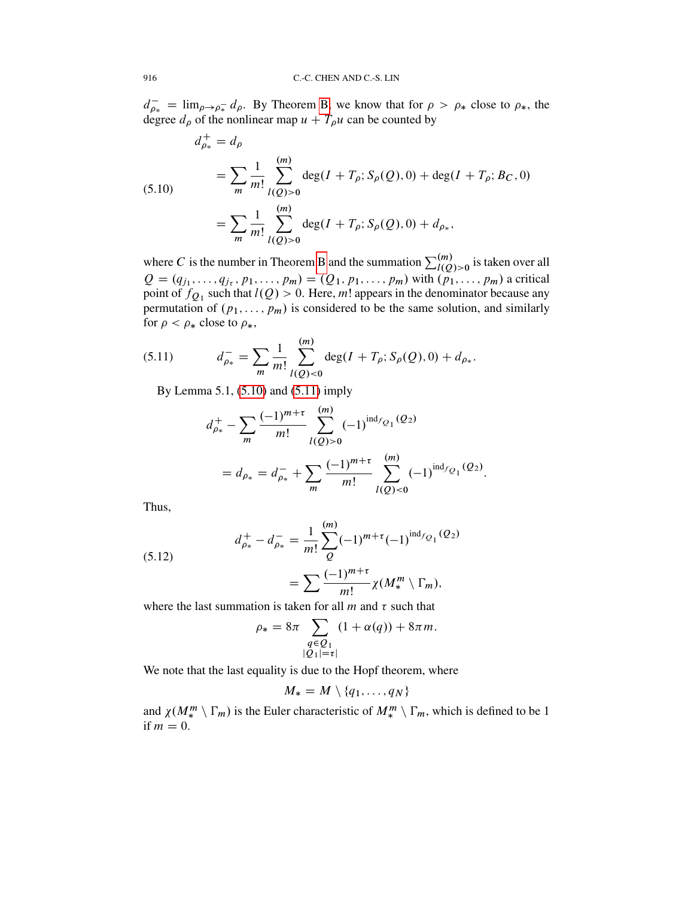$d_{\rho_*}^- = \lim_{\rho \to \rho_*^-} d_{\rho}$ . By Theorem [B,](#page-5-0) we know that for  $\rho > \rho_*$  close to  $\rho_*$ , the degree  $d_{\rho}$  of the nonlinear map  $u + T_{\rho}u$  can be counted by

<span id="page-29-0"></span>(5.10)  
\n
$$
d_{\rho_{*}}^{+} = d_{\rho}
$$
\n
$$
= \sum_{m} \frac{1}{m!} \sum_{l(Q)>0}^{(m)} \deg(I + T_{\rho}; S_{\rho}(Q), 0) + \deg(I + T_{\rho}; B_{C}, 0)
$$
\n
$$
= \sum_{m} \frac{1}{m!} \sum_{l(Q)>0}^{(m)} \deg(I + T_{\rho}; S_{\rho}(Q), 0) + d_{\rho_{*}},
$$

where C is the number in Theorem [B](#page-5-0) and the summation  $\sum_{l(Q)>0}^{(m)}$  is taken over all  $Q = (q_{j_1}, \ldots, q_{j_{\tau}}, p_1, \ldots, p_m) = (Q_1, p_1, \ldots, p_m)$  with  $(p_1, \ldots, p_m)$  a critical point of  $f_{Q_1}$  such that  $l(Q) > 0$ . Here, m! appears in the denominator because any permutation of  $(p_1, \ldots, p_m)$  is considered to be the same solution, and similarly for  $\rho < \rho_*$  close to  $\rho_*$ ,

<span id="page-29-1"></span>(5.11) 
$$
d_{\rho_{*}}^{-} = \sum_{m} \frac{1}{m!} \sum_{l(Q) < 0}^{(m)} \deg(I + T_{\rho}; S_{\rho}(Q), 0) + d_{\rho_{*}}.
$$

 $\lambda$ 

By Lemma 5.1, [\(5.10\)](#page-29-0) and [\(5.11\)](#page-29-1) imply

$$
d_{\rho_{*}}^{+} - \sum_{m} \frac{(-1)^{m+\tau}}{m!} \sum_{l(Q)>0}^{(m)} (-1)^{\text{ind}_{f_{Q_{1}}(Q_{2})}} = d_{\rho_{*}} = d_{\rho_{*}}^{-} + \sum_{m} \frac{(-1)^{m+\tau}}{m!} \sum_{l(Q)<0}^{(m)} (-1)^{\text{ind}_{f_{Q_{1}}(Q_{2})}}.
$$

Thus,

(5.12) 
$$
d_{\rho_{*}}^{+} - d_{\rho_{*}}^{-} = \frac{1}{m!} \sum_{Q}^{(m)} (-1)^{m+\tau} (-1)^{\text{ind}_{fQ_{1}}(Q_{2})}
$$

<span id="page-29-2"></span>
$$
=\sum \frac{(-1)^{m+\tau}}{m!}\chi(M^m_*\setminus \Gamma_m),
$$

where the last summation is taken for all  $m$  and  $\tau$  such that

$$
\rho_* = 8\pi \sum_{\substack{q \in \mathcal{Q}_1 \\ |\mathcal{Q}_1| = \tau}} (1 + \alpha(q)) + 8\pi m.
$$

We note that the last equality is due to the Hopf theorem, where

$$
M_* = M \setminus \{q_1, \ldots, q_N\}
$$

and  $\chi(M^m_*) \Gamma_m$ ) is the Euler characteristic of  $M^m_* \setminus \Gamma_m$ , which is defined to be 1 if  $m = 0$ .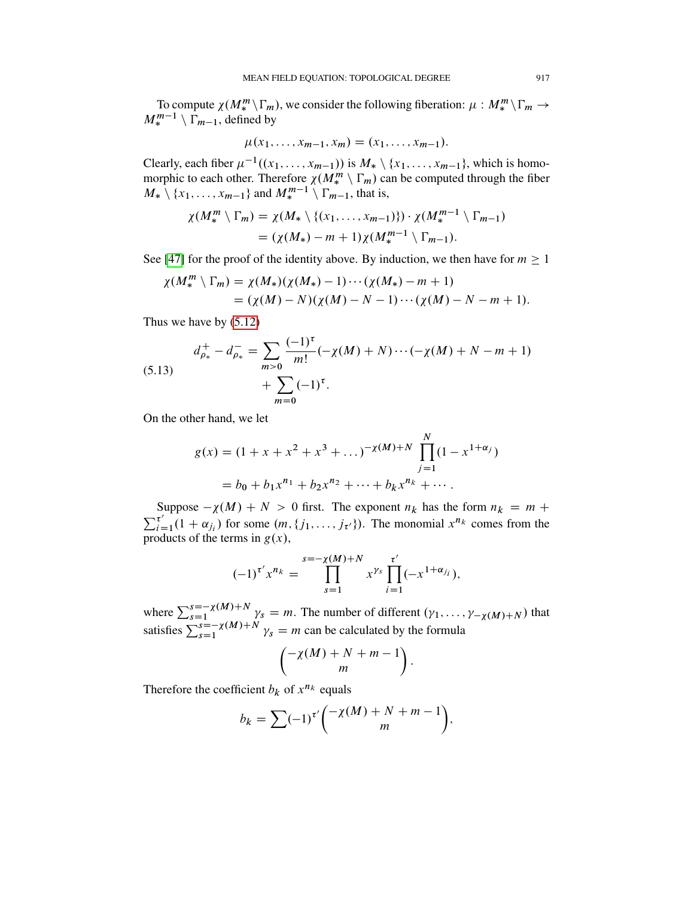To compute  $\chi(M^m_*)\Gamma_m$ , we consider the following fiberation:  $\mu: M^m_*\backslash \Gamma_m \to$  $M_{*}^{m-1} \setminus \Gamma_{m-1}$ , defined by

$$
\mu(x_1,\ldots,x_{m-1},x_m)=(x_1,\ldots,x_{m-1}).
$$

Clearly, each fiber  $\mu^{-1}((x_1,\ldots,x_{m-1}))$  is  $M_* \setminus \{x_1,\ldots,x_{m-1}\}$ , which is homomorphic to each other. Therefore  $\chi(M^m_*) \Gamma_m$  can be computed through the fiber  $M_* \setminus \{x_1, \ldots, x_{m-1}\}\$ and  $M_*^{m-1} \setminus \Gamma_{m-1}$ , that is,

$$
\chi(M^m_* \setminus \Gamma_m) = \chi(M_* \setminus \{(x_1, \ldots, x_{m-1})\}) \cdot \chi(M^{m-1}_* \setminus \Gamma_{m-1})
$$
  
= 
$$
(\chi(M_*) - m + 1) \chi(M^{m-1}_* \setminus \Gamma_{m-1}).
$$

See [\[47\]](#page-59-12) for the proof of the identity above. By induction, we then have for  $m \ge 1$ 

$$
\chi(M^m_\ast \setminus \Gamma_m) = \chi(M_\ast)(\chi(M_\ast) - 1) \cdots (\chi(M_\ast) - m + 1)
$$
  
= (\chi(M) - N)(\chi(M) - N - 1) \cdots (\chi(M) - N - m + 1).

Thus we have by [\(5.12\)](#page-29-2)

<span id="page-30-0"></span>(5.13) 
$$
d_{\rho_{*}}^{+} - d_{\rho_{*}}^{-} = \sum_{m>0} \frac{(-1)^{\tau}}{m!} (-\chi(M) + N) \cdots (-\chi(M) + N - m + 1) + \sum_{m=0}^{\infty} (-1)^{\tau}.
$$

On the other hand, we let

$$
g(x) = (1 + x + x2 + x3 + ...)^{-\chi(M) + N} \prod_{j=1}^{N} (1 - x1+\alpha_j)
$$
  
= b<sub>0</sub> + b<sub>1</sub>x<sup>n<sub>1</sub></sup> + b<sub>2</sub>x<sup>n<sub>2</sub></sup> + ... + b<sub>k</sub>x<sup>n<sub>k</sub></sup> + ...

Suppose  $-\chi(M) + N > 0$  first. The exponent  $n_k$  has the form  $n_k = m +$  $\sum_{i=1}^{\tau'}$  $\tau_{i=1}^{\tau'}(1+\alpha_{j_i})$  for some  $(m, \{j_1, \ldots, j_{\tau'}\})$ . The monomial  $x^{n_k}$  comes from the products of the terms in  $g(x)$ ,

$$
(-1)^{\tau'} x^{n_k} = \prod_{s=1}^{s=-\chi(M)+N} x^{\gamma_s} \prod_{i=1}^{\tau'} (-x^{1+\alpha_{j_i}}),
$$

where  $\sum_{s=1}^{s=-\chi(M)+N} \gamma_s = m$ . The number of different  $(\gamma_1, \ldots, \gamma_{-\chi(M)+N})$  that satisfies  $\sum_{s=1}^{\infty} \sum_{s=1}^{\infty} \chi(M) + N \gamma_s = m$  can be calculated by the formula

$$
\left(\begin{matrix} -\chi(M) + N + m - 1 \\ m \end{matrix}\right).
$$

Therefore the coefficient  $b_k$  of  $x^{n_k}$  equals

$$
b_k = \sum (-1)^{\tau'} \binom{-\chi(M) + N + m - 1}{m},
$$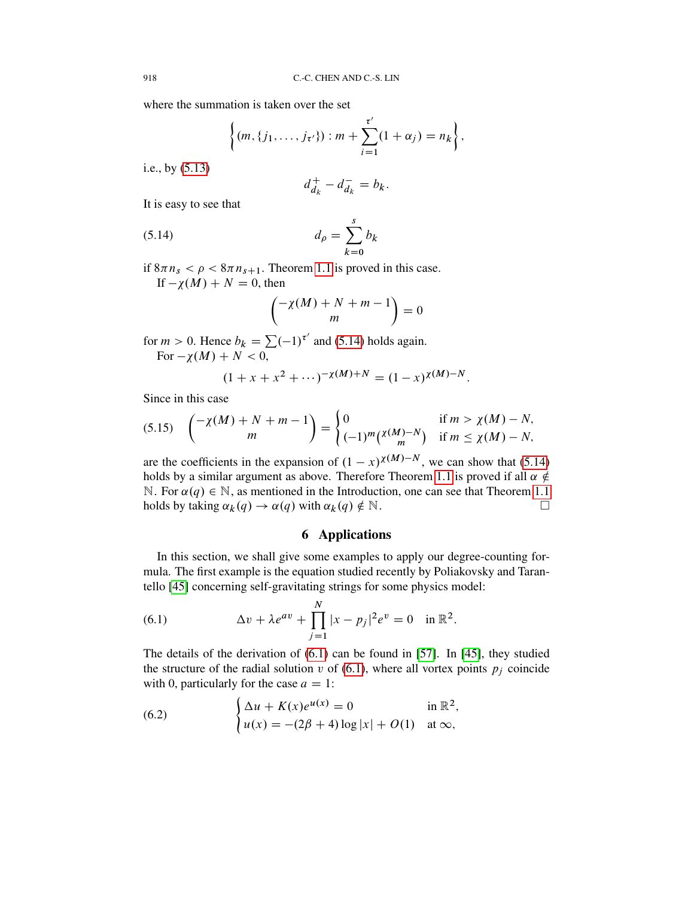where the summation is taken over the set

$$
\left\{(m,\{j_1,\ldots,j_{\tau'}\}):m+\sum_{i=1}^{\tau'}(1+\alpha_j)=n_k\right\},\,
$$

i.e., by [\(5.13\)](#page-30-0)

<span id="page-31-1"></span>
$$
d_{d_k}^+ - d_{d_k}^- = b_k.
$$

It is easy to see that

$$
d_{\rho} = \sum_{k=0}^{s} b_k
$$

if  $8\pi n_s < \rho < 8\pi n_{s+1}$ . Theorem [1.1](#page-3-2) is proved in this case. If  $-\chi(M) + N = 0$ , then

$$
\begin{pmatrix} -\chi(M) + N + m - 1 \\ m \end{pmatrix} = 0
$$

for  $m > 0$ . Hence  $b_k = \sum (-1)^{\tau'}$  and [\(5.14\)](#page-31-1) holds again. For  $-\chi(M) + N < 0$ ,

$$
(1 + x + x2 + \cdots)-x(M)+N = (1 - x)x(M)-N.
$$

Since in this case

(5.15) 
$$
{\binom{-\chi(M)+N+m-1}{m}} = {\begin{cases} 0 & \text{if } m > \chi(M)-N, \\ (-1)^m {\binom{\chi(M)-N}{m}} & \text{if } m \le \chi(M)-N, \end{cases}}
$$

are the coefficients in the expansion of  $(1 - x)^{\chi(M)-N}$ , we can show that [\(5.14\)](#page-31-1) holds by a similar argument as above. Therefore Theorem [1.1](#page-3-2) is proved if all  $\alpha \notin$ N. For  $\alpha(q) \in \mathbb{N}$ , as mentioned in the Introduction, one can see that Theorem [1.1](#page-3-2) holds by taking  $\alpha_k(q) \to \alpha(q)$  with  $\alpha_k(q) \notin \mathbb{N}$ .

# 6 Applications

<span id="page-31-0"></span>In this section, we shall give some examples to apply our degree-counting formula. The first example is the equation studied recently by Poliakovsky and Tarantello [\[45\]](#page-59-13) concerning self-gravitating strings for some physics model:

<span id="page-31-2"></span>(6.1) 
$$
\Delta v + \lambda e^{av} + \prod_{j=1}^{N} |x - p_j|^2 e^v = 0 \text{ in } \mathbb{R}^2.
$$

The details of the derivation of [\(6.1\)](#page-31-2) can be found in [\[57\]](#page-60-2). In [\[45\]](#page-59-13), they studied the structure of the radial solution v of  $(6.1)$ , where all vortex points  $p_i$  coincide with 0, particularly for the case  $a = 1$ :

<span id="page-31-3"></span>(6.2) 
$$
\begin{cases} \Delta u + K(x)e^{u(x)} = 0 & \text{in } \mathbb{R}^2, \\ u(x) = -(2\beta + 4)\log|x| + O(1) & \text{at } \infty, \end{cases}
$$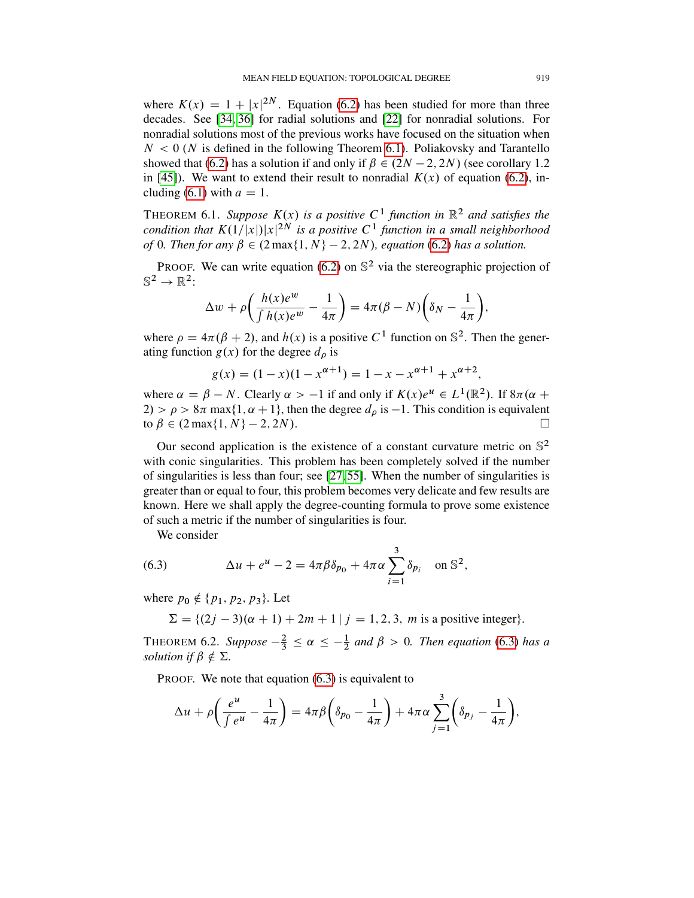where  $K(x) = 1 + |x|^{2N}$ . Equation [\(6.2\)](#page-31-3) has been studied for more than three decades. See [\[34,](#page-59-14) [36\]](#page-59-15) for radial solutions and [\[22\]](#page-58-16) for nonradial solutions. For nonradial solutions most of the previous works have focused on the situation when  $N < 0$  (N is defined in the following Theorem [6.1\)](#page-32-0). Poliakovsky and Tarantello showed that [\(6.2\)](#page-31-3) has a solution if and only if  $\beta \in (2N-2, 2N)$  (see corollary 1.2) in [\[45\]](#page-59-13)). We want to extend their result to nonradial  $K(x)$  of equation [\(6.2\)](#page-31-3), in-cluding [\(6.1\)](#page-31-2) with  $a = 1$ .

<span id="page-32-0"></span>THEOREM 6.1. Suppose  $K(x)$  is a positive  $C<sup>1</sup>$  function in  $\mathbb{R}^2$  and satisfies the *condition that*  $K(1/|x|)|x|^{2N}$  is a positive  $C<sup>1</sup>$  function in a small neighborhood *of* 0*. Then for any*  $\beta \in (2 \max\{1, N\} - 2, 2N)$ *, equation* [\(6.2\)](#page-31-3) *has a solution.* 

PROOF. We can write equation [\(6.2\)](#page-31-3) on  $\mathbb{S}^2$  via the stereographic projection of  $\mathbb{S}^2 \to \mathbb{R}^2$ :

$$
\Delta w + \rho \bigg( \frac{h(x)e^w}{\int h(x)e^w} - \frac{1}{4\pi} \bigg) = 4\pi (\beta - N) \bigg( \delta_N - \frac{1}{4\pi} \bigg),
$$

where  $\rho = 4\pi(\beta + 2)$ , and  $h(x)$  is a positive C<sup>1</sup> function on S<sup>2</sup>. Then the generating function  $g(x)$  for the degree  $d_{\rho}$  is

$$
g(x) = (1 - x)(1 - x^{\alpha + 1}) = 1 - x - x^{\alpha + 1} + x^{\alpha + 2},
$$

where  $\alpha = \beta - N$ . Clearly  $\alpha > -1$  if and only if  $K(x)e^{u} \in L^{1}(\mathbb{R}^{2})$ . If  $8\pi(\alpha +$  $2) > \rho > 8\pi$  max $\{1, \alpha + 1\}$ , then the degree  $d_{\rho}$  is  $-1$ . This condition is equivalent to  $\beta \in (2 \max\{1, N\} - 2, 2N)$ .

Our second application is the existence of a constant curvature metric on  $\mathbb{S}^2$ with conic singularities. This problem has been completely solved if the number of singularities is less than four; see [\[27,](#page-59-16) [55\]](#page-60-5). When the number of singularities is greater than or equal to four, this problem becomes very delicate and few results are known. Here we shall apply the degree-counting formula to prove some existence of such a metric if the number of singularities is four.

<span id="page-32-1"></span>We consider

(6.3) 
$$
\Delta u + e^{u} - 2 = 4\pi \beta \delta_{p_0} + 4\pi \alpha \sum_{i=1}^{3} \delta_{p_i} \text{ on } \mathbb{S}^2,
$$

where  $p_0 \notin \{p_1, p_2, p_3\}$ . Let

 $\Sigma = \{(2j - 3)(\alpha + 1) + 2m + 1 | j = 1, 2, 3, m \text{ is a positive integer}\}.$ 

THEOREM 6.2. *Suppose*  $-\frac{2}{3} \le \alpha \le -\frac{1}{2}$  and  $\beta > 0$ . *Then equation* [\(6.3\)](#page-32-1) *has a solution if*  $\beta \notin \Sigma$ .

PROOF. We note that equation  $(6.3)$  is equivalent to

$$
\Delta u + \rho \left( \frac{e^u}{\int e^u} - \frac{1}{4\pi} \right) = 4\pi \beta \left( \delta_{p_0} - \frac{1}{4\pi} \right) + 4\pi \alpha \sum_{j=1}^3 \left( \delta_{p_j} - \frac{1}{4\pi} \right),
$$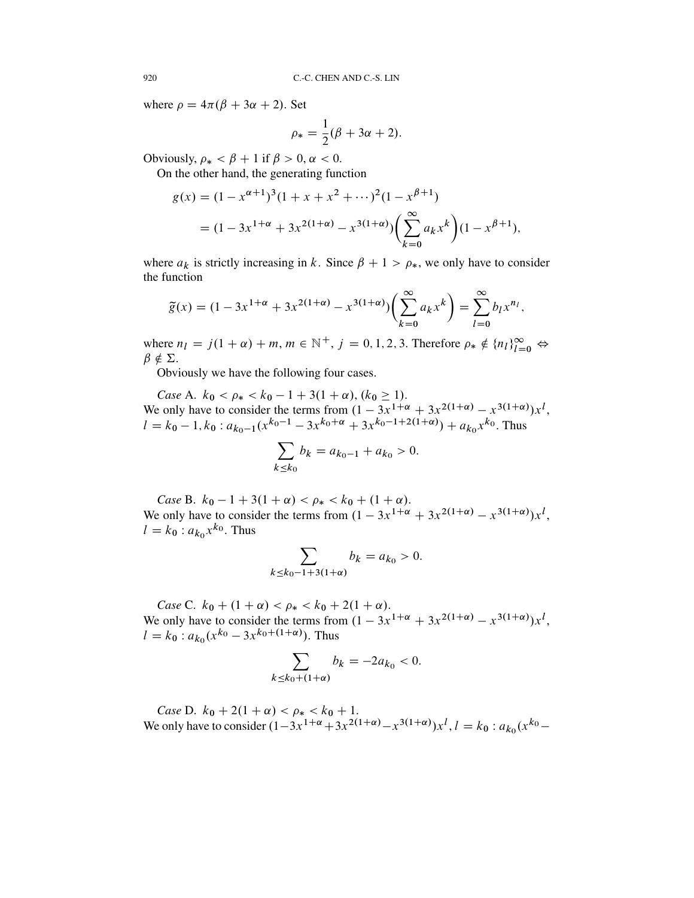where  $\rho = 4\pi(\beta + 3\alpha + 2)$ . Set

$$
\rho_* = \frac{1}{2}(\beta + 3\alpha + 2).
$$

Obviously,  $\rho_* < \beta + 1$  if  $\beta > 0$ ,  $\alpha < 0$ .

On the other hand, the generating function

$$
g(x) = (1 - x^{\alpha+1})^3 (1 + x + x^2 + \cdots)^2 (1 - x^{\beta+1})
$$
  
=  $(1 - 3x^{1+\alpha} + 3x^{2(1+\alpha)} - x^{3(1+\alpha)}) \left(\sum_{k=0}^{\infty} a_k x^k\right) (1 - x^{\beta+1}),$ 

where  $a_k$  is strictly increasing in k. Since  $\beta + 1 > \rho_*$ , we only have to consider the function

$$
\widetilde{g}(x) = (1 - 3x^{1+\alpha} + 3x^{2(1+\alpha)} - x^{3(1+\alpha)}) \left(\sum_{k=0}^{\infty} a_k x^k\right) = \sum_{l=0}^{\infty} b_l x^{n_l},
$$

where  $n_l = j(1 + \alpha) + m, m \in \mathbb{N}^+, j = 0, 1, 2, 3$ . Therefore  $\rho_* \notin \{n_l\}_{l=0}^{\infty} \Leftrightarrow$  $\beta \notin \Sigma$ .

Obviously we have the following four cases.

*Case* A.  $k_0 < \rho_* < k_0 - 1 + 3(1 + \alpha)$ ,  $(k_0 \ge 1)$ . We only have to consider the terms from  $(1 - 3x^{1+\alpha} + 3x^{2(1+\alpha)} - x^{3(1+\alpha)})x^l$ ,  $l = k_0 - 1, k_0 : a_{k_0-1}(x^{k_0-1} - 3x^{k_0+\alpha} + 3x^{k_0-1+2(1+\alpha)}) + a_{k_0}x^{k_0}$ . Thus

$$
\sum_{k \le k_0} b_k = a_{k_0 - 1} + a_{k_0} > 0.
$$

*Case* B.  $k_0 - 1 + 3(1 + \alpha) < \rho_* < k_0 + (1 + \alpha)$ . We only have to consider the terms from  $(1 - 3x^{1+\alpha} + 3x^{2(1+\alpha)} - x^{3(1+\alpha)})x^l$ ,  $l = k_0 : a_{k_0} x^{k_0}$ . Thus

$$
\sum_{k \le k_0 - 1 + 3(1 + \alpha)} b_k = a_{k_0} > 0.
$$

*Case* C.  $k_0 + (1 + \alpha) < \rho_* < k_0 + 2(1 + \alpha)$ . We only have to consider the terms from  $(1 - 3x^{1+\alpha} + 3x^{2(1+\alpha)} - x^{3(1+\alpha)})x^l$ ,  $l = k_0$ :  $a_{k_0}(x^{k_0} - 3x^{k_0 + (1 + \alpha)})$ . Thus

$$
\sum_{k \le k_0 + (1+\alpha)} b_k = -2a_{k_0} < 0.
$$

*Case* D.  $k_0 + 2(1 + \alpha) < \rho_* < k_0 + 1$ . We only have to consider  $(1-3x^{1+\alpha}+3x^{2(1+\alpha)}-x^{3(1+\alpha)})x^{l}$ ,  $l = k_0 : a_{k_0}(x^{k_0}-x^{3(1+\alpha)})$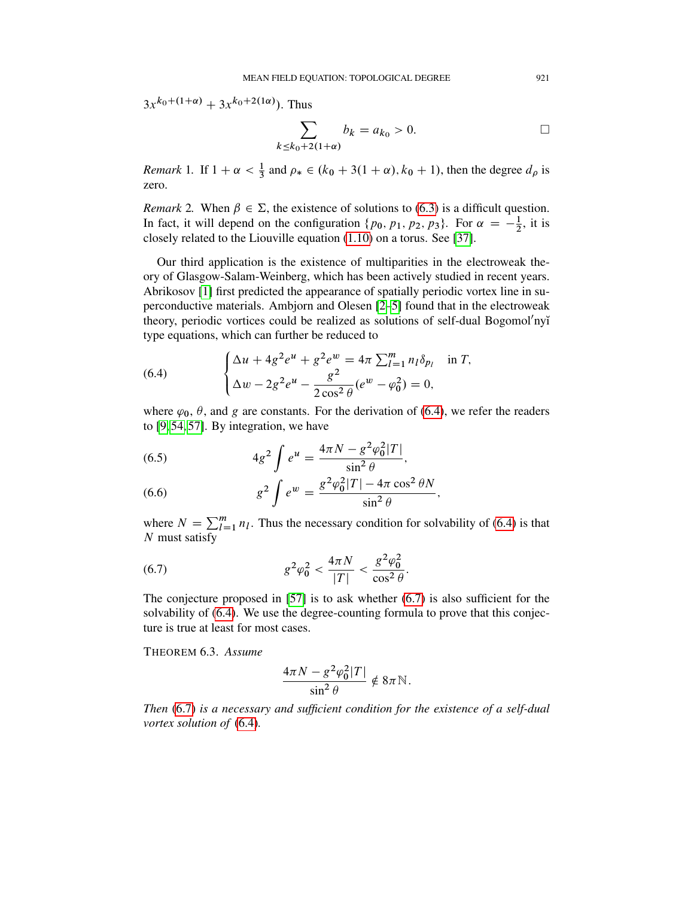$3x^{k_0+(1+\alpha)} + 3x^{k_0+2(1\alpha)}$ . Thus

$$
\sum_{k \le k_0 + 2(1+\alpha)} b_k = a_{k_0} > 0. \qquad \qquad \Box
$$

*Remark* 1. If  $1 + \alpha < \frac{1}{3}$  and  $\rho_* \in (k_0 + 3(1 + \alpha), k_0 + 1)$ , then the degree  $d_\rho$  is zero.

*Remark* 2. When  $\beta \in \Sigma$ , the existence of solutions to [\(6.3\)](#page-32-1) is a difficult question. In fact, it will depend on the configuration  $\{p_0, p_1, p_2, p_3\}$ . For  $\alpha = -\frac{1}{2}$  $\frac{1}{2}$ , it is closely related to the Liouville equation [\(1.10\)](#page-3-0) on a torus. See [\[37\]](#page-59-17).

Our third application is the existence of multiparities in the electroweak theory of Glasgow-Salam-Weinberg, which has been actively studied in recent years. Abrikosov [\[1\]](#page-57-1) first predicted the appearance of spatially periodic vortex line in superconductive materials. Ambjorn and Olesen [\[2](#page-57-2)[–5\]](#page-57-0) found that in the electroweak theory, periodic vortices could be realized as solutions of self-dual Bogomol'nyĭ type equations, which can further be reduced to

<span id="page-34-0"></span>(6.4) 
$$
\begin{cases} \Delta u + 4g^2 e^u + g^2 e^w = 4\pi \sum_{l=1}^m n_l \delta_{pl} & \text{in } T, \\ \Delta w - 2g^2 e^u - \frac{g^2}{2 \cos^2 \theta} (e^w - \varphi_0^2) = 0, \end{cases}
$$

where  $\varphi_0$ ,  $\theta$ , and g are constants. For the derivation of [\(6.4\)](#page-34-0), we refer the readers to [\[9,](#page-58-17) [54,](#page-60-1) [57\]](#page-60-2). By integration, we have

<span id="page-34-2"></span>(6.5) 
$$
4g^2 \int e^u = \frac{4\pi N - g^2 \varphi_0^2 |T|}{\sin^2 \theta},
$$

<span id="page-34-3"></span>(6.6) 
$$
g^{2} \int e^{w} = \frac{g^{2} \varphi_{0}^{2} |T| - 4 \pi \cos^{2} \theta N}{\sin^{2} \theta},
$$

where  $N = \sum_{l=1}^{m} n_l$ . Thus the necessary condition for solvability of [\(6.4\)](#page-34-0) is that N must satisfy

(6.7) 
$$
g^2 \varphi_0^2 < \frac{4\pi N}{|T|} < \frac{g^2 \varphi_0^2}{\cos^2 \theta}.
$$

The conjecture proposed in  $[57]$  is to ask whether  $(6.7)$  is also sufficient for the solvability of [\(6.4\)](#page-34-0). We use the degree-counting formula to prove that this conjecture is true at least for most cases.

THEOREM 6.3. *Assume*

<span id="page-34-1"></span>
$$
\frac{4\pi N - g^2 \varphi_0^2 |T|}{\sin^2 \theta} \notin 8\pi \mathbb{N}.
$$

*Then* [\(6.7\)](#page-34-1) *is a necessary and sufficient condition for the existence of a self-dual vortex solution of* [\(6.4\)](#page-34-0)*.*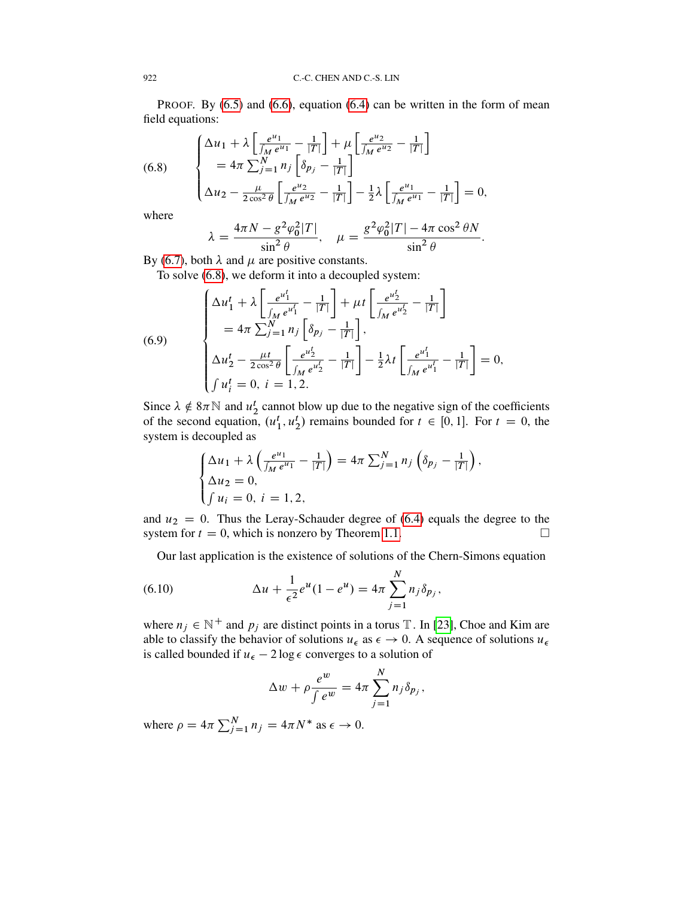PROOF. By  $(6.5)$  and  $(6.6)$ , equation  $(6.4)$  can be written in the form of mean field equations:

<span id="page-35-0"></span>(6.8) 
$$
\begin{cases} \Delta u_1 + \lambda \left[ \frac{e^{u_1}}{\int_M e^{u_1}} - \frac{1}{|T|} \right] + \mu \left[ \frac{e^{u_2}}{\int_M e^{u_2}} - \frac{1}{|T|} \right] \\ = 4\pi \sum_{j=1}^N n_j \left[ \delta_{p_j} - \frac{1}{|T|} \right] \\ \Delta u_2 - \frac{\mu}{2\cos^2 \theta} \left[ \frac{e^{u_2}}{\int_M e^{u_2}} - \frac{1}{|T|} \right] - \frac{1}{2} \lambda \left[ \frac{e^{u_1}}{\int_M e^{u_1}} - \frac{1}{|T|} \right] = 0, \end{cases}
$$

where

$$
\lambda = \frac{4\pi N - g^2 \varphi_0^2 |T|}{\sin^2 \theta}, \quad \mu = \frac{g^2 \varphi_0^2 |T| - 4\pi \cos^2 \theta N}{\sin^2 \theta}.
$$

By [\(6.7\)](#page-34-1), both  $\lambda$  and  $\mu$  are positive constants.

To solve [\(6.8\)](#page-35-0), we deform it into a decoupled system:

(6.9)  

$$
\begin{cases}\n\Delta u_1^t + \lambda \left[ \frac{e^{u_1^t}}{\int_M e^{u_1^t}} - \frac{1}{|T|} \right] + \mu t \left[ \frac{e^{u_2^t}}{\int_M e^{u_2^t}} - \frac{1}{|T|} \right] \\
= 4\pi \sum_{j=1}^N n_j \left[ \delta_{p_j} - \frac{1}{|T|} \right], \\
\Delta u_2^t - \frac{\mu t}{2 \cos^2 \theta} \left[ \frac{e^{u_2^t}}{\int_M e^{u_2^t}} - \frac{1}{|T|} \right] - \frac{1}{2} \lambda t \left[ \frac{e^{u_1^t}}{\int_M e^{u_1^t}} - \frac{1}{|T|} \right] = 0, \\
\int u_i^t = 0, \quad i = 1, 2.\n\end{cases}
$$

Since  $\lambda \notin 8\pi \mathbb{N}$  and  $u_2^t$  cannot blow up due to the negative sign of the coefficients of the second equation,  $(u_1^t, u_2^t)$  remains bounded for  $t \in [0, 1]$ . For  $t = 0$ , the system is decoupled as

$$
\begin{cases} \Delta u_1 + \lambda \left( \frac{e^{u_1}}{\int_M e^{u_1}} - \frac{1}{|T|} \right) = 4\pi \sum_{j=1}^N n_j \left( \delta_{p_j} - \frac{1}{|T|} \right), \\ \Delta u_2 = 0, \\ \int u_i = 0, \ i = 1, 2, \end{cases}
$$

and  $u_2 = 0$ . Thus the Leray-Schauder degree of [\(6.4\)](#page-34-0) equals the degree to the system for  $t = 0$ , which is nonzero by Theorem [1.1.](#page-3-2)

Our last application is the existence of solutions of the Chern-Simons equation

(6.10) 
$$
\Delta u + \frac{1}{\epsilon^2} e^u (1 - e^u) = 4\pi \sum_{j=1}^N n_j \delta_{p_j},
$$

where  $n_j \in \mathbb{N}^+$  and  $p_j$  are distinct points in a torus T. In [\[23\]](#page-58-18), Choe and Kim are able to classify the behavior of solutions  $u_{\epsilon}$  as  $\epsilon \to 0$ . A sequence of solutions  $u_{\epsilon}$ is called bounded if  $u_{\epsilon} - 2 \log \epsilon$  converges to a solution of

<span id="page-35-1"></span>
$$
\Delta w + \rho \frac{e^w}{\int e^w} = 4\pi \sum_{j=1}^N n_j \delta_{p_j},
$$

where  $\rho = 4\pi \sum_{j=1}^{N} n_j = 4\pi N^*$  as  $\epsilon \to 0$ .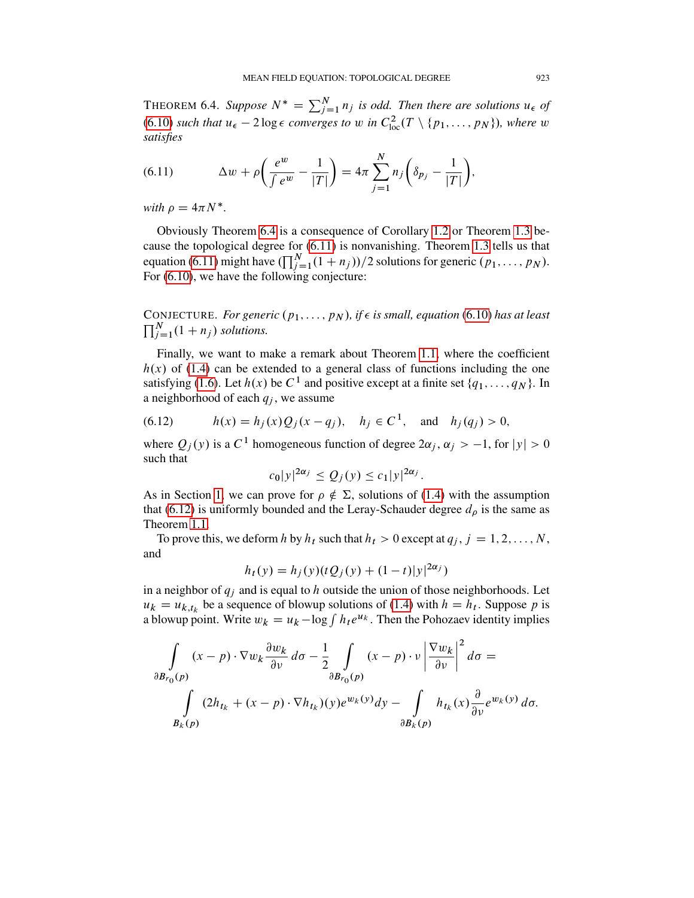<span id="page-36-0"></span>THEOREM 6.4. Suppose  $N^* = \sum_{j=1}^{N} n_j$  is odd. Then there are solutions  $u_{\epsilon}$  of [\(6.10\)](#page-35-1) *such that*  $u_{\epsilon} - 2 \log \epsilon$  *converges to* w *in*  $C_{\text{loc}}^2(T \setminus \{p_1, \ldots, p_N\})$ *, where* w *satisfies*

<span id="page-36-1"></span>(6.11) 
$$
\Delta w + \rho \left( \frac{e^w}{\int e^w} - \frac{1}{|T|} \right) = 4\pi \sum_{j=1}^N n_j \left( \delta_{p_j} - \frac{1}{|T|} \right),
$$

with  $\rho = 4\pi N^*$ .

Obviously Theorem [6.4](#page-36-0) is a consequence of Corollary [1.2](#page-3-3) or Theorem [1.3](#page-4-0) because the topological degree for [\(6.11\)](#page-36-1) is nonvanishing. Theorem [1.3](#page-4-0) tells us that equation [\(6.11\)](#page-36-1) might have  $(\prod_{j=1}^{N}(1 + n_j))/2$  solutions for generic  $(p_1, \ldots, p_N)$ . For [\(6.10\)](#page-35-1), we have the following conjecture:

CONJECTURE. *For generic*  $(p_1, \ldots, p_N)$ *, if*  $\epsilon$  *is small, equation* [\(6.10\)](#page-35-1) *has at least*  $\prod_{j=1}^{N} (1 + n_j)$  solutions.

Finally, we want to make a remark about Theorem [1.1,](#page-3-2) where the coefficient  $h(x)$  of [\(1.4\)](#page-1-0) can be extended to a general class of functions including the one satisfying [\(1.6\)](#page-1-1). Let  $h(x)$  be  $C^1$  and positive except at a finite set  $\{q_1, \ldots, q_N\}$ . In a neighborhood of each  $q_i$ , we assume

<span id="page-36-2"></span>(6.12) 
$$
h(x) = h_j(x)Q_j(x - q_j), \quad h_j \in C^1, \text{ and } h_j(q_j) > 0,
$$

where  $Q_j(y)$  is a C<sup>1</sup> homogeneous function of degree  $2\alpha_j$ ,  $\alpha_j > -1$ , for  $|y| > 0$ such that

$$
c_0|y|^{2\alpha_j} \le Q_j(y) \le c_1|y|^{2\alpha_j}.
$$

As in Section [1,](#page-0-1) we can prove for  $\rho \notin \Sigma$ , solutions of [\(1.4\)](#page-1-0) with the assumption that [\(6.12\)](#page-36-2) is uniformly bounded and the Leray-Schauder degree  $d_{\rho}$  is the same as Theorem [1.1.](#page-3-2)

To prove this, we deform h by  $h_t$  such that  $h_t > 0$  except at  $q_j, j = 1, 2, ..., N$ , and

$$
h_t(y) = h_j(y)(tQ_j(y) + (1-t)|y|^{2\alpha_j})
$$

in a neighbor of  $q_j$  and is equal to h outside the union of those neighborhoods. Let  $u_k = u_{k,t_k}$  be a sequence of blowup solutions of [\(1.4\)](#page-1-0) with  $h = h_t$ . Suppose p is a blowup point. Write  $w_k = u_k - \log \int h_t e^{u_k}$ . Then the Pohozaev identity implies

$$
\int_{\partial B_{r_0}(p)} (x - p) \cdot \nabla w_k \frac{\partial w_k}{\partial v} d\sigma - \frac{1}{2} \int_{\partial B_{r_0}(p)} (x - p) \cdot v \left| \frac{\nabla w_k}{\partial v} \right|^2 d\sigma =
$$
\n
$$
\int_{B_k(p)} (2h_{t_k} + (x - p) \cdot \nabla h_{t_k})(y) e^{w_k(y)} dy - \int_{\partial B_k(p)} h_{t_k}(x) \frac{\partial}{\partial v} e^{w_k(y)} d\sigma.
$$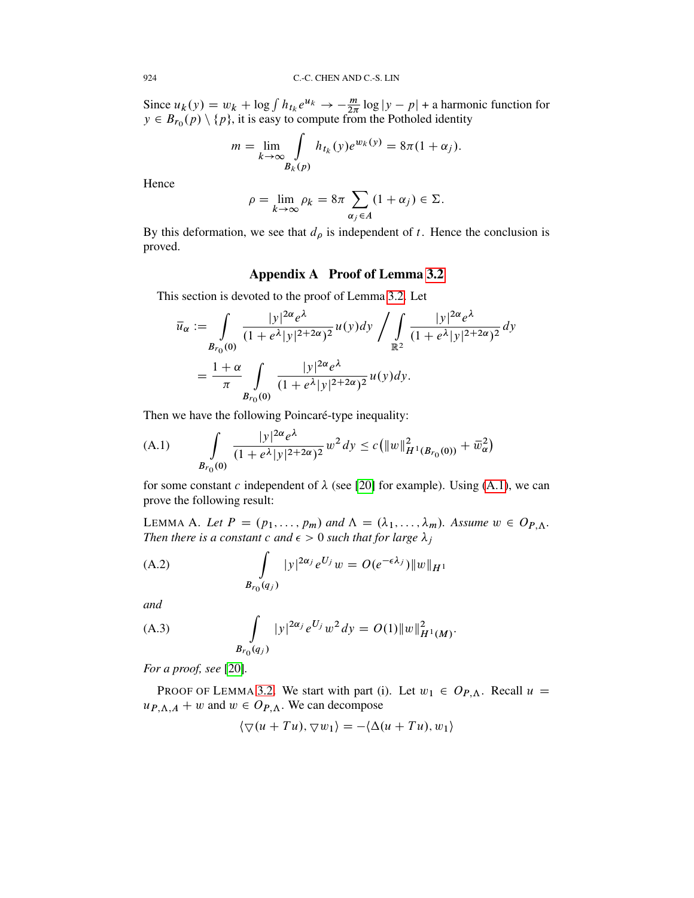Since  $u_k(y) = w_k + \log \int h_{t_k} e^{u_k} \to -\frac{m}{2\pi} \log |y - p| +$  a harmonic function for  $y \in B_{r_0}(p) \setminus \{p\}$ , it is easy to compute from the Potholed identity

$$
m = \lim_{k \to \infty} \int_{B_k(p)} h_{t_k}(y) e^{w_k(y)} = 8\pi (1 + \alpha_j).
$$

Hence

$$
\rho = \lim_{k \to \infty} \rho_k = 8\pi \sum_{\alpha_j \in A} (1 + \alpha_j) \in \Sigma.
$$

By this deformation, we see that  $d_{\rho}$  is independent of t. Hence the conclusion is proved.

## Appendix A Proof of Lemma [3.2](#page-20-1)

<span id="page-37-2"></span>This section is devoted to the proof of Lemma [3.2.](#page-20-1) Let

$$
\overline{u}_{\alpha} := \int_{B_{r_0}(0)} \frac{|y|^{2\alpha} e^{\lambda}}{(1 + e^{\lambda}|y|^{2 + 2\alpha})^2} u(y) dy \bigg/ \int_{\mathbb{R}^2} \frac{|y|^{2\alpha} e^{\lambda}}{(1 + e^{\lambda}|y|^{2 + 2\alpha})^2} dy
$$

$$
= \frac{1 + \alpha}{\pi} \int_{B_{r_0}(0)} \frac{|y|^{2\alpha} e^{\lambda}}{(1 + e^{\lambda}|y|^{2 + 2\alpha})^2} u(y) dy.
$$

Then we have the following Poincaré-type inequality:

<span id="page-37-3"></span>(A.1) 
$$
\int_{B_{r_0}(0)} \frac{|y|^{2\alpha} e^{\lambda}}{(1+e^{\lambda}|y|^{2+2\alpha})^2} w^2 dy \le c \left( \|w\|_{H^1(B_{r_0}(0))}^2 + \overline{w}_{\alpha}^2 \right)
$$

for some constant c independent of  $\lambda$  (see [\[20\]](#page-58-15) for example). Using [\(A.1\)](#page-37-3), we can prove the following result:

<span id="page-37-1"></span>LEMMA A. Let  $P = (p_1, \ldots, p_m)$  and  $\Lambda = (\lambda_1, \ldots, \lambda_m)$ . Assume  $w \in O_{P,\Lambda}$ . *Then there is a constant c and*  $\epsilon > 0$  *such that for large*  $\lambda_j$ 

<span id="page-37-0"></span>(A.2) 
$$
\int_{B_{r_0}(q_j)} |y|^{2\alpha_j} e^{U_j} w = O(e^{-\epsilon \lambda_j}) \|w\|_{H^1}
$$

*and*

(A.3) 
$$
\int_{B_{r_0}(q_j)} |y|^{2\alpha_j} e^{U_j} w^2 dy = O(1) ||w||_{H^1(M)}^2.
$$

*For a proof, see* [\[20\]](#page-58-15)*.*

PROOF OF LEMMA [3.2.](#page-20-1) We start with part (i). Let  $w_1 \in O_{P,\Lambda}$ . Recall  $u =$  $u_{P,\Lambda,A} + w$  and  $w \in O_{P,\Lambda}$ . We can decompose

$$
\langle \nabla(u+Tu), \nabla w_1 \rangle = -\langle \Delta(u+Tu), w_1 \rangle
$$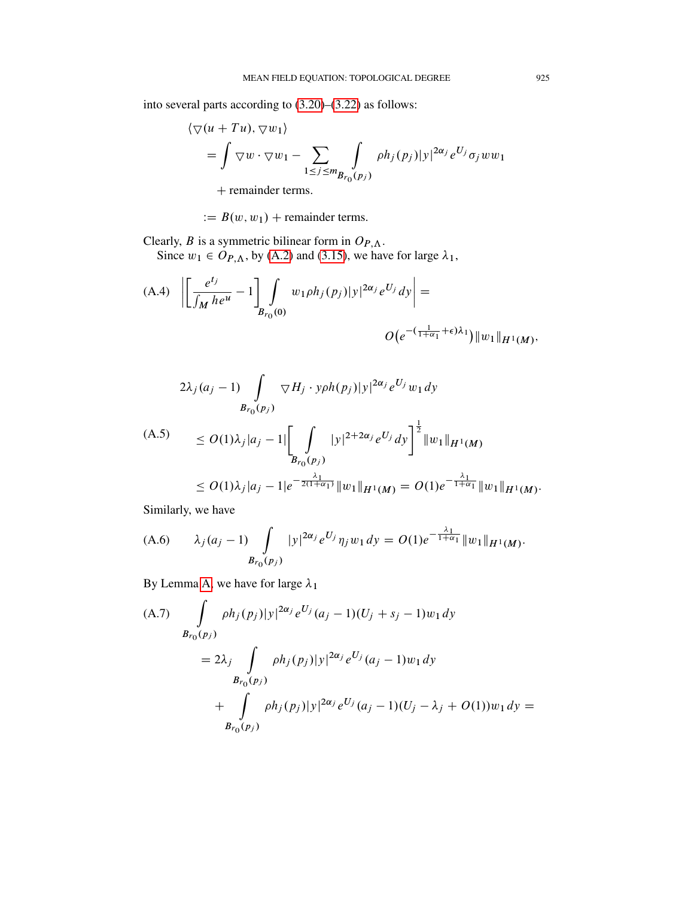into several parts according to [\(3.20\)](#page-19-0)–[\(3.22\)](#page-20-0) as follows:

$$
\langle \nabla(u+Tu), \nabla w_1 \rangle
$$
  
=  $\int \nabla w \cdot \nabla w_1 - \sum_{1 \le j \le m} \int_{B_{r_0}(p_j)} \rho h_j(p_j) |y|^{2\alpha_j} e^{U_j} \sigma_j w w_1$   
+ remainder terms

 $+$  remainder terms.

 $B(w, w_1)$  + remainder terms.

Clearly, B is a symmetric bilinear form in  $O_{P,\Lambda}$ . Since  $w_1 \in O_{P,\Lambda}$ , by [\(A.2\)](#page-37-0) and [\(3.15\)](#page-18-0), we have for large  $\lambda_1$ ,

<span id="page-38-0"></span>(A.4) 
$$
\left| \left[ \frac{e^{t_j}}{\int_M h e^u} - 1 \right] \int_{B_{r_0}(0)} w_1 \rho h_j(p_j) |y|^{2\alpha_j} e^{U_j} dy \right| =
$$
  

$$
O(e^{-(\frac{1}{1+\alpha_1} + \epsilon)\lambda_1}) ||w_1||_{H^1(M)},
$$

$$
2\lambda_j(a_j-1)\int\limits_{B_{r_0}(p_j)}\nabla H_j\cdot y\rho h(p_j)|y|^{2\alpha_j}e^{U_j}w_1dy
$$

$$
(A.5) \le O(1)\lambda_j |a_j - 1| \left[ \int_{B_{r_0}(p_j)} |y|^{2+2\alpha_j} e^{U_j} dy \right]^{\frac{1}{2}} \|w_1\|_{H^1(M)}
$$
  

$$
\le O(1)\lambda_j |a_j - 1| e^{-\frac{\lambda_1}{2(1+\alpha_1)}} \|w_1\|_{H^1(M)} = O(1) e^{-\frac{\lambda_1}{1+\alpha_1}} \|w_1\|_{H^1(M)}.
$$

Similarly, we have

(A.6) 
$$
\lambda_j(a_j-1) \int\limits_{B_{r_0}(p_j)} |y|^{2\alpha_j} e^{U_j} \eta_j w_1 dy = O(1) e^{-\frac{\lambda_1}{1+\alpha_1}} \|w_1\|_{H^1(M)}.
$$

By Lemma [A,](#page-37-1) we have for large  $\lambda_1$ 

(A.7) 
$$
\int_{B_{r_0}(p_j)} \rho h_j(p_j) |y|^{2\alpha_j} e^{U_j} (a_j - 1)(U_j + s_j - 1) w_1 dy
$$
  
=  $2\lambda_j \int_{B_{r_0}(p_j)} \rho h_j(p_j) |y|^{2\alpha_j} e^{U_j} (a_j - 1) w_1 dy$   
+ 
$$
\int_{B_{r_0}(p_j)} \rho h_j(p_j) |y|^{2\alpha_j} e^{U_j} (a_j - 1)(U_j - \lambda_j + O(1)) w_1 dy =
$$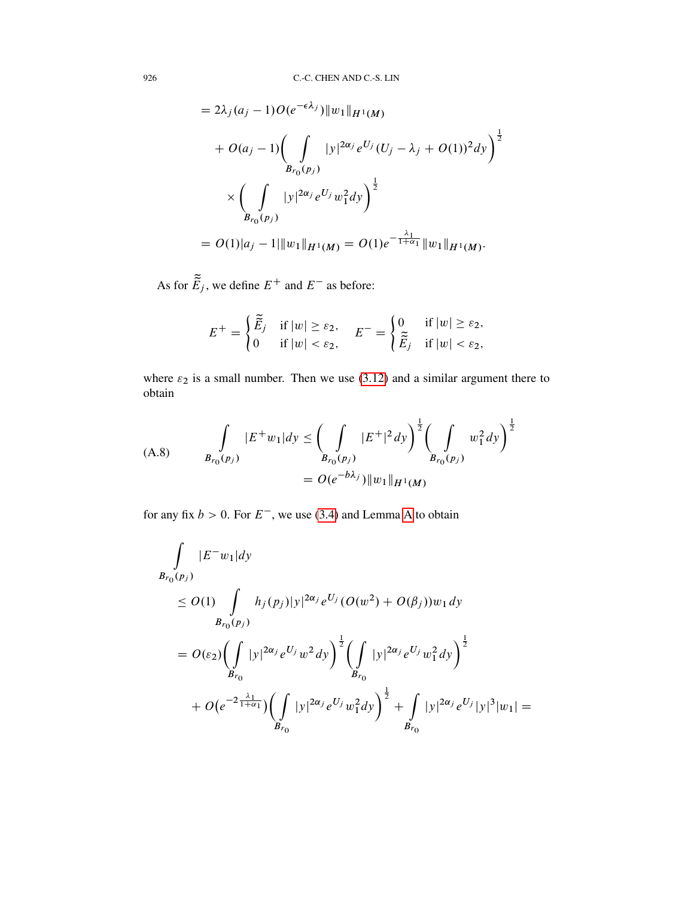$$
= 2\lambda_j (a_j - 1) O(e^{-\epsilon \lambda_j}) \|w_1\|_{H^1(M)}
$$
  
+  $O(a_j - 1) \left( \int_{B_{r_0}(p_j)} |y|^{2\alpha_j} e^{U_j} (U_j - \lambda_j + O(1))^2 dy \right)^{\frac{1}{2}}$   

$$
\times \left( \int_{B_{r_0}(p_j)} |y|^{2\alpha_j} e^{U_j} w_1^2 dy \right)^{\frac{1}{2}}
$$
  
=  $O(1)|a_j - 1| \|w_1\|_{H^1(M)} = O(1)e^{-\frac{\lambda_1}{1 + \alpha_1}} \|w_1\|_{H^1(M)}.$ 

As for  $\tilde{E}_j$ , we define  $E^+$  and  $E^-$  as before:

$$
E^+ = \begin{cases} \widetilde{\tilde{E}}_j & \text{if } |w| \ge \varepsilon_2, \\ 0 & \text{if } |w| < \varepsilon_2, \end{cases} \quad E^- = \begin{cases} 0 & \text{if } |w| \ge \varepsilon_2, \\ \widetilde{\tilde{E}}_j & \text{if } |w| < \varepsilon_2, \end{cases}
$$

where  $\varepsilon_2$  is a small number. Then we use [\(3.12\)](#page-17-1) and a similar argument there to obtain

(A.8) 
$$
\int_{B_{r_0}(p_j)} |E^+w_1| dy \leq \left(\int_{B_{r_0}(p_j)} |E^+|^2 dy\right)^{\frac{1}{2}} \left(\int_{B_{r_0}(p_j)} w_1^2 dy\right)^{\frac{1}{2}}
$$

$$
= O(e^{-b\lambda_j}) \|w_1\|_{H^1(M)}
$$

for any fix  $b > 0$ . For  $E^-$ , we use [\(3.4\)](#page-13-0) and Lemma [A](#page-37-1) to obtain

$$
\int_{B_{r_0}(p_j)} |E^- w_1| dy
$$
\n
$$
\leq O(1) \int_{B_{r_0}(p_j)} h_j(p_j) |y|^{2\alpha_j} e^{U_j} (O(w^2) + O(\beta_j)) w_1 dy
$$
\n
$$
= O(\varepsilon_2) \Biggl(\int_{B_{r_0}} |y|^{2\alpha_j} e^{U_j} w^2 dy\Biggr)^{\frac{1}{2}} \Biggl(\int_{B_{r_0}} |y|^{2\alpha_j} e^{U_j} w_1^2 dy\Biggr)^{\frac{1}{2}}
$$
\n
$$
+ O(e^{-2\frac{\lambda_1}{1+\alpha_1}}) \Biggl(\int_{B_{r_0}} |y|^{2\alpha_j} e^{U_j} w_1^2 dy\Biggr)^{\frac{1}{2}} + \int_{B_{r_0}} |y|^{2\alpha_j} e^{U_j} |y|^3 |w_1| =
$$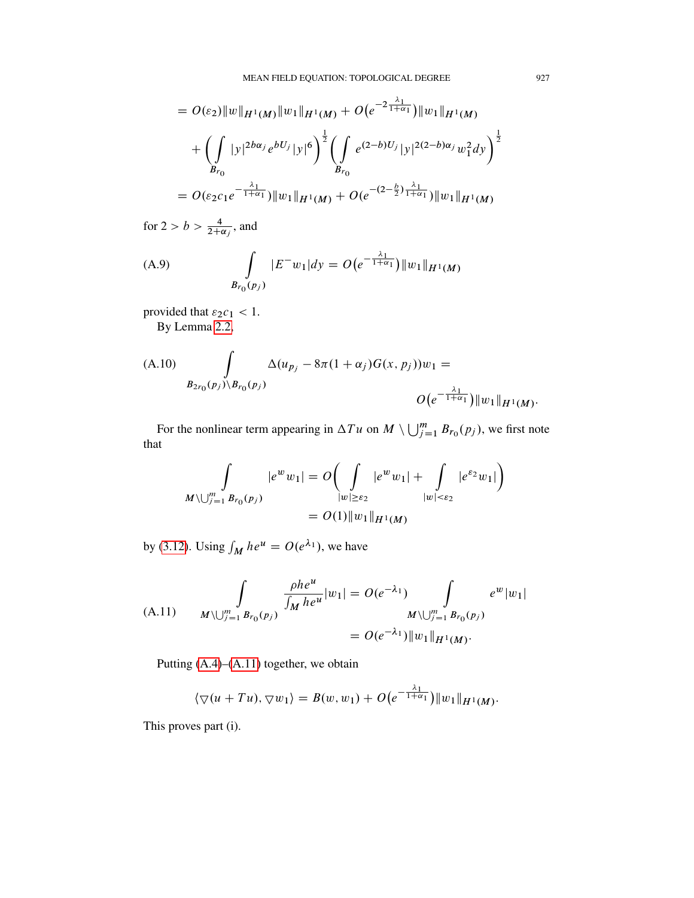$$
= O(\varepsilon_2) \|w\|_{H^1(M)} \|w_1\|_{H^1(M)} + O(e^{-2\frac{\lambda_1}{1+\alpha_1}}) \|w_1\|_{H^1(M)} + \left(\int_{B_{r_0}} |y|^{2b\alpha_j} e^{bU_j} |y|^6 \right)^{\frac{1}{2}} \left(\int_{B_{r_0}} e^{(2-b)U_j} |y|^{2(2-b)\alpha_j} w_1^2 dy \right)^{\frac{1}{2}} = O(\varepsilon_2 c_1 e^{-\frac{\lambda_1}{1+\alpha_1}}) \|w_1\|_{H^1(M)} + O(e^{-(2-\frac{b}{2})\frac{\lambda_1}{1+\alpha_1}}) \|w_1\|_{H^1(M)}
$$

for 
$$
2 > b > \frac{4}{2+\alpha_j}
$$
, and

(A.9) 
$$
\int_{B_{r_0}(p_j)} |E^-w_1| dy = O(e^{-\frac{\lambda_1}{1+\alpha_1}}) \|w_1\|_{H^1(M)}
$$

provided that  $\varepsilon_2 c_1 < 1$ .

By Lemma [2.2,](#page-11-0)

(A.10) 
$$
\int_{B_{2r_0}(p_j)\backslash B_{r_0}(p_j)} \Delta(u_{p_j}-8\pi(1+\alpha_j)G(x, p_j))w_1 = \qquad \qquad O\big(e^{-\frac{\lambda_1}{1+\alpha_1}}\big)\|w_1\|_{H^1(M)}.
$$

For the nonlinear term appearing in  $\Delta T u$  on  $M \setminus \bigcup_{j=1}^{m} B_{r_0}(p_j)$ , we first note that

$$
\int_{M \setminus \bigcup_{j=1}^{m} B_{r_0}(p_j)} |e^w w_1| = O\left(\int_{|w| \ge \varepsilon_2} |e^w w_1| + \int_{|w| < \varepsilon_2} |e^{\varepsilon_2} w_1|\right) = O(1) \|w_1\|_{H^1(M)}
$$

by [\(3.12\)](#page-17-1). Using  $\int_M h e^u = O(e^{\lambda_1})$ , we have

<span id="page-40-0"></span>(A.11) 
$$
\int_{M \setminus \bigcup_{j=1}^{m} B_{r_0}(p_j)} \frac{\rho h e^u}{\int_M h e^u} |w_1| = O(e^{-\lambda_1}) \int_{M \setminus \bigcup_{j=1}^{m} B_{r_0}(p_j)} e^w |w_1|
$$
  
=  $O(e^{-\lambda_1}) ||w_1||_{H^1(M)}$ .

Putting [\(A.4\)](#page-38-0)–[\(A.11\)](#page-40-0) together, we obtain

$$
\langle \nabla(u+Tu), \nabla w_1 \rangle = B(w, w_1) + O\big(e^{-\frac{\lambda_1}{1+\alpha_1}}\big) \|w_1\|_{H^1(M)}.
$$

This proves part (i).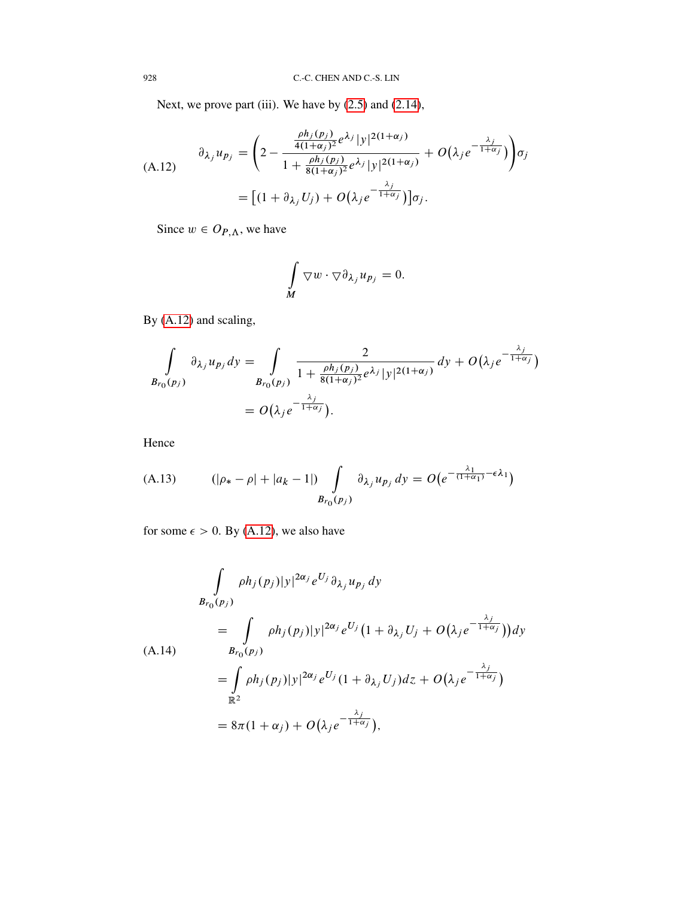Next, we prove part (iii). We have by  $(2.5)$  and  $(2.14)$ ,

<span id="page-41-0"></span>
$$
(A.12) \qquad \partial_{\lambda_j} u_{p_j} = \left(2 - \frac{\frac{\rho h_j(p_j)}{4(1+\alpha_j)^2} e^{\lambda_j} |y|^{2(1+\alpha_j)}}{1 + \frac{\rho h_j(p_j)}{8(1+\alpha_j)^2} e^{\lambda_j} |y|^{2(1+\alpha_j)}} + O(\lambda_j e^{-\frac{\lambda_j}{1+\alpha_j}})\right) \sigma_j
$$
\n
$$
= \left[ (1 + \partial_{\lambda_j} U_j) + O(\lambda_j e^{-\frac{\lambda_j}{1+\alpha_j}}) \right] \sigma_j.
$$

Since  $w \in O_{P,\Lambda}$ , we have

$$
\int\limits_M \nabla w \cdot \nabla \partial_{\lambda_j} u_{p_j} = 0.
$$

By [\(A.12\)](#page-41-0) and scaling,

$$
\int_{B_{r_0}(p_j)} \partial_{\lambda_j} u_{p_j} dy = \int_{B_{r_0}(p_j)} \frac{2}{1 + \frac{\rho h_j(p_j)}{8(1 + \alpha_j)^2} e^{\lambda_j} |y|^{2(1 + \alpha_j)}} dy + O(\lambda_j e^{-\frac{\lambda_j}{1 + \alpha_j}})
$$

$$
= O(\lambda_j e^{-\frac{\lambda_j}{1 + \alpha_j}}).
$$

Hence

<span id="page-41-2"></span>(A.13) 
$$
(|\rho_{*} - \rho| + |a_{k} - 1|) \int_{B_{r_0}(p_j)} \partial_{\lambda_j} u_{p_j} dy = O(e^{-\frac{\lambda_1}{(1 + \alpha_1)} - \epsilon \lambda_1})
$$

for some  $\epsilon > 0$ . By [\(A.12\)](#page-41-0), we also have

<span id="page-41-1"></span>
$$
\int_{B_{r_0}(p_j)} \rho h_j(p_j) |y|^{2\alpha_j} e^{U_j} \partial_{\lambda_j} u_{p_j} dy
$$
\n
$$
= \int_{B_{r_0}(p_j)} \rho h_j(p_j) |y|^{2\alpha_j} e^{U_j} (1 + \partial_{\lambda_j} U_j + O(\lambda_j e^{-\frac{\lambda_j}{1 + \alpha_j}})) dy
$$
\n(A.14)\n
$$
= \int_{\mathbb{R}^2} \rho h_j(p_j) |y|^{2\alpha_j} e^{U_j} (1 + \partial_{\lambda_j} U_j) dz + O(\lambda_j e^{-\frac{\lambda_j}{1 + \alpha_j}})
$$
\n
$$
= 8\pi (1 + \alpha_j) + O(\lambda_j e^{-\frac{\lambda_j}{1 + \alpha_j}}),
$$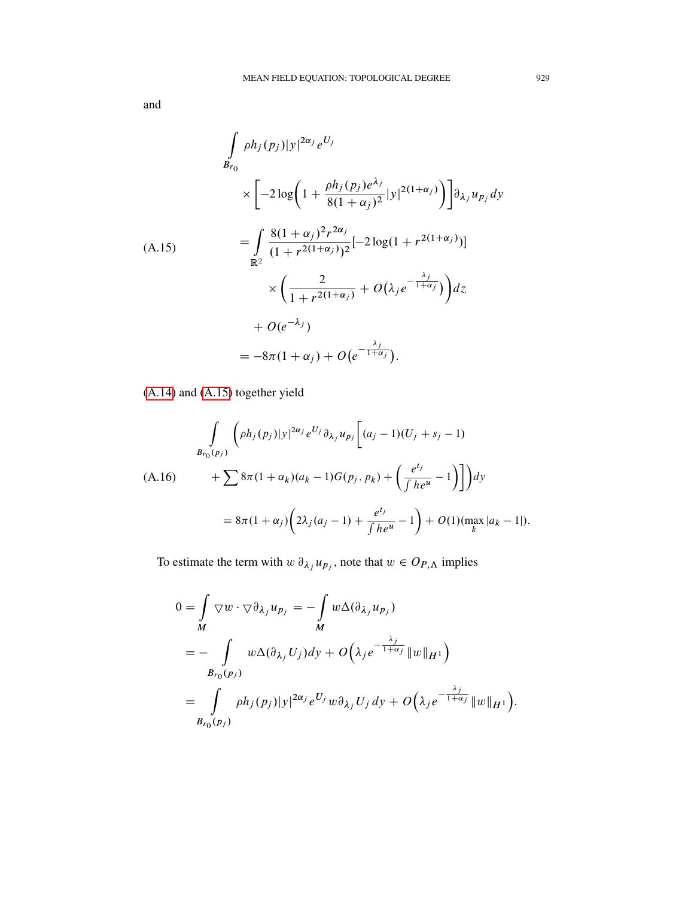and

<span id="page-42-0"></span>
$$
\int_{B_{r_0}} \rho h_j(p_j) |y|^{2\alpha_j} e^{U_j}
$$
\n
$$
\times \left[ -2 \log \left( 1 + \frac{\rho h_j(p_j) e^{\lambda_j}}{8(1 + \alpha_j)^2} |y|^{2(1 + \alpha_j)} \right) \right] \partial_{\lambda_j} u_{p_j} dy
$$
\n(A.15)\n
$$
= \int_{\mathbb{R}^2} \frac{8(1 + \alpha_j)^2 r^{2\alpha_j}}{(1 + r^{2(1 + \alpha_j)})^2} [-2 \log(1 + r^{2(1 + \alpha_j)})] \times \left( \frac{2}{1 + r^{2(1 + \alpha_j)}} + O(\lambda_j e^{-\frac{\lambda_j}{1 + \alpha_j}}) \right) dz
$$
\n
$$
+ O(e^{-\lambda_j})
$$
\n
$$
= -8\pi (1 + \alpha_j) + O(e^{-\frac{\lambda_j}{1 + \alpha_j}}).
$$

[\(A.14\)](#page-41-1) and [\(A.15\)](#page-42-0) together yield

<span id="page-42-1"></span>
$$
\int_{B_{r_0}(p_j)} \left( \rho h_j(p_j) |y|^{2\alpha_j} e^{U_j} \partial_{\lambda_j} u_{p_j} \left[ (a_j - 1)(U_j + s_j - 1) \right. \right.\n(A.16) \qquad + \sum_{j} 8\pi (1 + \alpha_k) (a_k - 1) G(p_j, p_k) + \left( \frac{e^{t_j}}{\int h e^u} - 1 \right) \right] dy
$$
\n
$$
= 8\pi (1 + \alpha_j) \left( 2\lambda_j (a_j - 1) + \frac{e^{t_j}}{\int h e^u} - 1 \right) + O(1) (\max_k |a_k - 1|).
$$

To estimate the term with  $w \, \partial_{\lambda_j} u_{p_j}$ , note that  $w \in O_{P,\Lambda}$  implies

$$
0 = \int_{M} \nabla w \cdot \nabla \partial_{\lambda_{j}} u_{p_{j}} = -\int_{M} w \Delta(\partial_{\lambda_{j}} u_{p_{j}})
$$
  
= 
$$
- \int_{B_{r_{0}}(p_{j})} w \Delta(\partial_{\lambda_{j}} U_{j}) dy + O\left(\lambda_{j} e^{-\frac{\lambda_{j}}{1 + \alpha_{j}}} ||w||_{H^{1}}\right)
$$
  
= 
$$
\int_{B_{r_{0}}(p_{j})} \rho h_{j}(p_{j}) |y|^{2\alpha_{j}} e^{U_{j}} w \partial_{\lambda_{j}} U_{j} dy + O\left(\lambda_{j} e^{-\frac{\lambda_{j}}{1 + \alpha_{j}}} ||w||_{H^{1}}\right).
$$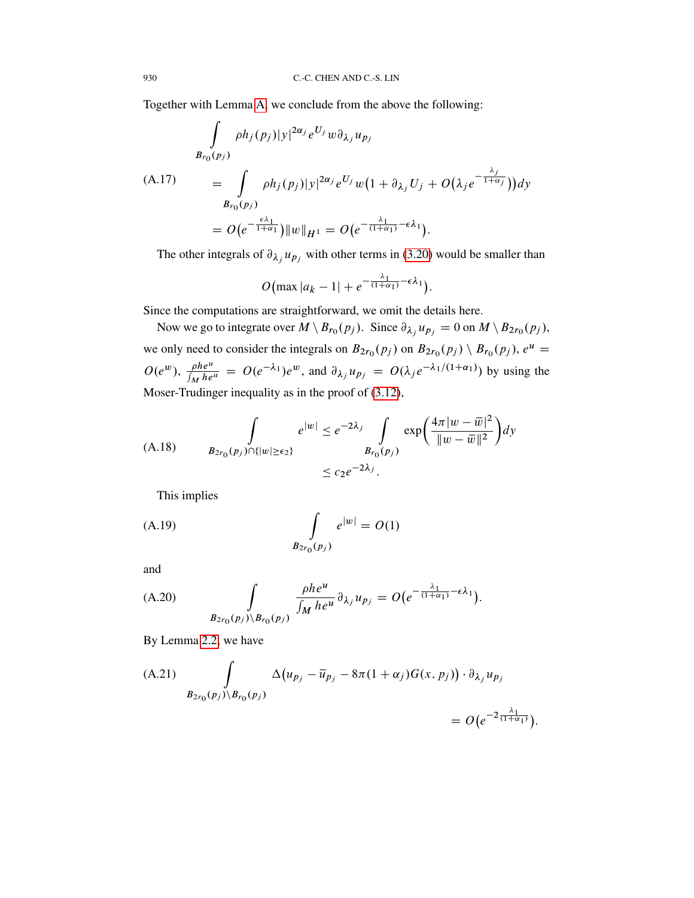Together with Lemma [A,](#page-37-1) we conclude from the above the following:

$$
\int_{B_{r_0}(p_j)} \rho h_j(p_j) |y|^{2\alpha_j} e^{U_j} w \partial_{\lambda_j} u_{p_j}
$$
\n(A.17)\n
$$
= \int_{B_{r_0}(p_j)} \rho h_j(p_j) |y|^{2\alpha_j} e^{U_j} w \left(1 + \partial_{\lambda_j} U_j + O(\lambda_j e^{-\frac{\lambda_j}{1 + \alpha_j}})\right) dy
$$
\n
$$
= O\left(e^{-\frac{\epsilon \lambda_1}{1 + \alpha_1}}\right) \|w\|_{H^1} = O\left(e^{-\frac{\lambda_1}{(1 + \alpha_1)} - \epsilon \lambda_1}\right).
$$

The other integrals of  $\partial_{\lambda_j} u_{p_j}$  with other terms in [\(3.20\)](#page-19-0) would be smaller than

$$
O\big(\max |a_k - 1| + e^{-\frac{\lambda_1}{(1 + \alpha_1)} - \epsilon \lambda_1}\big).
$$

Since the computations are straightforward, we omit the details here.

Now we go to integrate over  $M \setminus B_{r_0}(p_j)$ . Since  $\partial_{\lambda_j} u_{p_j} = 0$  on  $M \setminus B_{2r_0}(p_j)$ , we only need to consider the integrals on  $B_{2r_0}(p_j)$  on  $B_{2r_0}(p_j) \setminus B_{r_0}(p_j)$ ,  $e^u =$  $O(e^w)$ ,  $\frac{\rho h e^u}{\int$  $\frac{\rho h e^u}{\int_M h e^u}$  =  $O(e^{-\lambda_1})e^w$ , and  $\partial_{\lambda_j} u_{p_j} = O(\lambda_j e^{-\lambda_1/(1+\alpha_1)})$  by using the Moser-Trudinger inequality as in the proof of [\(3.12\)](#page-17-1),

(A.18) 
$$
\int_{B_{2r_0}(p_j)\cap\{|w|\geq\epsilon_2\}} e^{|w|} \leq e^{-2\lambda_j} \int_{B_{r_0}(p_j)} \exp\left(\frac{4\pi |w-\overline{w}|^2}{\|w-\overline{w}\|^2}\right) dy
$$

$$
\leq c_2 e^{-2\lambda_j}.
$$

This implies

(A.19) 
$$
\int_{B_{2r_0}(p_j)} e^{|w|} = O(1)
$$

and

(A.20) 
$$
\int_{B_{2r_0}(p_j)\backslash B_{r_0}(p_j)} \frac{\rho h e^u}{\int_M h e^u} \partial_{\lambda_j} u_{p_j} = O\big(e^{-\frac{\lambda_1}{(1+\alpha_1)} - \epsilon \lambda_1}\big).
$$

By Lemma [2.2,](#page-11-0) we have

<span id="page-43-0"></span>(A.21) 
$$
\int_{B_{2r_0}(p_j)\backslash B_{r_0}(p_j)} \Delta(u_{p_j} - \bar{u}_{p_j} - 8\pi (1 + \alpha_j)G(x, p_j)) \cdot \partial_{\lambda_j} u_{p_j} = O(e^{-2\frac{\lambda_1}{(1 + \alpha_1)}}).
$$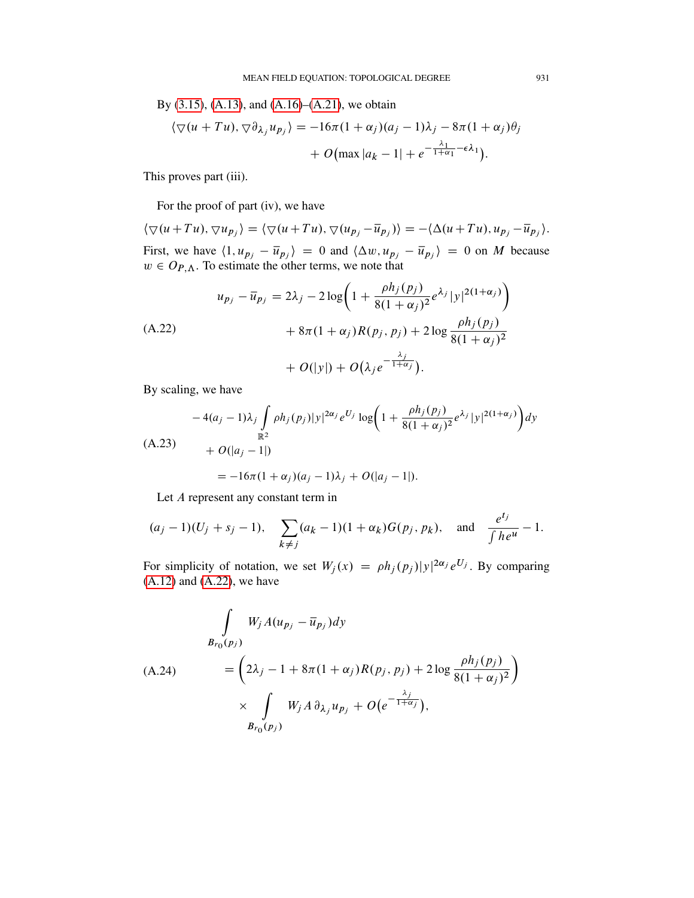By [\(3.15\)](#page-18-0), [\(A.13\)](#page-41-2), and [\(A.16\)](#page-42-1)–[\(A.21\)](#page-43-0), we obtain

$$
\langle \nabla(u+Tu), \nabla \partial_{\lambda_j} u_{p_j} \rangle = -16\pi (1+\alpha_j)(a_j-1)\lambda_j - 8\pi (1+\alpha_j)\theta_j
$$

$$
+ O(\max|a_k-1| + e^{-\frac{\lambda_1}{1+\alpha_1}-\epsilon \lambda_1}).
$$

This proves part (iii).

For the proof of part (iv), we have

 $\langle \nabla(u+Tu), \nabla u_{p_j} \rangle = \langle \nabla(u+Tu), \nabla(u_{p_j}-\overline{u}_{p_j}) \rangle = -\langle \Delta(u+Tu), u_{p_j}-\overline{u}_{p_j} \rangle.$ First, we have  $\langle 1, u_{p_j} - \overline{u}_{p_j} \rangle = 0$  and  $\langle \Delta w, u_{p_j} - \overline{u}_{p_j} \rangle = 0$  on M because  $w \in O_{P,\Lambda}$ . To estimate the other terms, we note that

<span id="page-44-0"></span>
$$
u_{p_j} - \overline{u}_{p_j} = 2\lambda_j - 2\log\left(1 + \frac{\rho h_j(p_j)}{8(1 + \alpha_j)^2} e^{\lambda_j} |y|^{2(1 + \alpha_j)}\right) + 8\pi (1 + \alpha_j) R(p_j, p_j) + 2\log \frac{\rho h_j(p_j)}{8(1 + \alpha_j)^2} + O(|y|) + O(\lambda_j e^{-\frac{\lambda_j}{1 + \alpha_j}}).
$$

By scaling, we have

<span id="page-44-1"></span>
$$
-4(a_j - 1)\lambda_j \int_{\mathbb{R}^2} \rho h_j(p_j)|y|^{2\alpha_j} e^{U_j} \log \left(1 + \frac{\rho h_j(p_j)}{8(1 + \alpha_j)^2} e^{\lambda_j} |y|^{2(1 + \alpha_j)}\right) dy
$$
  
(A.23)  

$$
+ O(|a_j - 1|)
$$
  

$$
= -16\pi (1 + \alpha_j)(a_j - 1)\lambda_j + O(|a_j - 1|).
$$

Let A represent any constant term in

$$
(a_j - 1)(U_j + s_j - 1), \quad \sum_{k \neq j} (a_k - 1)(1 + \alpha_k)G(p_j, p_k), \quad \text{and} \quad \frac{e^{t_j}}{\int he^{u}} - 1.
$$

For simplicity of notation, we set  $W_j(x) = \rho h_j(p_j)|y|^{2\alpha_j} e^{U_j}$ . By comparing  $(A.12)$  and  $(A.22)$ , we have

$$
\int_{B_{r_0}(p_j)} W_j A(u_{p_j} - \overline{u}_{p_j}) dy
$$
\n(A.24)\n
$$
= \left(2\lambda_j - 1 + 8\pi (1 + \alpha_j) R(p_j, p_j) + 2 \log \frac{\rho h_j(p_j)}{8(1 + \alpha_j)^2}\right)
$$
\n
$$
\times \int_{B_{r_0}(p_j)} W_j A \, \partial_{\lambda_j} u_{p_j} + O\left(e^{-\frac{\lambda_j}{1 + \alpha_j}}\right),
$$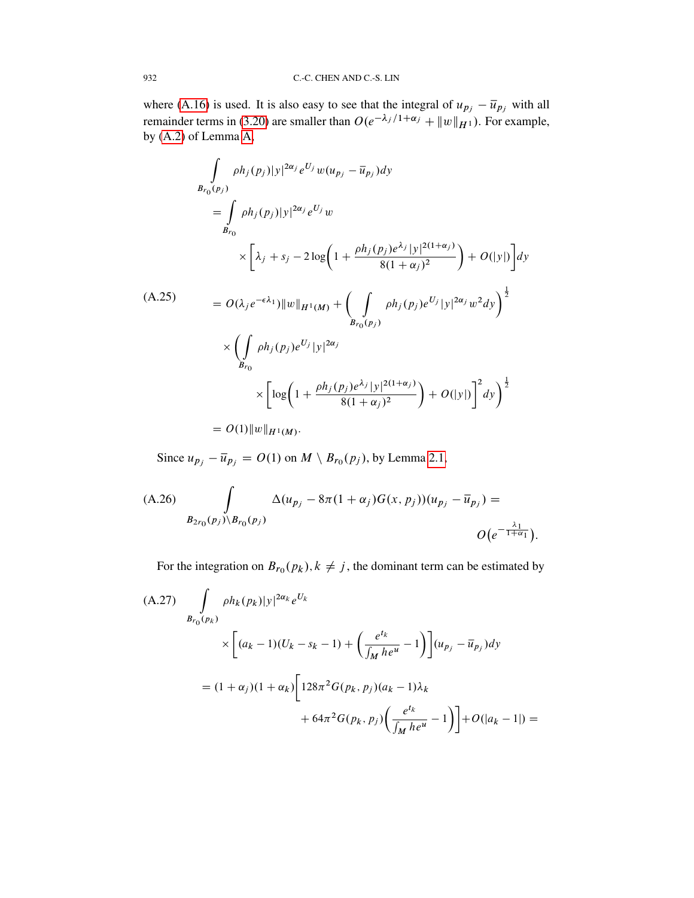where [\(A.16\)](#page-42-1) is used. It is also easy to see that the integral of  $u_{p_j} - \overline{u}_{p_j}$  with all remainder terms in [\(3.20\)](#page-19-0) are smaller than  $O(e^{-\lambda_j/1+\alpha_j} + ||w||_{H^1})$ . For example, by [\(A.2\)](#page-37-0) of Lemma [A,](#page-37-1)

$$
\int_{B_{r_0}(p_j)} \rho h_j(p_j) |y|^{2\alpha_j} e^{U_j} w(u_{p_j} - \overline{u}_{p_j}) dy
$$
\n
$$
= \int_{B_{r_0}} \rho h_j(p_j) |y|^{2\alpha_j} e^{U_j} w
$$
\n
$$
\times \left[ \lambda_j + s_j - 2 \log \left( 1 + \frac{\rho h_j(p_j) e^{\lambda_j} |y|^{2(1+\alpha_j)}}{8(1+\alpha_j)^2} \right) + O(|y|) \right] dy
$$
\n(A.25)\n
$$
= O(\lambda_j e^{-\epsilon \lambda_1}) \|w\|_{H^1(M)} + \left( \int_{B_{r_0}(p_j)} \rho h_j(p_j) e^{U_j} |y|^{2\alpha_j} w^2 dy \right)^{\frac{1}{2}}
$$
\n
$$
\times \left( \int_{B_{r_0}} \rho h_j(p_j) e^{U_j} |y|^{2\alpha_j} \right)
$$
\n
$$
\times \left[ \log \left( 1 + \frac{\rho h_j(p_j) e^{\lambda_j} |y|^{2(1+\alpha_j)}}{8(1+\alpha_j)^2} \right) + O(|y|) \right]^2 dy \right)^{\frac{1}{2}}
$$

 $= O(1) \|w\|_{H^1(M)}.$ 

Since  $u_{p_j} - \overline{u}_{p_j} = O(1)$  on  $M \setminus B_{r_0}(p_j)$ , by Lemma [2.1,](#page-11-1)

(A.26) 
$$
\int_{B_{2r_0}(p_j)\backslash B_{r_0}(p_j)} \Delta(u_{p_j}-8\pi(1+\alpha_j)G(x,p_j))(u_{p_j}-\overline{u}_{p_j}) =
$$

$$
O(e^{-\frac{\lambda_1}{1+\alpha_1}}).
$$

For the integration on  $B_{r_0}(p_k)$ ,  $k \neq j$ , the dominant term can be estimated by

(A.27) 
$$
\int_{B_{r_0}(p_k)} \rho h_k(p_k) |y|^{2\alpha_k} e^{U_k}
$$

$$
\times \left[ (a_k - 1)(U_k - s_k - 1) + \left( \frac{e^{t_k}}{\int_M h e^u} - 1 \right) \right] (u_{p_j} - \overline{u}_{p_j}) dy
$$

$$
= (1 + \alpha_j)(1 + \alpha_k) \left[ 128\pi^2 G(p_k, p_j)(a_k - 1)\lambda_k + 64\pi^2 G(p_k, p_j) \left( \frac{e^{t_k}}{\int_M h e^u} - 1 \right) \right] + O(|a_k - 1|) =
$$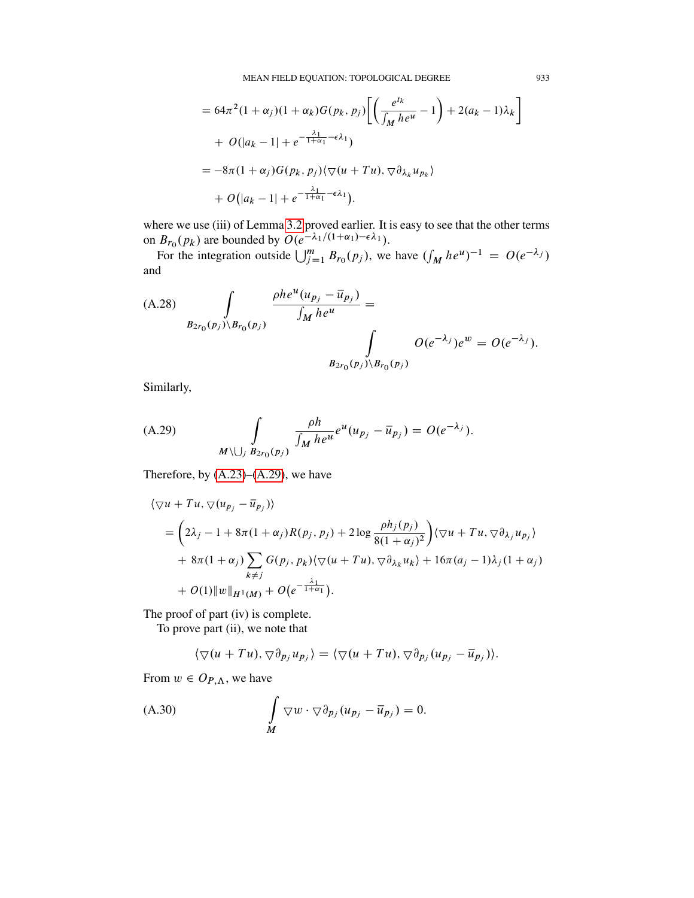$$
= 64\pi^2 (1 + \alpha_j)(1 + \alpha_k)G(p_k, p_j) \left[ \left( \frac{e^{tk}}{\int_M he^{u}} - 1 \right) + 2(a_k - 1)\lambda_k \right]
$$
  
+  $O(|a_k - 1| + e^{-\frac{\lambda_1}{1 + \alpha_1} - \epsilon \lambda_1})$   
=  $-8\pi (1 + \alpha_j)G(p_k, p_j) \langle \nabla (u + Tu), \nabla \partial_{\lambda_k} u_{p_k} \rangle$   
+  $O(|a_k - 1| + e^{-\frac{\lambda_1}{1 + \alpha_1} - \epsilon \lambda_1}).$ 

where we use (iii) of Lemma [3.2](#page-20-1) proved earlier. It is easy to see that the other terms on  $B_{r_0}(p_k)$  are bounded by  $O(e^{-\lambda_1/(1+\alpha_1)-\epsilon\lambda_1}).$ 

For the integration outside  $\bigcup_{j=1}^{m} B_{r_0}(p_j)$ , we have  $\left(\int_M h e^{u}\right)^{-1} = O(e^{-\lambda_j})$ and

(A.28) 
$$
\int_{B_{2r_0}(p_j)\backslash B_{r_0}(p_j)} \frac{\rho h e^u(u_{p_j} - \bar{u}_{p_j})}{\int_M h e^u} = \int_{B_{2r_0}(p_j)\backslash B_{r_0}(p_j)} O(e^{-\lambda_j}) e^w = O(e^{-\lambda_j}).
$$

Similarly,

<span id="page-46-0"></span>(A.29) 
$$
\int_{M \setminus \bigcup_{j} B_{2r_0}(p_j)} \frac{\rho h}{\int_M h e^u} e^u(u_{p_j} - \overline{u}_{p_j}) = O(e^{-\lambda_j}).
$$

Therefore, by  $(A.23)$ – $(A.29)$ , we have

$$
\langle \nabla u + Tu, \nabla (u_{p_j} - \overline{u}_{p_j}) \rangle
$$
  
=  $\left(2\lambda_j - 1 + 8\pi (1 + \alpha_j)R(p_j, p_j) + 2\log \frac{\rho h_j(p_j)}{8(1 + \alpha_j)^2}\right) \langle \nabla u + Tu, \nabla \partial_{\lambda_j} u_{p_j} \rangle$   
+  $8\pi (1 + \alpha_j) \sum_{k \neq j} G(p_j, p_k) \langle \nabla (u + Tu), \nabla \partial_{\lambda_k} u_k \rangle + 16\pi (a_j - 1)\lambda_j (1 + \alpha_j) + O(1) ||w||_{H^1(M)} + O(e^{-\frac{\lambda_1}{1 + \alpha_1}}).$ 

The proof of part (iv) is complete.

To prove part (ii), we note that

$$
\langle \nabla(u+Tu), \nabla \partial_{p_j} u_{p_j} \rangle = \langle \nabla(u+Tu), \nabla \partial_{p_j} (u_{p_j} - \overline{u}_{p_j}) \rangle.
$$

From  $w \in O_{P,\Lambda}$ , we have

(A.30) 
$$
\int_{M} \nabla w \cdot \nabla \partial_{p_j} (u_{p_j} - \overline{u}_{p_j}) = 0.
$$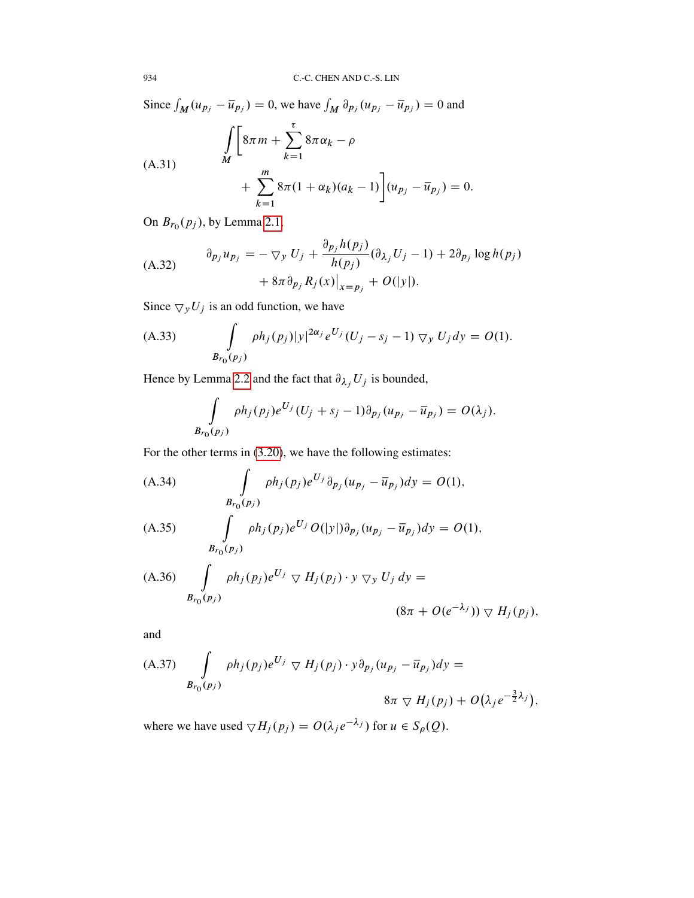Since  $\int_M (u_{p_j} - \overline{u}_{p_j}) = 0$ , we have  $\int_M \partial_{p_j} (u_{p_j} - \overline{u}_{p_j}) = 0$  and

(A.31)  

$$
\int_{M} \left[ 8\pi m + \sum_{k=1}^{\tau} 8\pi \alpha_{k} - \rho + \sum_{k=1}^{m} 8\pi (1 + \alpha_{k})(a_{k} - 1) \right] (u_{p_{j}} - \overline{u}_{p_{j}}) = 0.
$$

On  $B_{r_0}(p_j)$ , by Lemma [2.1,](#page-11-1)

<span id="page-47-0"></span>(A.32) 
$$
\begin{aligned} \partial_{p_j} u_{p_j} &= -\nabla_y U_j + \frac{\partial_{p_j} h(p_j)}{h(p_j)} (\partial_{\lambda_j} U_j - 1) + 2\partial_{p_j} \log h(p_j) \\ &+ 8\pi \partial_{p_j} R_j(x) \big|_{x = p_j} + O(|y|). \end{aligned}
$$

Since  $\bigtriangledown_y U_j$  is an odd function, we have

(A.33) 
$$
\int_{B_{r_0}(p_j)} \rho h_j(p_j) |y|^{2\alpha_j} e^{U_j} (U_j - s_j - 1) \nabla_y U_j dy = O(1).
$$

Hence by Lemma [2.2](#page-11-0) and the fact that  $\partial_{\lambda_j} U_j$  is bounded,

$$
\int_{B_{r_0}(p_j)} \rho h_j(p_j) e^{U_j} (U_j + s_j - 1) \partial_{p_j} (u_{p_j} - \overline{u}_{p_j}) = O(\lambda_j).
$$

For the other terms in [\(3.20\)](#page-19-0), we have the following estimates:

(A.34) 
$$
\int_{B_{r_0}(p_j)} \rho h_j(p_j) e^{U_j} \partial_{p_j} (u_{p_j} - \overline{u}_{p_j}) dy = O(1),
$$

(A.35) 
$$
\int_{B_{r_0}(p_j)} \rho h_j(p_j) e^{U_j} O(|y|) \partial_{p_j} (u_{p_j} - \overline{u}_{p_j}) dy = O(1),
$$

(A.36) 
$$
\int_{B_{r_0}(p_j)} \rho h_j(p_j) e^{U_j} \nabla H_j(p_j) \cdot y \nabla_y U_j dy =
$$

$$
(8\pi + O(e^{-\lambda_j})) \nabla H_j(p_j),
$$

and

(A.37) 
$$
\int_{B_{r_0}(p_j)} \rho h_j(p_j) e^{U_j} \nabla H_j(p_j) \cdot y \partial_{p_j} (u_{p_j} - \overline{u}_{p_j}) dy =
$$

$$
8\pi \nabla H_j(p_j) + O(\lambda_j e^{-\frac{3}{2}\lambda_j}),
$$

where we have used  $\nabla H_j(p_j) = O(\lambda_j e^{-\lambda_j})$  for  $u \in S_\rho(Q)$ .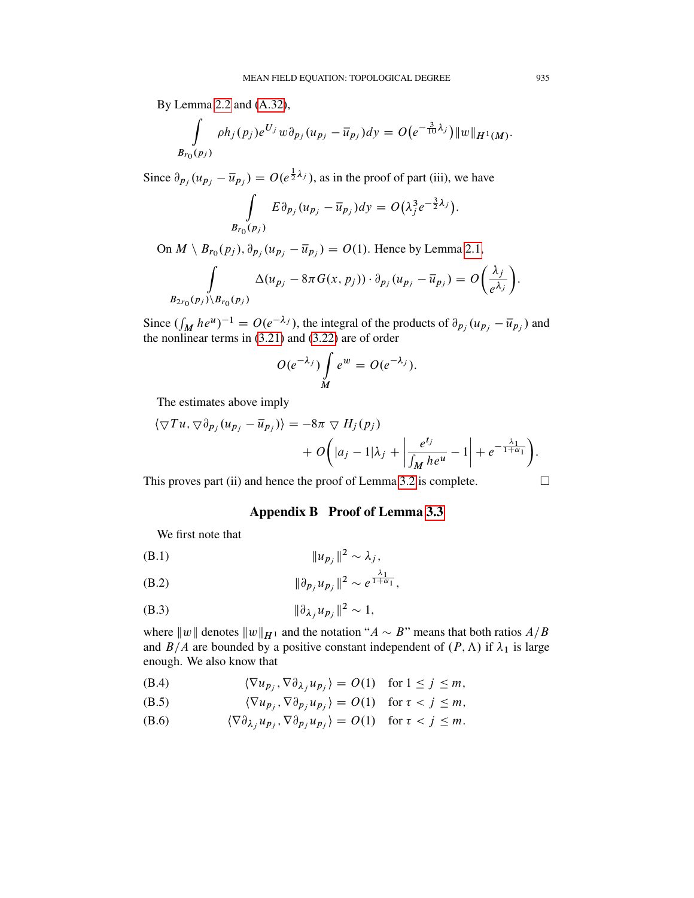By Lemma [2.2](#page-11-0) and [\(A.32\)](#page-47-0),

$$
\int_{B_{r_0}(p_j)} \rho h_j(p_j) e^{U_j} w \partial_{p_j} (u_{p_j} - \overline{u}_{p_j}) dy = O(e^{-\frac{3}{10}\lambda_j}) ||w||_{H^1(M)}.
$$

Since  $\partial_{p_j}(u_{p_j}-\overline{u}_{p_j})=O(e^{\frac{1}{2}\lambda_j})$ , as in the proof of part (iii), we have

$$
\int_{B_{r_0}(p_j)} E \partial_{p_j} (u_{p_j} - \overline{u}_{p_j}) dy = O(\lambda_j^3 e^{-\frac{3}{2}\lambda_j}).
$$

On  $M \setminus B_{r_0}(p_j)$ ,  $\partial_{p_j}(u_{p_j} - \overline{u}_{p_j}) = O(1)$ . Hence by Lemma [2.1,](#page-11-1)

$$
\int_{B_{2r_0}(p_j)\backslash B_{r_0}(p_j)} \Delta(u_{p_j}-8\pi G(x,p_j))\cdot \partial_{p_j}(u_{p_j}-\overline{u}_{p_j})=O\bigg(\frac{\lambda_j}{e^{\lambda_j}}\bigg).
$$

Since  $(\int_M he^u)^{-1} = O(e^{-\lambda_j})$ , the integral of the products of  $\partial_{p_j}(u_{p_j} - \overline{u}_{p_j})$  and the nonlinear terms in [\(3.21\)](#page-20-3) and [\(3.22\)](#page-20-0) are of order

$$
O(e^{-\lambda_j})\int\limits_M e^w=O(e^{-\lambda_j}).
$$

The estimates above imply

$$
\langle \nabla T u, \nabla \partial_{p_j} (u_{p_j} - \overline{u}_{p_j}) \rangle = -8\pi \nabla H_j(p_j) + O\bigg(|a_j - 1|\lambda_j + \left|\frac{e^{t_j}}{\int_M h e^u} - 1\right| + e^{-\frac{\lambda_1}{1 + \alpha_1}}\bigg).
$$

<span id="page-48-0"></span>This proves part (ii) and hence the proof of Lemma [3.2](#page-20-1) is complete.  $\Box$ 

Appendix B Proof of Lemma [3.3](#page-21-0)

We first note that

$$
||u_{p_j}||^2 \sim \lambda_j,
$$

<span id="page-48-1"></span>(B.2) 
$$
\|\partial_{p_j} u_{p_j}\|^2 \sim e^{\frac{\lambda_1}{1+\alpha_1}},
$$

(B.3)  $\|\partial_{\lambda_j} u_{p_j}\|^2 \sim 1$ ,

where  $||w||$  denotes  $||w||_{H^1}$  and the notation " $A \sim B$ " means that both ratios  $A/B$ and  $B/A$  are bounded by a positive constant independent of  $(P, \Lambda)$  if  $\lambda_1$  is large enough. We also know that

<span id="page-48-2"></span>(B.4)  $\langle \nabla u_{p_j}, \nabla \partial_{\lambda_j} u_{p_j} \rangle = O(1) \text{ for } 1 \le j \le m,$ 

<span id="page-48-3"></span>(B.5) 
$$
\langle \nabla u_{p_j}, \nabla \partial_{p_j} u_{p_j} \rangle = O(1) \text{ for } \tau < j \leq m,
$$

(B.6) 
$$
\langle \nabla \partial_{\lambda_j} u_{p_j}, \nabla \partial_{p_j} u_{p_j} \rangle = O(1) \text{ for } \tau < j \leq m.
$$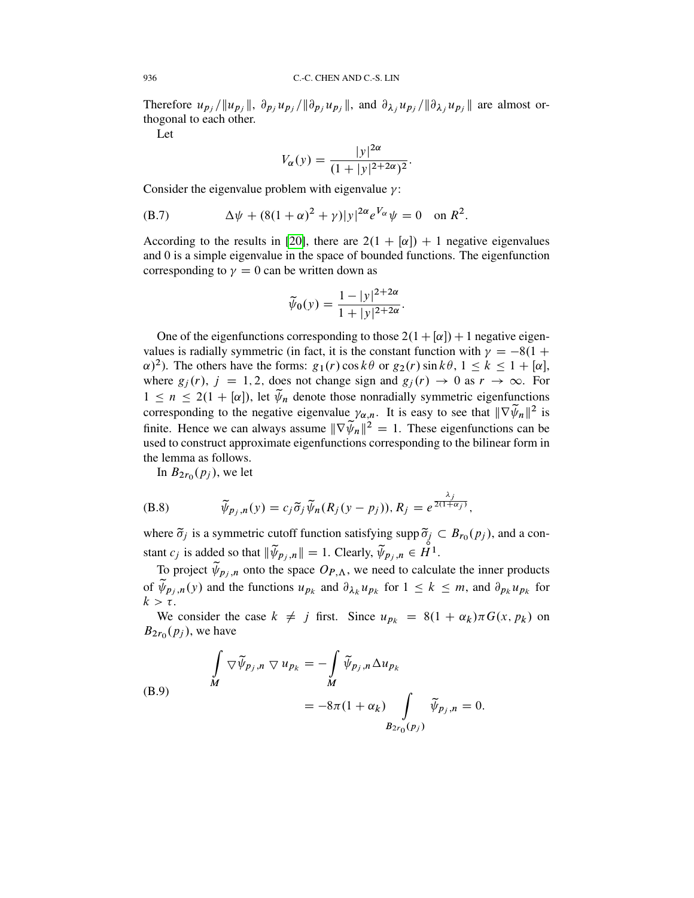Therefore  $u_{p_j}/||u_{p_j}||$ ,  $\partial_{p_j}u_{p_j}/||\partial_{p_j}u_{p_j}||$ , and  $\partial_{\lambda_j}u_{p_j}/||\partial_{\lambda_j}u_{p_j}||$  are almost orthogonal to each other.

Let

$$
V_{\alpha}(y) = \frac{|y|^{2\alpha}}{(1+|y|^{2+2\alpha})^2}.
$$

Consider the eigenvalue problem with eigenvalue  $\gamma$ :

<span id="page-49-0"></span>(B.7) 
$$
\Delta \psi + (8(1+\alpha)^2 + \gamma)|y|^{2\alpha} e^{V_{\alpha}} \psi = 0 \text{ on } R^2.
$$

According to the results in [\[20\]](#page-58-15), there are  $2(1 + \alpha) + 1$  negative eigenvalues and 0 is a simple eigenvalue in the space of bounded functions. The eigenfunction corresponding to  $\gamma = 0$  can be written down as

$$
\widetilde{\psi}_0(y) = \frac{1 - |y|^{2 + 2\alpha}}{1 + |y|^{2 + 2\alpha}}.
$$

One of the eigenfunctions corresponding to those  $2(1 + \lceil \alpha \rceil) + 1$  negative eigenvalues is radially symmetric (in fact, it is the constant function with  $\gamma = -8(1 +$  $(\alpha)^2$ ). The others have the forms:  $g_1(r) \cos k\theta$  or  $g_2(r) \sin k\theta$ ,  $1 \le k \le 1 + [\alpha]$ , where  $g_j(r)$ ,  $j = 1, 2$ , does not change sign and  $g_j(r) \rightarrow 0$  as  $r \rightarrow \infty$ . For  $1 \le n \le 2(1 + [\alpha])$ , let  $\tilde{\psi}_n$  denote those nonradially symmetric eigenfunctions corresponding to the negative eigenvalue  $\gamma_{\alpha,n}$ . It is easy to see that  $\|\nabla \widetilde{\psi}_n\|^2$  is finite. Hence we can always assume  $\|\nabla \widetilde{\psi}_n\|^2 = 1$ . These eigenfunctions can be used to construct approximate eigenfunctions corresponding to the bilinear form in the lemma as follows.

In  $B_{2r_0}(p_j)$ , we let

(B.8) 
$$
\widetilde{\psi}_{p_j,n}(y) = c_j \widetilde{\sigma}_j \widetilde{\psi}_n(R_j(y-p_j)), R_j = e^{\frac{\lambda_j}{2(1+\alpha_j)}},
$$

where  $\tilde{\sigma}_j$  is a symmetric cutoff function satisfying supp  $\tilde{\sigma}_j \subset B_{r_0}(p_j)$ , and a constant  $c_j$  is added so that  $\|\widetilde{\psi}_{p_j,n}\| = 1$ . Clearly,  $\widetilde{\psi}_{p_j,n} \in \mathring{H}^1$ .

To project  $\widetilde{\psi}_{p_j,n}$  onto the space  $O_{P,\Lambda}$ , we need to calculate the inner products of  $\tilde{\psi}_{p_j,n}(y)$  and the functions  $u_{p_k}$  and  $\partial_{\lambda_k} u_{p_k}$  for  $1 \leq k \leq m$ , and  $\partial_{p_k} u_{p_k}$  for  $k > \tau$ .

We consider the case  $k \neq j$  first. Since  $u_{p_k} = 8(1 + \alpha_k)\pi G(x, p_k)$  on  $B_{2r_0}(p_j)$ , we have

(B.9) 
$$
\int_{M} \nabla \widetilde{\psi}_{p_j,n} \nabla u_{p_k} = -\int_{M} \widetilde{\psi}_{p_j,n} \Delta u_{p_k}
$$

$$
= -8\pi (1 + \alpha_k) \int_{B_{2r_0}(p_j)} \widetilde{\psi}_{p_j,n} = 0.
$$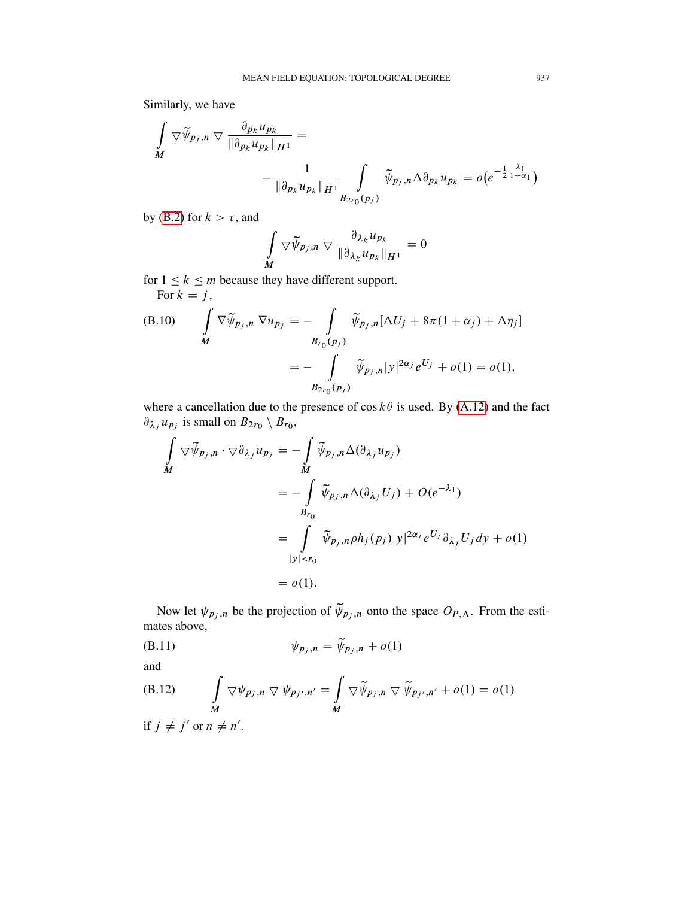Similarly, we have

$$
\int\limits_M \nabla \widetilde{\psi}_{p_j,n} \nabla \frac{\partial_{p_k} u_{p_k}}{\|\partial_{p_k} u_{p_k}\|_{H^1}} = \n- \frac{1}{\|\partial_{p_k} u_{p_k}\|_{H^1}} \int\limits_{B_{2r_0}(p_j)} \widetilde{\psi}_{p_j,n} \Delta \partial_{p_k} u_{p_k} = o(e^{-\frac{1}{2}\frac{\lambda_1}{1+\alpha_1}})
$$

by [\(B.2\)](#page-48-1) for  $k > \tau$ , and

$$
\int\limits_{M} \nabla \widetilde{\psi}_{p_j,n} \nabla \frac{\partial_{\lambda_k} u_{p_k}}{\|\partial_{\lambda_k} u_{p_k}\|_{H^1}} = 0
$$

for  $1 \leq k \leq m$  because they have different support. For  $k = j$ ,

(B.10) 
$$
\int_{M} \nabla \widetilde{\psi}_{p_{j},n} \nabla u_{p_{j}} = - \int_{B_{r_{0}}(p_{j})} \widetilde{\psi}_{p_{j},n}[\Delta U_{j} + 8\pi (1 + \alpha_{j}) + \Delta \eta_{j}]
$$

$$
= - \int_{B_{2r_{0}}(p_{j})} \widetilde{\psi}_{p_{j},n}|y|^{2\alpha_{j}} e^{U_{j}} + o(1) = o(1),
$$

where a cancellation due to the presence of  $\cos k\theta$  is used. By [\(A.12\)](#page-41-0) and the fact  $\partial_{\lambda_j} u_{p_j}$  is small on  $B_{2r_0} \setminus B_{r_0}$ ,

$$
\int_{M} \nabla \widetilde{\psi}_{p_j,n} \cdot \nabla \partial_{\lambda_j} u_{p_j} = -\int_{M} \widetilde{\psi}_{p_j,n} \Delta(\partial_{\lambda_j} u_{p_j})
$$
\n
$$
= -\int_{B_{r_0}} \widetilde{\psi}_{p_j,n} \Delta(\partial_{\lambda_j} U_j) + O(e^{-\lambda_1})
$$
\n
$$
= \int_{|y| < r_0} \widetilde{\psi}_{p_j,n} \rho h_j(p_j) |y|^{2\alpha_j} e^{U_j} \partial_{\lambda_j} U_j dy + o(1)
$$
\n
$$
= o(1).
$$

Now let  $\psi_{p_j,n}$  be the projection of  $\widetilde{\psi}_{p_j,n}$  onto the space  $O_{P,\Lambda}$ . From the estimates above,

$$
\psi_{p_j,n} = \tilde{\psi}_{p_j,n} + o(1)
$$

and

(B.12) 
$$
\int_{M} \nabla \psi_{p_j,n} \nabla \psi_{p_{j'},n'} = \int_{M} \nabla \widetilde{\psi}_{p_j,n} \nabla \widetilde{\psi}_{p_{j'},n'} + o(1) = o(1)
$$
  
if  $j \neq j'$  or  $n \neq n'$ .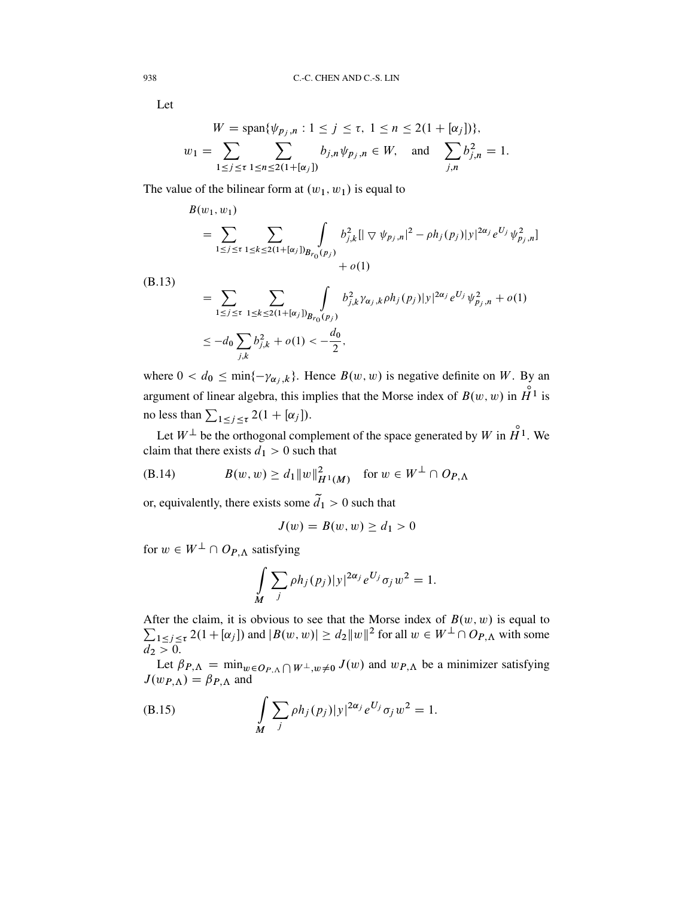Let

$$
W = \text{span}\{\psi_{p_j,n} : 1 \le j \le \tau, 1 \le n \le 2(1 + [\alpha_j])\},\
$$
  

$$
w_1 = \sum_{1 \le j \le \tau} \sum_{1 \le n \le 2(1 + [\alpha_j])} b_{j,n} \psi_{p_j,n} \in W, \text{ and } \sum_{j,n} b_{j,n}^2 = 1.
$$

The value of the bilinear form at  $(w_1, w_1)$  is equal to

$$
B(w_1, w_1)
$$
  
= 
$$
\sum_{1 \le j \le \tau} \sum_{1 \le k \le 2(1 + [\alpha_j])} \int_{B_{r_0}(p_j)} b_{j,k}^2 [|\nabla \psi_{p_j,n}|^2 - \rho h_j(p_j)|y|^{2\alpha_j} e^{U_j} \psi_{p_j,n}^2] + o(1)
$$

(B.13)

$$
= \sum_{1 \le j \le \tau} \sum_{1 \le k \le 2(1 + [\alpha_j])} \int_{B_{r_0}(p_j)} b_{j,k}^2 \gamma_{\alpha_j,k} \rho h_j(p_j) |y|^{2\alpha_j} e^{U_j} \psi_{p_j,n}^2 + o(1)
$$
  

$$
\le -d_0 \sum_{j,k} b_{j,k}^2 + o(1) < -\frac{d_0}{2},
$$

where  $0 < d_0 \le \min\{-\gamma_{\alpha_j,k}\}\.$  Hence  $B(w, w)$  is negative definite on W. By an argument of linear algebra, this implies that the Morse index of  $B(w, w)$  in  $\overset{\circ}{H}^1$  is no less than  $\sum_{1 \le j \le \tau} 2(1 + [\alpha_j]).$ 

Let  $W^{\perp}$  be the orthogonal complement of the space generated by W in  $\overset{\circ}{H}^{1}$ . We claim that there exists  $d_1 > 0$  such that

(B.14) 
$$
B(w, w) \ge d_1 \|w\|_{H^1(M)}^2 \text{ for } w \in W^{\perp} \cap Op_{,\Lambda}
$$

or, equivalently, there exists some  $\tilde{d}_1 > 0$  such that

$$
J(w) = B(w, w) \ge d_1 > 0
$$

for  $w \in W^{\perp} \cap Op_{\cdot} \Lambda$  satisfying

$$
\int_{M} \sum_{j} \rho h_j(p_j) |y|^{2\alpha_j} e^{U_j} \sigma_j w^2 = 1.
$$

After the claim, it is obvious to see that the Morse index of  $\sum$  $B(w, w)$  is equal to  $\sum_{1 \leq j \leq \tau} 2(1 + [\alpha_j])$  and  $|B(w, w)| \geq d_2 ||w||^2$  for all  $w \in W^{\perp} \cap O_{P, \Lambda}$  with some  $d_2 > 0$ .

Let  $\beta_{P,\Lambda} = \min_{w \in O_{P,\Lambda}} \bigcap W^{\perp}, w \neq 0} J(w)$  and  $w_{P,\Lambda}$  be a minimizer satisfying  $J(w_{P,\Lambda}) = \beta_{P,\Lambda}$  and

<span id="page-51-0"></span>(B.15) 
$$
\int_{M} \sum_{j} \rho h_{j}(p_{j}) |y|^{2\alpha_{j}} e^{U_{j}} \sigma_{j} w^{2} = 1.
$$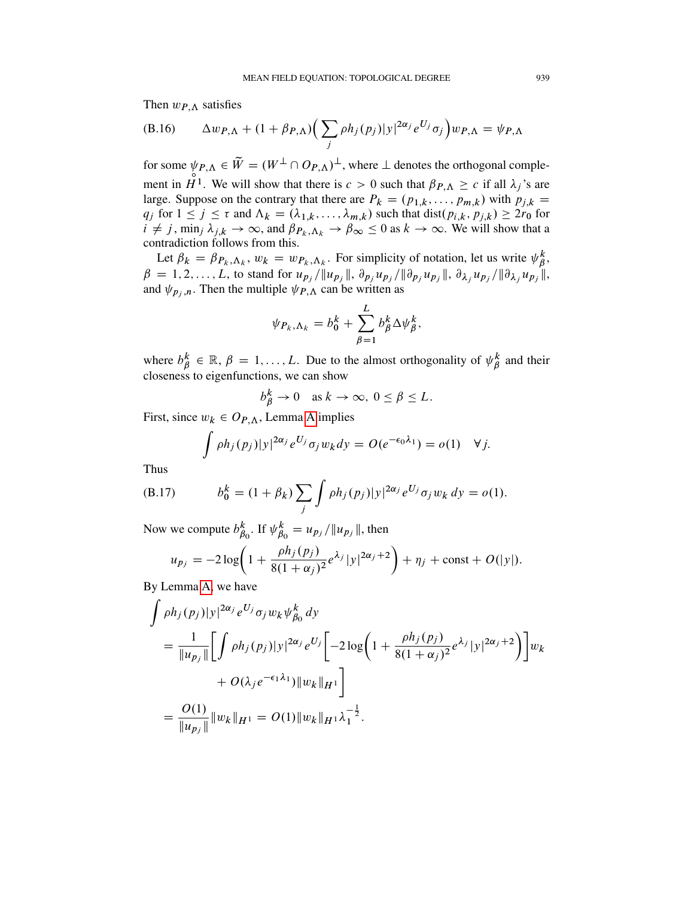Then  $w_{P,\Lambda}$  satisfies

<span id="page-52-0"></span>(B.16) 
$$
\Delta w_{P,\Lambda} + (1 + \beta_{P,\Lambda}) \Big( \sum_j \rho h_j(p_j) |y|^{2\alpha_j} e^{U_j} \sigma_j \Big) w_{P,\Lambda} = \psi_{P,\Lambda}
$$

for some  $\psi_{P,\Lambda} \in \widetilde{W} = (W^{\perp} \cap O_{P,\Lambda})^{\perp}$ , where  $\perp$  denotes the orthogonal complement in  $H^1$ . We will show that there is  $c > 0$  such that  $\beta_{P,\Lambda} \geq c$  if all  $\lambda_j$ 's are large. Suppose on the contrary that there are  $P_k = (p_{1,k}, \ldots, p_{m,k})$  with  $p_{j,k} =$  $q_j$  for  $1 \le j \le \tau$  and  $\Lambda_k = (\lambda_{1,k}, \ldots, \lambda_{m,k})$  such that  $dist(p_{i,k}, p_{j,k}) \ge 2r_0$  for  $i \neq j$ , min<sub>j</sub>  $\lambda_{j,k} \to \infty$ , and  $\beta_{P_k,\Lambda_k} \to \beta_{\infty} \leq 0$  as  $k \to \infty$ . We will show that a contradiction follows from this.

Let  $\beta_k = \beta_{P_k,\Lambda_k}$ ,  $w_k = w_{P_k,\Lambda_k}$ . For simplicity of notation, let us write  $\psi_{\beta}^k$  $_{\beta}^k,$  $\beta = 1, 2, \ldots, L$ , to stand for  $u_{p_j}/||u_{p_j}||$ ,  $\partial_{p_j} u_{p_j}/||\partial_{p_j} u_{p_j}||$ ,  $\partial_{\lambda_j} u_{p_j}/||\partial_{\lambda_j} u_{p_j}||$ , and  $\psi_{p_i,n}$ . Then the multiple  $\psi_{P,\Lambda}$  can be written as

$$
\psi_{P_k,\Lambda_k} = b_0^k + \sum_{\beta=1}^L b_\beta^k \Delta \psi_\beta^k,
$$

where  $b_R^k$  $\mathbf{a}_{\beta}^{k} \in \mathbb{R}, \beta = 1, \dots, L$ . Due to the almost orthogonality of  $\psi_{\beta}^{k}$  $\beta^k$  and their closeness to eigenfunctions, we can show

$$
b_{\beta}^k \to 0 \quad \text{as } k \to \infty, \ 0 \le \beta \le L.
$$

First, since  $w_k \in O_{P,\Lambda}$ , Lemma [A](#page-37-1) implies

$$
\int \rho h_j(p_j)|y|^{2\alpha_j}e^{U_j}\sigma_j w_k dy = O(e^{-\epsilon_0\lambda_1}) = o(1) \quad \forall j.
$$

Thus

(B.17) 
$$
b_0^k = (1 + \beta_k) \sum_j \int \rho h_j(p_j) |y|^{2\alpha_j} e^{U_j} \sigma_j w_k dy = o(1).
$$

Now we compute  $b_R^k$  $\frac{k}{\beta_0}$ . If  $\psi_{\beta_0}^k$  $\begin{array}{l} k \\ \beta_0 \end{array} = u_{p_j} / \| u_{p_j} \|$ , then

$$
u_{p_j} = -2\log\left(1 + \frac{\rho h_j(p_j)}{8(1+\alpha_j)^2}e^{\lambda_j}|y|^{2\alpha_j+2}\right) + \eta_j + \text{const} + O(|y|).
$$

By Lemma [A,](#page-37-1) we have

$$
\int \rho h_j(p_j)|y|^{2\alpha_j} e^{U_j} \sigma_j w_k \psi_{\beta_0}^k dy
$$
\n
$$
= \frac{1}{\|u_{p_j}\|} \Biggl[ \int \rho h_j(p_j)|y|^{2\alpha_j} e^{U_j} \Biggl[ -2\log\Biggl(1 + \frac{\rho h_j(p_j)}{8(1+\alpha_j)^2} e^{\lambda_j} |y|^{2\alpha_j+2}\Biggr) \Biggr] w_k
$$
\n
$$
+ O(\lambda_j e^{-\epsilon_1 \lambda_1}) \|w_k\|_{H^1}
$$
\n
$$
= \frac{O(1)}{\|u_{p_j}\|} \|w_k\|_{H^1} = O(1) \|w_k\|_{H^1} \lambda_1^{-\frac{1}{2}}.
$$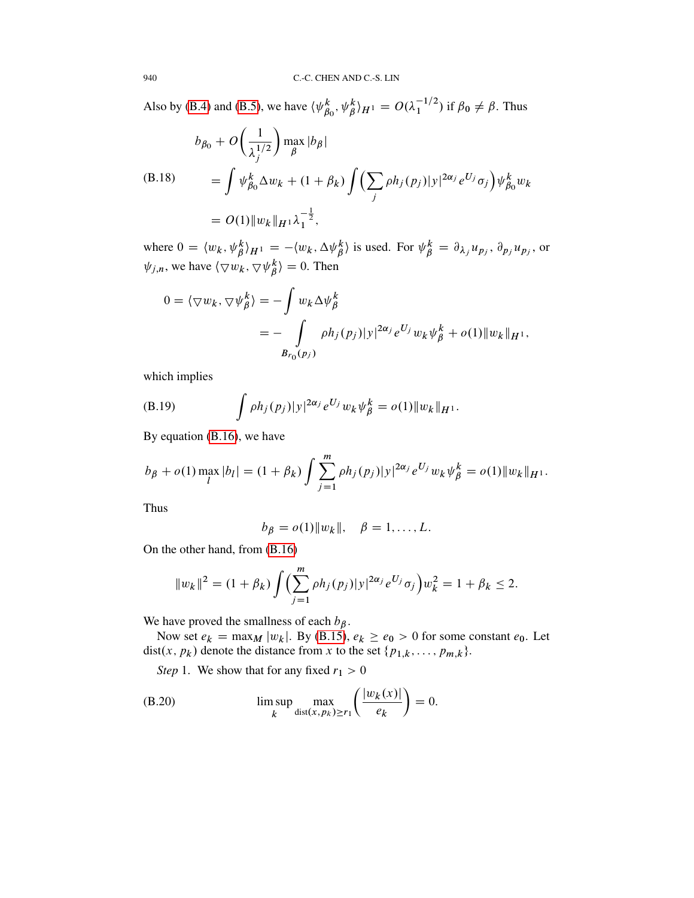Also by [\(B.4\)](#page-48-2) and [\(B.5\)](#page-48-3), we have  $\langle \psi_B^k \rangle$  ${}_{\beta_0}^k, \psi_{\beta}^k\rangle_{H^1} = O(\lambda_1^{-1/2})$  if  $\beta_0 \neq \beta$ . Thus

$$
b_{\beta_0} + O\left(\frac{1}{\lambda_j^{1/2}}\right) \max_{\beta} |b_{\beta}|
$$
  
\n(B.18) 
$$
= \int \psi_{\beta_0}^k \Delta w_k + (1 + \beta_k) \int \left(\sum_j \rho h_j(p_j)|y|^{2\alpha_j} e^{U_j} \sigma_j\right) \psi_{\beta_0}^k w_k
$$
  
\n
$$
= O(1) \|w_k\|_{H^1} \lambda_1^{-\frac{1}{2}},
$$

where  $0 = \langle w_k, \psi_\beta^k \rangle_{H^1} = -\langle w_k, \Delta \psi_\beta^k \rangle$  is used. For  $\psi_\beta^k = \partial_{\lambda_j} u_{p_j}, \partial_{p_j} u_{p_j}$ , or  $\psi_{j,n}$ , we have  $\langle \nabla w_k, \nabla \psi_k^k \rangle$  $\binom{k}{\beta} = 0$ . Then

$$
0 = \langle \nabla w_k, \nabla \psi_{\beta}^k \rangle = -\int w_k \Delta \psi_{\beta}^k
$$
  
= 
$$
- \int_{B_{r_0}(p_j)} \rho h_j(p_j) |y|^{2\alpha_j} e^{U_j} w_k \psi_{\beta}^k + o(1) \|w_k\|_{H^1},
$$

which implies

<span id="page-53-0"></span>(B.19) 
$$
\int \rho h_j(p_j) |y|^{2\alpha_j} e^{U_j} w_k \psi_{\beta}^k = o(1) \|w_k\|_{H^1}.
$$

By equation [\(B.16\)](#page-52-0), we have

$$
b_{\beta} + o(1) \max_{l} |b_{l}| = (1 + \beta_{k}) \int \sum_{j=1}^{m} \rho h_{j}(p_{j}) |y|^{2\alpha_{j}} e^{U_{j}} w_{k} \psi_{\beta}^{k} = o(1) \|w_{k}\|_{H^{1}}.
$$

Thus

$$
b_{\beta}=o(1)\|w_k\|, \quad \beta=1,\ldots,L.
$$

On the other hand, from [\(B.16\)](#page-52-0)

$$
||w_k||^2 = (1 + \beta_k) \int \Biggl(\sum_{j=1}^m \rho h_j(p_j) |y|^{2\alpha_j} e^{U_j} \sigma_j\Biggr) w_k^2 = 1 + \beta_k \le 2.
$$

We have proved the smallness of each  $b_{\beta}$ .

Now set  $e_k = \max_M |w_k|$ . By [\(B.15\)](#page-51-0),  $e_k \ge e_0 > 0$  for some constant  $e_0$ . Let dist $(x, p_k)$  denote the distance from x to the set  $\{p_{1,k}, \ldots, p_{m,k}\}.$ 

*Step* 1. We show that for any fixed  $r_1 > 0$ 

(B.20) 
$$
\limsup_{k} \max_{\text{dist}(x, p_k) \ge r_1} \left( \frac{|w_k(x)|}{e_k} \right) = 0.
$$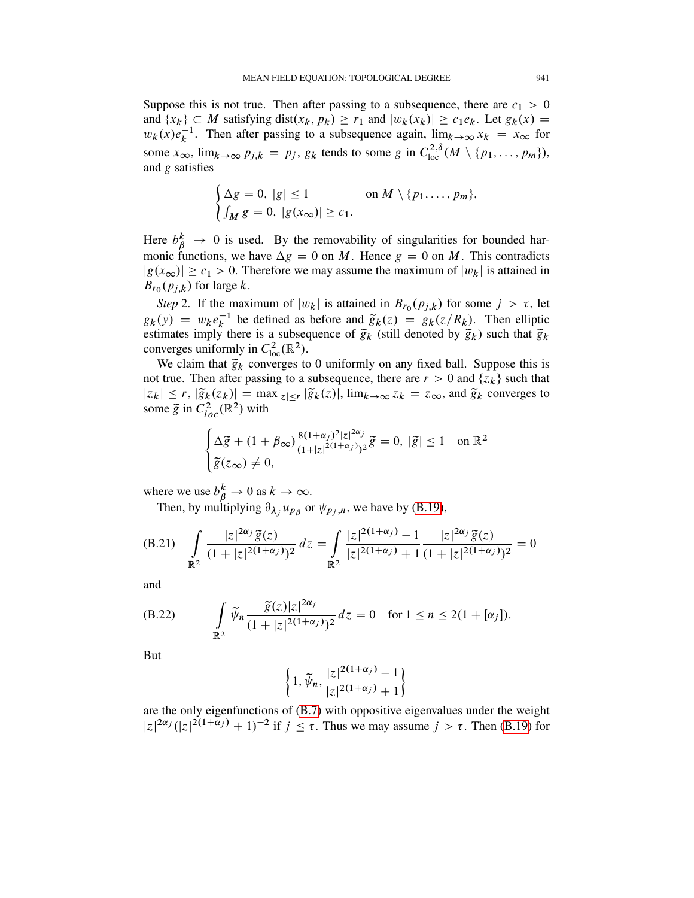Suppose this is not true. Then after passing to a subsequence, there are  $c_1 > 0$ and  $\{x_k\} \subset M$  satisfying dist $(x_k, p_k) \ge r_1$  and  $|w_k(x_k)| \ge c_1e_k$ . Let  $g_k(x) =$  $w_k(x)e_k^{-1}$ . Then after passing to a subsequence again,  $\lim_{k\to\infty} x_k = x_\infty$  for some  $x_{\infty}$ ,  $\lim_{k\to\infty} p_{j,k} = p_j$ ,  $g_k$  tends to some g in  $C_{\text{loc}}^{2,\delta}(M \setminus \{p_1, \ldots, p_m\}),$ and g satisfies

$$
\begin{cases} \Delta g = 0, \ |g| \le 1 & \text{on } M \setminus \{p_1, \dots, p_m\}, \\ \int_M g = 0, \ |g(x_\infty)| \ge c_1. \end{cases}
$$

Here  $b_{\beta}^{k} \rightarrow 0$  is used. By the removability of singularities for bounded harmonic functions, we have  $\Delta g = 0$  on M. Hence  $g = 0$  on M. This contradicts  $|g(x_{\infty})| \geq c_1 > 0$ . Therefore we may assume the maximum of  $|w_k|$  is attained in  $B_{r_0}(p_{j,k})$  for large k.

*Step* 2. If the maximum of  $|w_k|$  is attained in  $B_{r_0}(p_{j,k})$  for some  $j > \tau$ , let  $g_k(y) = w_k e_k^{-1}$  $\overline{k}_{k}^{-1}$  be defined as before and  $\widetilde{g}_{k}(z) = g_{k}(z/R_{k})$ . Then elliptic estimates imply there is a subsequence of  $\tilde{g}_k$  (still denoted by  $\tilde{g}_k$ ) such that  $\tilde{g}_k$ converges uniformly in  $C_{\text{loc}}^2(\mathbb{R}^2)$ .

We claim that  $\tilde{g}_k$  converges to 0 uniformly on any fixed ball. Suppose this is not true. Then after passing to a subsequence, there are  $r > 0$  and  $\{z_k\}$  such that  $|z_k| \le r$ ,  $|\tilde{g}_k(z_k)| = \max_{|z| \le r} |\tilde{g}_k(z)|$ ,  $\lim_{k \to \infty} z_k = z_\infty$ , and  $\tilde{g}_k$  converges to some  $\tilde{g}$  in  $C^2_{loc}(\mathbb{R}^2)$  with

$$
\begin{cases} \Delta \tilde{g} + (1 + \beta_{\infty}) \frac{8(1 + \alpha_j)^2 |z|^{2\alpha_j}}{(1 + |z|^{2(1 + \alpha_j)})^2} \tilde{g} = 0, \ |\tilde{g}| \le 1 \quad \text{on } \mathbb{R}^2\\ \tilde{g}(z_{\infty}) \neq 0, \end{cases}
$$

where we use  $b^k_\beta \to 0$  as  $k \to \infty$ .

<span id="page-54-0"></span>Then, by multiplying  $\partial_{\lambda_j} u_{p_\beta}$  or  $\psi_{p_j,n}$ , we have by [\(B.19\)](#page-53-0),

(B.21) 
$$
\int_{\mathbb{R}^2} \frac{|z|^{2\alpha_j} \tilde{g}(z)}{(1+|z|^{2(1+\alpha_j)})^2} dz = \int_{\mathbb{R}^2} \frac{|z|^{2(1+\alpha_j)} - 1}{|z|^{2(1+\alpha_j)} + 1} \frac{|z|^{2\alpha_j} \tilde{g}(z)}{(1+|z|^{2(1+\alpha_j)})^2} = 0
$$

and

<span id="page-54-1"></span>(B.22) 
$$
\int_{\mathbb{R}^2} \widetilde{\psi}_n \frac{\widetilde{g}(z)|z|^{2\alpha_j}}{(1+|z|^{2(1+\alpha_j)})^2} dz = 0 \text{ for } 1 \le n \le 2(1+[\alpha_j]).
$$

But

$$
\left\{1,\widetilde{\psi}_n,\frac{|z|^{2(1+\alpha_j)}-1}{|z|^{2(1+\alpha_j)}+1}\right\}
$$

are the only eigenfunctions of [\(B.7\)](#page-49-0) with oppositive eigenvalues under the weight  $|z|^{2\alpha_j}$   $(|z|^{2(1+\alpha_j)}+1)^{-2}$  if  $j \leq \tau$ . Thus we may assume  $j > \tau$ . Then [\(B.19\)](#page-53-0) for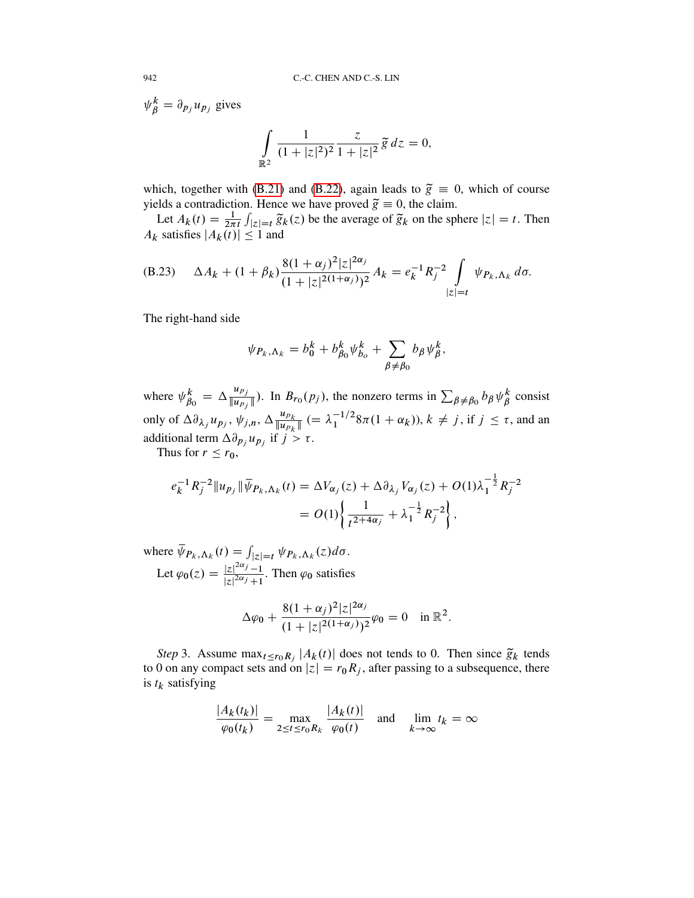$\overline{z}$ 

 $\frac{z}{1+|z|^2}\tilde{g}\,dz=0,$ 

 $\psi_{\beta}^{k} = \partial_{p_j} u_{p_j}$  gives  $\overline{a}$  $\mathbb{R}^2$ 1  $\sqrt{(1+|z|^2)^2}$ 

which, together with [\(B.21\)](#page-54-0) and [\(B.22\)](#page-54-1), again leads to  $\tilde{g} = 0$ , which of course yields a contradiction. Hence we have proved  $\tilde{g} \equiv 0$ , the claim.

Let  $A_k(t) = \frac{1}{2\pi i} \int_{|z|=t} \tilde{g}_k(z)$  be the average of  $\tilde{g}_k$  on the sphere  $|z| = t$ . Then  $A_k$  satisfies  $|A_k(t)| \leq 1$  and

(B.23) 
$$
\Delta A_k + (1 + \beta_k) \frac{8(1 + \alpha_j)^2 |z|^{2\alpha_j}}{(1 + |z|^{2(1 + \alpha_j)})^2} A_k = e_k^{-1} R_j^{-2} \int_{|z| = t} \psi_{P_k, \Lambda_k} d\sigma.
$$

The right-hand side

$$
\psi_{P_k,\Lambda_k} = b_0^k + b_{\beta_0}^k \psi_{b_o}^k + \sum_{\beta \neq \beta_0} b_\beta \psi_{\beta}^k,
$$

where  $\psi_R^k$  $\frac{k}{\beta_0} = \Delta \frac{u_{p_j}}{\|u_{p_j}\|}$  $\frac{u_{p_j}}{\|u_{p_j}\|}$ ). In  $B_{r_0}(p_j)$ , the nonzero terms in  $\sum_{\beta \neq \beta_0} b_{\beta} \psi_{\beta}^k$  $\stackrel{k}{\beta}$  consist only of  $\Delta \partial_{\lambda_j} u_{p_j}$ ,  $\psi_{j,n}$ ,  $\Delta \frac{u_{p_k}}{\|u_{p_k}\|}$  $\frac{u_{p_k}}{\|u_{p_k}\|}$  (=  $\lambda_1^{-1/2}$  $\frac{-1}{2}$  $8\pi(1+\alpha_k)$ ,  $k \neq j$ , if  $j \leq \tau$ , and an additional term  $\Delta \partial_{p_j} u_{p_j}$  if  $j > \tau$ .

Thus for  $r \le r_0$ ,

$$
e_k^{-1} R_j^{-2} \| u_{p_j} \| \overline{\psi}_{P_k, \Lambda_k}(t) = \Delta V_{\alpha_j}(z) + \Delta \partial_{\lambda_j} V_{\alpha_j}(z) + O(1) \lambda_1^{-\frac{1}{2}} R_j^{-2}
$$
  
= 
$$
O(1) \left\{ \frac{1}{t^{2+4\alpha_j}} + \lambda_1^{-\frac{1}{2}} R_j^{-2} \right\},
$$

where  $\overline{\psi}_{P_k, \Lambda_k}(t) = \int_{|z|=t} \psi_{P_k, \Lambda_k}(z) d\sigma$ . Let  $\varphi_0(z) = \frac{|z|^{2\alpha_j} - 1}{|z|^{2\alpha_j} + 1}$  $\frac{|z|^{j-1}}{|z|^{2\alpha_j}+1}$ . Then  $\varphi_0$  satisfies

$$
\Delta \varphi_0 + \frac{8(1+\alpha_j)^2 |z|^{2\alpha_j}}{(1+|z|^{2(1+\alpha_j)})^2} \varphi_0 = 0 \quad \text{in } \mathbb{R}^2.
$$

*Step* 3. Assume  $\max_{t \le r_0 R_j} |A_k(t)|$  does not tends to 0. Then since  $\tilde{g}_k$  tends to 0 on any compact sets and on  $|z| = r_0R_j$ , after passing to a subsequence, there is  $t_k$  satisfying

$$
\frac{|A_k(t_k)|}{\varphi_0(t_k)} = \max_{2 \le t \le r_0 R_k} \frac{|A_k(t)|}{\varphi_0(t)} \quad \text{and} \quad \lim_{k \to \infty} t_k = \infty
$$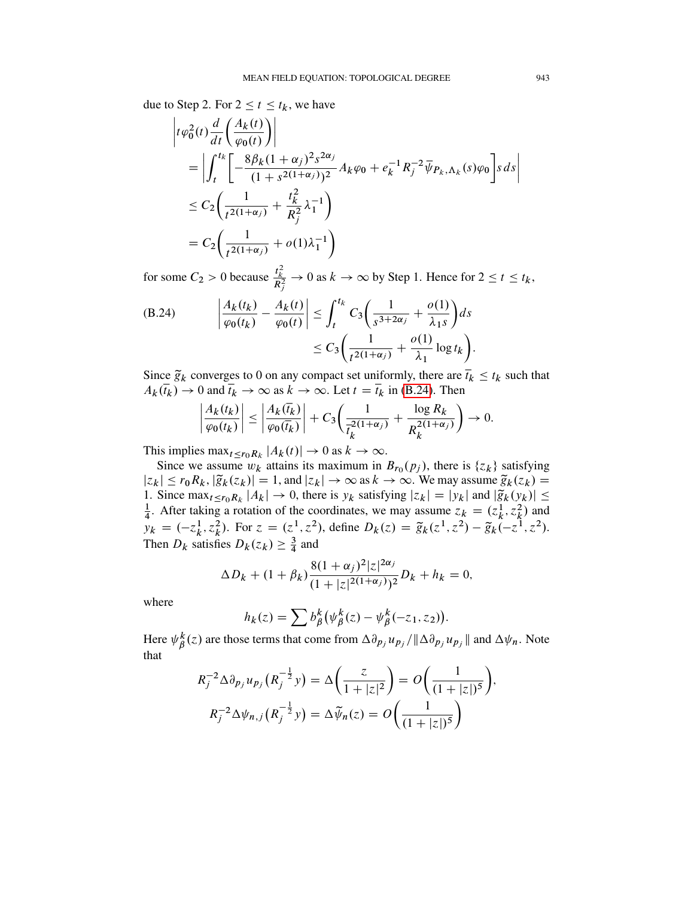due to Step 2. For  $2 \le t \le t_k$ , we have

$$
\begin{aligned}\n\left| t\varphi_0^2(t) \frac{d}{dt} \left( \frac{A_k(t)}{\varphi_0(t)} \right) \right| \\
&= \left| \int_t^t \left[ -\frac{8\beta_k (1+\alpha_j)^2 s^{2\alpha_j}}{(1+s^{2(1+\alpha_j)})^2} A_k \varphi_0 + e_k^{-1} R_j^{-2} \overline{\psi}_{P_k, \Lambda_k}(s) \varphi_0 \right] s \, ds \right| \\
&\leq C_2 \left( \frac{1}{t^{2(1+\alpha_j)}} + \frac{t_k^2}{R_j^2} \lambda_1^{-1} \right) \\
&= C_2 \left( \frac{1}{t^{2(1+\alpha_j)}} + o(1) \lambda_1^{-1} \right)\n\end{aligned}
$$

for some  $C_2 > 0$  because  $\frac{t_k^2}{R_j^2} \to 0$  as  $k \to \infty$  by Step 1. Hence for  $2 \le t \le t_k$ ,

<span id="page-56-0"></span>(B.24) 
$$
\left| \frac{A_k(t_k)}{\varphi_0(t_k)} - \frac{A_k(t)}{\varphi_0(t)} \right| \leq \int_t^{t_k} C_3 \left( \frac{1}{s^{3+2\alpha_j}} + \frac{o(1)}{\lambda_1 s} \right) ds
$$

$$
\leq C_3 \left( \frac{1}{t^{2(1+\alpha_j)}} + \frac{o(1)}{\lambda_1} \log t_k \right).
$$

Since  $\tilde{g}_k$  converges to 0 on any compact set uniformly, there are  $\bar{t}_k \le t_k$  such that  $A_k(\bar{t}_k) \to 0$  and  $\bar{t}_k \to \infty$  as  $k \to \infty$ . Let  $t = \bar{t}_k$  in [\(B.24\)](#page-56-0). Then

$$
\left|\frac{A_k(t_k)}{\varphi_0(t_k)}\right| \le \left|\frac{A_k(\overline{t}_k)}{\varphi_0(\overline{t}_k)}\right| + C_3\left(\frac{1}{\overline{t}_k^{2(1+\alpha_j)}} + \frac{\log R_k}{R_k^{2(1+\alpha_j)}}\right) \to 0.
$$

This implies  $\max_{t \le r_0 R_k} |A_k(t)| \to 0$  as  $k \to \infty$ .

Since we assume  $w_k$  attains its maximum in  $B_{r_0}(p_j)$ , there is  $\{z_k\}$  satisfying  $|z_k| \le r_0R_k$ ,  $|\tilde{g}_k(z_k)| = 1$ , and  $|z_k| \to \infty$  as  $k \to \infty$ . We may assume  $\tilde{g}_k(z_k) =$ 1. Since  $\max_{t \le r_0 R_k} |A_k| \to 0$ , there is  $y_k$  satisfying  $|z_k| = |y_k|$  and  $|\tilde{g}_k(y_k)| \le$ 1  $\frac{1}{4}$ . After taking a rotation of the coordinates, we may assume  $z_k = (z_k^1, z_k^2)$  and  $y_k = (-z_k^1)$  $(k, z_k^2)$ . For  $z = (z^1, z^2)$ , define  $D_k(z) = \tilde{g}_k(z^1, z^2) - \tilde{g}_k(-z^1, z^2)$ . Then  $D_k$  satisfies  $D_k(z_k) \geq \frac{3}{4}$  $rac{3}{4}$  and

$$
\Delta D_k + (1 + \beta_k) \frac{8(1 + \alpha_j)^2 |z|^{2\alpha_j}}{(1 + |z|^{2(1 + \alpha_j)})^2} D_k + h_k = 0,
$$

where

$$
h_k(z) = \sum b_{\beta}^k (\psi_{\beta}^k(z) - \psi_{\beta}^k(-z_1, z_2)).
$$

Here  $\psi^k_{\beta}$  $^k_{\beta}(z)$  are those terms that come from  $\Delta \partial p_j u_{p_j} / \|\Delta \partial p_j u_{p_j}\|$  and  $\Delta \psi_n$ . Note that

$$
R_j^{-2} \Delta \partial_{p_j} u_{p_j} (R_j^{-\frac{1}{2}} y) = \Delta \left( \frac{z}{1 + |z|^2} \right) = O \left( \frac{1}{(1 + |z|)^5} \right),
$$
  

$$
R_j^{-2} \Delta \psi_{n,j} (R_j^{-\frac{1}{2}} y) = \Delta \tilde{\psi}_n(z) = O \left( \frac{1}{(1 + |z|)^5} \right)
$$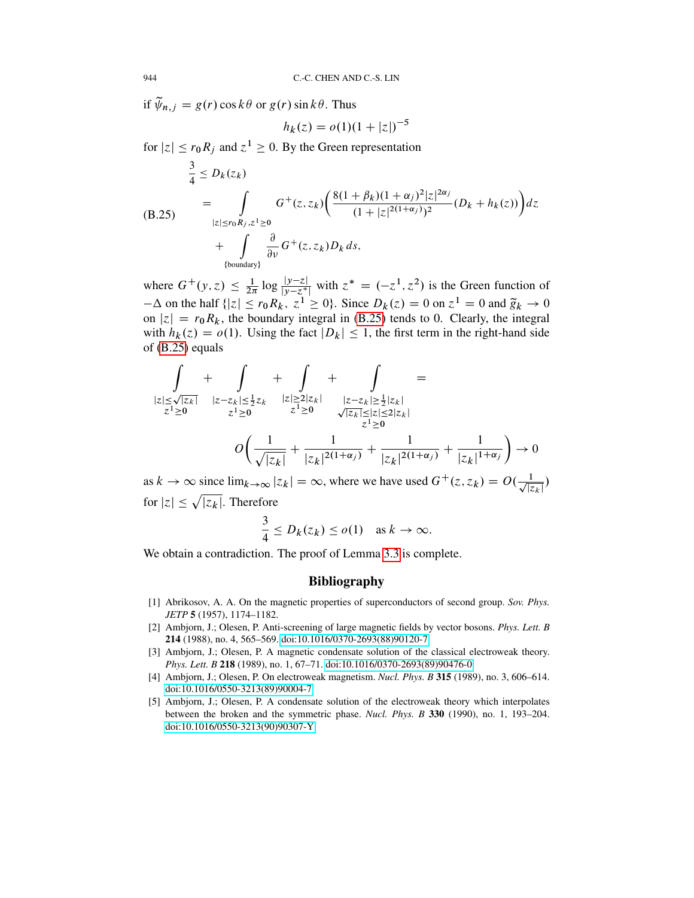if  $\widetilde{\psi}_{n,j} = g(r) \cos k\theta$  or  $g(r) \sin k\theta$ . Thus

$$
h_k(z) = o(1)(1+|z|)^{-5}
$$

for  $|z| \le r_0 R_j$  and  $z^1 \ge 0$ . By the Green representation

<span id="page-57-3"></span>
$$
\frac{3}{4} \le D_k(z_k)
$$
\n
$$
= \int_{|z| \le r_0 R_j, z^1 \ge 0} G^+(z, z_k) \left( \frac{8(1 + \beta_k)(1 + \alpha_j)^2 |z|^{2\alpha_j}}{(1 + |z|^{2(1 + \alpha_j)})^2} (D_k + h_k(z)) \right) dz
$$
\n
$$
+ \int_{\{\text{boundary}\}} \frac{\partial}{\partial v} G^+(z, z_k) D_k ds,
$$

where  $G^+(y, z) \leq \frac{1}{2\pi} \log \frac{|y-z|}{|y-z^*|}$  with  $z^* = (-z^1, z^2)$  is the Green function of  $-\Delta$  on the half  $\{|z| \le r_0 R_k$ ,  $z^1 \ge 0\}$ . Since  $D_k(z) = 0$  on  $z^1 = 0$  and  $\tilde{g}_k \to 0$ on  $|z| = r_0R_k$ , the boundary integral in [\(B.25\)](#page-57-3) tends to 0. Clearly, the integral with  $h_k(z) = o(1)$ . Using the fact  $|D_k| \le 1$ , the first term in the right-hand side of [\(B.25\)](#page-57-3) equals

$$
\int_{|z| \le \sqrt{|z_k|}} + \int_{|z-z_k| \le \frac{1}{2}z_k} + \int_{|z| \ge 2|z_k|} + \int_{|z-z_k| \ge \frac{1}{2}|z_k|} =
$$
\n
$$
z^1 \ge 0 \qquad z^1 \ge 0 \qquad z^1 \ge 0 \qquad \sqrt{|z_k|} \le |z| \le 2|z_k|
$$
\n
$$
O\left(\frac{1}{\sqrt{|z_k|}} + \frac{1}{|z_k|^{2(1+\alpha_j)}} + \frac{1}{|z_k|^{2(1+\alpha_j)}} + \frac{1}{|z_k|^{1+\alpha_j}}\right) \to 0
$$

as  $k \to \infty$  since  $\lim_{k \to \infty} |z_k| = \infty$ , where we have used  $G^+(z, z_k) = O(\frac{1}{\sqrt{z}})$  $\frac{1}{|z_k|})$ for  $|z| \leq \sqrt{|z_k|}$ . Therefore

$$
\frac{3}{4} \le D_k(z_k) \le o(1) \quad \text{as } k \to \infty.
$$

We obtain a contradiction. The proof of Lemma [3.3](#page-21-0) is complete.

## Bibliography

- <span id="page-57-1"></span>[1] Abrikosov, A. A. On the magnetic properties of superconductors of second group. *Sov. Phys. JETP* 5 (1957), 1174–1182.
- <span id="page-57-2"></span>[2] Ambjorn, J.; Olesen, P. Anti-screening of large magnetic fields by vector bosons. *Phys. Lett. B* 214 (1988), no. 4, 565–569. [doi:10.1016/0370-2693\(88\)90120-7](http://dx.doi.org/doi:10.1016/0370-2693(88)90120-7)
- [3] Ambjorn, J.; Olesen, P. A magnetic condensate solution of the classical electroweak theory. *Phys. Lett. B* 218 (1989), no. 1, 67–71. [doi:10.1016/0370-2693\(89\)90476-0](http://dx.doi.org/doi:10.1016/0370-2693(89)90476-0)
- [4] Ambjorn, J.; Olesen, P. On electroweak magnetism. *Nucl. Phys. B* 315 (1989), no. 3, 606–614. [doi:10.1016/0550-3213\(89\)90004-7](http://dx.doi.org/doi:10.1016/0550-3213(89)90004-7)
- <span id="page-57-0"></span>[5] Ambjorn, J.; Olesen, P. A condensate solution of the electroweak theory which interpolates between the broken and the symmetric phase. *Nucl. Phys. B* 330 (1990), no. 1, 193–204. [doi:10.1016/0550-3213\(90\)90307-Y](http://dx.doi.org/doi:10.1016/0550-3213(90)90307-Y)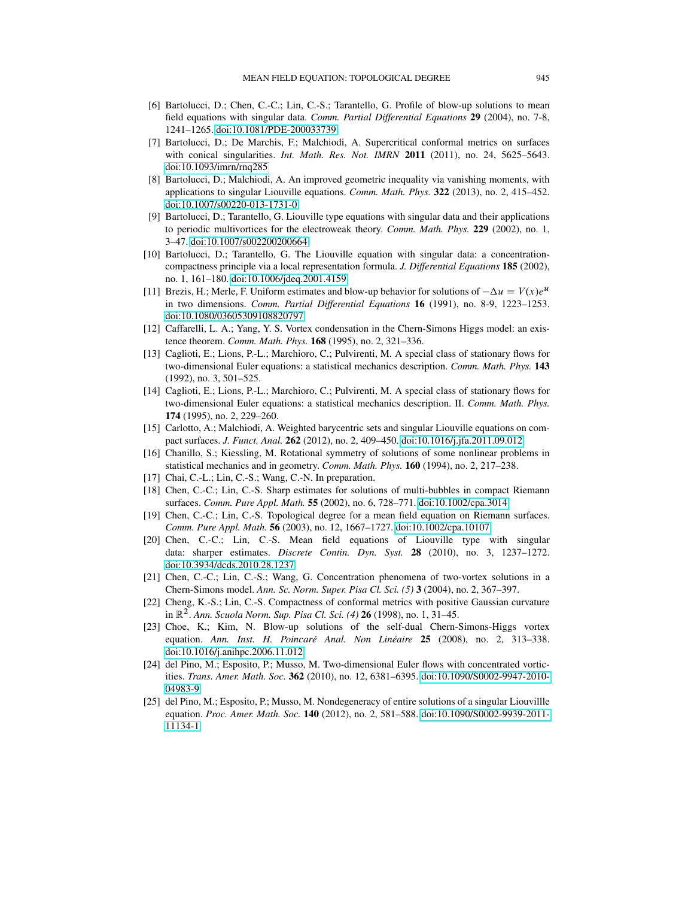- <span id="page-58-11"></span>[6] Bartolucci, D.; Chen, C.-C.; Lin, C.-S.; Tarantello, G. Profile of blow-up solutions to mean field equations with singular data. *Comm. Partial Differential Equations* 29 (2004), no. 7-8, 1241–1265. [doi:10.1081/PDE-200033739](http://dx.doi.org/doi:10.1081/PDE-200033739)
- <span id="page-58-3"></span>[7] Bartolucci, D.; De Marchis, F.; Malchiodi, A. Supercritical conformal metrics on surfaces with conical singularities. *Int. Math. Res. Not. IMRN* 2011 (2011), no. 24, 5625–5643. [doi:10.1093/imrn/rnq285](http://dx.doi.org/doi:10.1093/imrn/rnq285)
- <span id="page-58-12"></span>[8] Bartolucci, D.; Malchiodi, A. An improved geometric inequality via vanishing moments, with applications to singular Liouville equations. *Comm. Math. Phys.* 322 (2013), no. 2, 415–452. [doi:10.1007/s00220-013-1731-0](http://dx.doi.org/doi:10.1007/s00220-013-1731-0)
- <span id="page-58-17"></span>[9] Bartolucci, D.; Tarantello, G. Liouville type equations with singular data and their applications to periodic multivortices for the electroweak theory. *Comm. Math. Phys.* 229 (2002), no. 1, 3–47. [doi:10.1007/s002200200664](http://dx.doi.org/doi:10.1007/s002200200664)
- <span id="page-58-10"></span>[10] Bartolucci, D.; Tarantello, G. The Liouville equation with singular data: a concentrationcompactness principle via a local representation formula. *J. Differential Equations* 185 (2002), no. 1, 161–180. [doi:10.1006/jdeq.2001.4159](http://dx.doi.org/doi:10.1006/jdeq.2001.4159)
- <span id="page-58-9"></span>[11] Brezis, H.; Merle, F. Uniform estimates and blow-up behavior for solutions of  $-\Delta u = V(x)e^u$ in two dimensions. *Comm. Partial Differential Equations* 16 (1991), no. 8-9, 1223–1253. [doi:10.1080/03605309108820797](http://dx.doi.org/doi:10.1080/03605309108820797)
- <span id="page-58-4"></span>[12] Caffarelli, L. A.; Yang, Y. S. Vortex condensation in the Chern-Simons Higgs model: an existence theorem. *Comm. Math. Phys.* 168 (1995), no. 2, 321–336.
- <span id="page-58-0"></span>[13] Caglioti, E.; Lions, P.-L.; Marchioro, C.; Pulvirenti, M. A special class of stationary flows for two-dimensional Euler equations: a statistical mechanics description. *Comm. Math. Phys.* 143 (1992), no. 3, 501–525.
- <span id="page-58-1"></span>[14] Caglioti, E.; Lions, P.-L.; Marchioro, C.; Pulvirenti, M. A special class of stationary flows for two-dimensional Euler equations: a statistical mechanics description. II. *Comm. Math. Phys.* 174 (1995), no. 2, 229–260.
- <span id="page-58-5"></span>[15] Carlotto, A.; Malchiodi, A. Weighted barycentric sets and singular Liouville equations on compact surfaces. *J. Funct. Anal.* 262 (2012), no. 2, 409–450. [doi:10.1016/j.jfa.2011.09.012](http://dx.doi.org/doi:10.1016/j.jfa.2011.09.012)
- <span id="page-58-2"></span>[16] Chanillo, S.; Kiessling, M. Rotational symmetry of solutions of some nonlinear problems in statistical mechanics and in geometry. *Comm. Math. Phys.* 160 (1994), no. 2, 217–238.
- <span id="page-58-13"></span>[17] Chai, C.-L.; Lin, C.-S.; Wang, C.-N. In preparation.
- <span id="page-58-14"></span>[18] Chen, C.-C.; Lin, C.-S. Sharp estimates for solutions of multi-bubbles in compact Riemann surfaces. *Comm. Pure Appl. Math.* 55 (2002), no. 6, 728–771. [doi:10.1002/cpa.3014](http://dx.doi.org/doi:10.1002/cpa.3014)
- <span id="page-58-8"></span>[19] Chen, C.-C.; Lin, C.-S. Topological degree for a mean field equation on Riemann surfaces. *Comm. Pure Appl. Math.* 56 (2003), no. 12, 1667–1727. [doi:10.1002/cpa.10107](http://dx.doi.org/doi:10.1002/cpa.10107)
- <span id="page-58-15"></span>[20] Chen, C.-C.; Lin, C.-S. Mean field equations of Liouville type with singular data: sharper estimates. *Discrete Contin. Dyn. Syst.* 28 (2010), no. 3, 1237–1272. [doi:10.3934/dcds.2010.28.1237](http://dx.doi.org/doi:10.3934/dcds.2010.28.1237)
- <span id="page-58-6"></span>[21] Chen, C.-C.; Lin, C.-S.; Wang, G. Concentration phenomena of two-vortex solutions in a Chern-Simons model. *Ann. Sc. Norm. Super. Pisa Cl. Sci. (5)* 3 (2004), no. 2, 367–397.
- <span id="page-58-16"></span>[22] Cheng, K.-S.; Lin, C.-S. Compactness of conformal metrics with positive Gaussian curvature in R<sup>2</sup> . *Ann. Scuola Norm. Sup. Pisa Cl. Sci. (4)* 26 (1998), no. 1, 31–45.
- <span id="page-58-18"></span>[23] Choe, K.; Kim, N. Blow-up solutions of the self-dual Chern-Simons-Higgs vortex equation. *Ann. Inst. H. Poincaré Anal. Non Linéaire* 25 (2008), no. 2, 313–338. [doi:10.1016/j.anihpc.2006.11.012](http://dx.doi.org/doi:10.1016/j.anihpc.2006.11.012)
- <span id="page-58-7"></span>[24] del Pino, M.; Esposito, P.; Musso, M. Two-dimensional Euler flows with concentrated vorticities. *Trans. Amer. Math. Soc.* 362 (2010), no. 12, 6381–6395. [doi:10.1090/S0002-9947-2010-](http://dx.doi.org/doi:10.1090/S0002-9947-2010-04983-9) [04983-9](http://dx.doi.org/doi:10.1090/S0002-9947-2010-04983-9)
- [25] del Pino, M.; Esposito, P.; Musso, M. Nondegeneracy of entire solutions of a singular Liouvillle equation. *Proc. Amer. Math. Soc.* 140 (2012), no. 2, 581–588. [doi:10.1090/S0002-9939-2011-](http://dx.doi.org/doi:10.1090/S0002-9939-2011-11134-1) [11134-1](http://dx.doi.org/doi:10.1090/S0002-9939-2011-11134-1)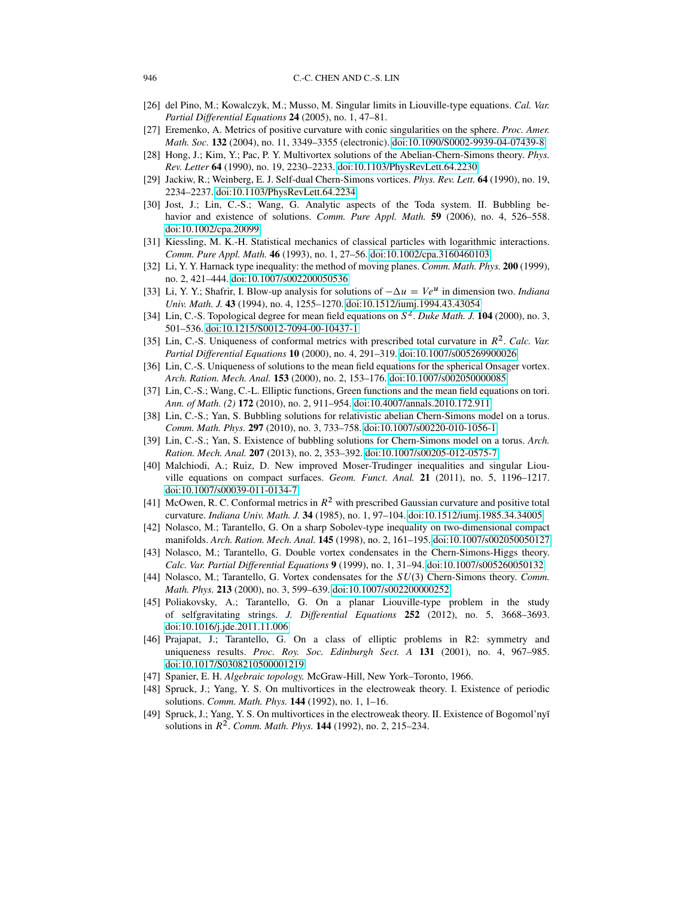- <span id="page-59-6"></span>[26] del Pino, M.; Kowalczyk, M.; Musso, M. Singular limits in Liouville-type equations. *Cal. Var. Partial Differential Equations* 24 (2005), no. 1, 47–81.
- <span id="page-59-16"></span>[27] Eremenko, A. Metrics of positive curvature with conic singularities on the sphere. *Proc. Amer. Math. Soc.* 132 (2004), no. 11, 3349–3355 (electronic). [doi:10.1090/S0002-9939-04-07439-8](http://dx.doi.org/doi:10.1090/S0002-9939-04-07439-8)
- <span id="page-59-1"></span>[28] Hong, J.; Kim, Y.; Pac, P. Y. Multivortex solutions of the Abelian-Chern-Simons theory. *Phys. Rev. Letter* 64 (1990), no. 19, 2230–2233. [doi:10.1103/PhysRevLett.64.2230](http://dx.doi.org/doi:10.1103/PhysRevLett.64.2230)
- <span id="page-59-2"></span>[29] Jackiw, R.; Weinberg, E. J. Self-dual Chern-Simons vortices. *Phys. Rev. Lett.* 64 (1990), no. 19, 2234–2237. [doi:10.1103/PhysRevLett.64.2234](http://dx.doi.org/doi:10.1103/PhysRevLett.64.2234)
- <span id="page-59-7"></span>[30] Jost, J.; Lin, C.-S.; Wang, G. Analytic aspects of the Toda system. II. Bubbling behavior and existence of solutions. *Comm. Pure Appl. Math.* 59 (2006), no. 4, 526–558. [doi:10.1002/cpa.20099](http://dx.doi.org/doi:10.1002/cpa.20099)
- <span id="page-59-0"></span>[31] Kiessling, M. K.-H. Statistical mechanics of classical particles with logarithmic interactions. *Comm. Pure Appl. Math.* 46 (1993), no. 1, 27–56. [doi:10.1002/cpa.3160460103](http://dx.doi.org/doi:10.1002/cpa.3160460103)
- [32] Li, Y. Y. Harnack type inequality: the method of moving planes. *Comm. Math. Phys.* 200 (1999), no. 2, 421–444. [doi:10.1007/s002200050536](http://dx.doi.org/doi:10.1007/s002200050536)
- <span id="page-59-10"></span>[33] Li, Y. Y.; Shafrir, I. Blow-up analysis for solutions of  $-\Delta u = Ve^u$  in dimension two. *Indiana Univ. Math. J.* 43 (1994), no. 4, 1255–1270. [doi:10.1512/iumj.1994.43.43054](http://dx.doi.org/doi:10.1512/iumj.1994.43.43054)
- <span id="page-59-14"></span>[34] Lin, C.-S. Topological degree for mean field equations on  $S^2$ . *Duke Math. J.* **104** (2000), no. 3, 501–536. [doi:10.1215/S0012-7094-00-10437-1](http://dx.doi.org/doi:10.1215/S0012-7094-00-10437-1)
- [35] Lin, C.-S. Uniqueness of conformal metrics with prescribed total curvature in  $R^2$ . Calc. Var. *Partial Differential Equations* 10 (2000), no. 4, 291–319. [doi:10.1007/s005269900026](http://dx.doi.org/doi:10.1007/s005269900026)
- <span id="page-59-15"></span>[36] Lin, C.-S. Uniqueness of solutions to the mean field equations for the spherical Onsager vortex. *Arch. Ration. Mech. Anal.* 153 (2000), no. 2, 153–176. [doi:10.1007/s002050000085](http://dx.doi.org/doi:10.1007/s002050000085)
- <span id="page-59-17"></span>[37] Lin, C.-S.; Wang, C.-L. Elliptic functions, Green functions and the mean field equations on tori. *Ann. of Math. (2)* 172 (2010), no. 2, 911–954. [doi:10.4007/annals.2010.172.911](http://dx.doi.org/doi:10.4007/annals.2010.172.911)
- [38] Lin, C.-S.; Yan, S. Bubbling solutions for relativistic abelian Chern-Simons model on a torus. *Comm. Math. Phys.* 297 (2010), no. 3, 733–758. [doi:10.1007/s00220-010-1056-1](http://dx.doi.org/doi:10.1007/s00220-010-1056-1)
- <span id="page-59-8"></span>[39] Lin, C.-S.; Yan, S. Existence of bubbling solutions for Chern-Simons model on a torus. *Arch. Ration. Mech. Anal.* 207 (2013), no. 2, 353–392. [doi:10.1007/s00205-012-0575-7](http://dx.doi.org/doi:10.1007/s00205-012-0575-7)
- <span id="page-59-9"></span>[40] Malchiodi, A.; Ruiz, D. New improved Moser-Trudinger inequalities and singular Liouville equations on compact surfaces. *Geom. Funct. Anal.* 21 (2011), no. 5, 1196–1217. [doi:10.1007/s00039-011-0134-7](http://dx.doi.org/doi:10.1007/s00039-011-0134-7)
- [41] McOwen, R. C. Conformal metrics in  $R^2$  with prescribed Gaussian curvature and positive total curvature. *Indiana Univ. Math. J.* 34 (1985), no. 1, 97–104. [doi:10.1512/iumj.1985.34.34005](http://dx.doi.org/doi:10.1512/iumj.1985.34.34005)
- <span id="page-59-3"></span>[42] Nolasco, M.; Tarantello, G. On a sharp Sobolev-type inequality on two-dimensional compact manifolds. *Arch. Ration. Mech. Anal.* 145 (1998), no. 2, 161–195. [doi:10.1007/s002050050127](http://dx.doi.org/doi:10.1007/s002050050127)
- [43] Nolasco, M.; Tarantello, G. Double vortex condensates in the Chern-Simons-Higgs theory. *Calc. Var. Partial Differential Equations* 9 (1999), no. 1, 31–94. [doi:10.1007/s005260050132](http://dx.doi.org/doi:10.1007/s005260050132)
- <span id="page-59-4"></span>[44] Nolasco, M.; Tarantello, G. Vortex condensates for the  $SU(3)$  Chern-Simons theory. *Comm. Math. Phys.* 213 (2000), no. 3, 599–639. [doi:10.1007/s002200000252](http://dx.doi.org/doi:10.1007/s002200000252)
- <span id="page-59-13"></span>[45] Poliakovsky, A.; Tarantello, G. On a planar Liouville-type problem in the study of selfgravitating strings. *J. Differential Equations* 252 (2012), no. 5, 3668–3693. [doi:10.1016/j.jde.2011.11.006](http://dx.doi.org/doi:10.1016/j.jde.2011.11.006)
- <span id="page-59-11"></span>[46] Prajapat, J.; Tarantello, G. On a class of elliptic problems in R2: symmetry and uniqueness results. *Proc. Roy. Soc. Edinburgh Sect. A* 131 (2001), no. 4, 967–985. [doi:10.1017/S0308210500001219](http://dx.doi.org/doi:10.1017/S0308210500001219)
- <span id="page-59-12"></span>[47] Spanier, E. H. *Algebraic topology.* McGraw-Hill, New York–Toronto, 1966.
- <span id="page-59-5"></span>[48] Spruck, J.; Yang, Y. S. On multivortices in the electroweak theory. I. Existence of periodic solutions. *Comm. Math. Phys.* 144 (1992), no. 1, 1–16.
- [49] Spruck, J.; Yang, Y. S. On multivortices in the electroweak theory. II. Existence of Bogomol'ny˘ı solutions in  $R^2$ . *Comm. Math. Phys.* **144** (1992), no. 2, 215–234.